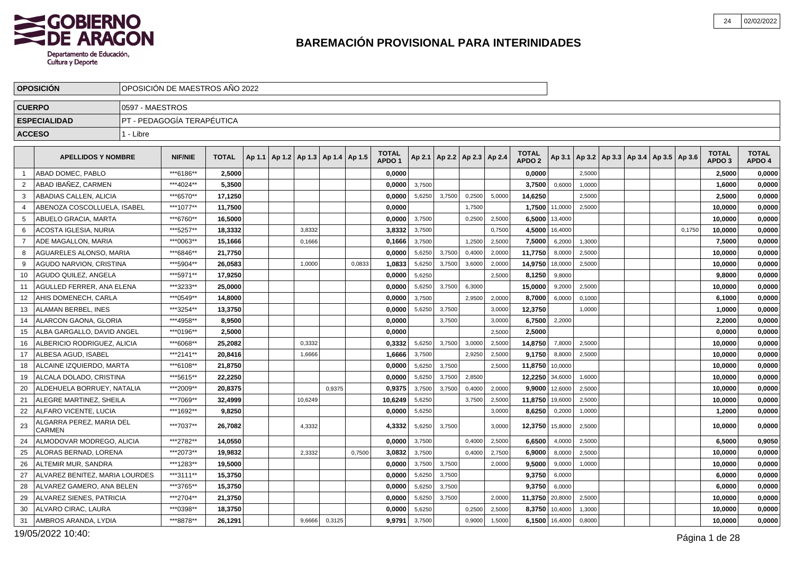

| <b>OPOSICION</b>    |                                |                 | OPOSICION DE MAESTROS ANO 2022 |              |                                            |         |        |        |                                   |        |        |                                   |        |                                   |         |        |                                                     |        |                                   |                        |
|---------------------|--------------------------------|-----------------|--------------------------------|--------------|--------------------------------------------|---------|--------|--------|-----------------------------------|--------|--------|-----------------------------------|--------|-----------------------------------|---------|--------|-----------------------------------------------------|--------|-----------------------------------|------------------------|
| <b>CUERPO</b>       |                                | 0597 - MAESTROS |                                |              |                                            |         |        |        |                                   |        |        |                                   |        |                                   |         |        |                                                     |        |                                   |                        |
| <b>ESPECIALIDAD</b> |                                |                 | PT - PEDAGOGÍA TERAPÉUTICA     |              |                                            |         |        |        |                                   |        |        |                                   |        |                                   |         |        |                                                     |        |                                   |                        |
| <b>ACCESO</b>       |                                | 1 - Libre       |                                |              |                                            |         |        |        |                                   |        |        |                                   |        |                                   |         |        |                                                     |        |                                   |                        |
|                     |                                |                 |                                |              |                                            |         |        |        |                                   |        |        |                                   |        |                                   |         |        |                                                     |        |                                   |                        |
|                     | <b>APELLIDOS Y NOMBRE</b>      |                 | <b>NIF/NIE</b>                 | <b>TOTAL</b> | Ap 1.1   Ap 1.2   Ap 1.3   Ap 1.4   Ap 1.5 |         |        |        | <b>TOTAL</b><br>APDO <sub>1</sub> |        |        | Ap 2.1   Ap 2.2   Ap 2.3   Ap 2.4 |        | <b>TOTAL</b><br>APDO <sub>2</sub> |         |        | Ap 3.1   Ap 3.2   Ap 3.3   Ap 3.4   Ap 3.5   Ap 3.6 |        | <b>TOTAL</b><br>APDO <sub>3</sub> | <b>TOTAL</b><br>APDO 4 |
| -1                  | ABAD DOMEC, PABLO              |                 | ***6186**                      | 2,5000       |                                            |         |        |        | 0,0000                            |        |        |                                   |        | 0,0000                            |         | 2,5000 |                                                     |        | 2,5000                            | 0,0000                 |
| 2                   | ABAD IBAÑEZ, CARMEN            |                 | ***4024**                      | 5,3500       |                                            |         |        |        | 0,0000                            | 3,7500 |        |                                   |        | 3,7500                            | 0,6000  | 1,0000 |                                                     |        | 1,6000                            | 0,0000                 |
| 3                   | ABADIAS CALLEN, ALICIA         |                 | ***6570**                      | 17,1250      |                                            |         |        |        | 0,0000                            | 5,6250 | 3,7500 | 0,2500                            | 5,0000 | 14,6250                           |         | 2,5000 |                                                     |        | 2,5000                            | 0,0000                 |
| 4                   | ABENOZA COSCOLLUELA. ISABEL    |                 | ***1077**                      | 11,7500      |                                            |         |        |        | 0.0000                            |        |        | 1,7500                            |        | 1,7500 11,0000                    |         | 2,5000 |                                                     |        | 10.0000                           | 0,0000                 |
| 5                   | ABUELO GRACIA, MARTA           |                 | ***6760**                      | 16,5000      |                                            |         |        |        | 0,0000                            | 3,7500 |        | 0,2500                            | 2,5000 | 6,5000                            | 13,4000 |        |                                                     |        | 10,0000                           | 0,0000                 |
| 6                   | ACOSTA IGLESIA, NURIA          |                 | ***5257**                      | 18,3332      |                                            | 3,8332  |        |        | 3,8332                            | 3,7500 |        |                                   | 0,7500 | 4,5000                            | 16,4000 |        |                                                     | 0,1750 | 10,0000                           | 0,0000                 |
| $\overline{7}$      | ADE MAGALLON, MARIA            |                 | ***0063**                      | 15,1666      |                                            | 0,1666  |        |        | 0,1666                            | 3,7500 |        | 1,2500                            | 2,5000 | 7,5000                            | 6,2000  | 1,3000 |                                                     |        | 7,5000                            | 0,0000                 |
| 8                   | AGUARELES ALONSO, MARIA        |                 | ***6846**                      | 21,7750      |                                            |         |        |        | 0,0000                            | 5,6250 | 3,7500 | 0,400                             | 2,000  | 11,7750                           | 8,0000  | 2,5000 |                                                     |        | 10,0000                           | 0,0000                 |
| 9                   | AGUDO NARVION, CRISTINA        |                 | ***5904**                      | 26,0583      |                                            | 1,0000  |        | 0,0833 | 1,0833                            | 5,6250 | 3,7500 | 3,6000                            | 2,0000 | 14,9750                           | 18,0000 | 2,5000 |                                                     |        | 10,0000                           | 0,0000                 |
| 10                  | AGUDO QUILEZ, ANGELA           |                 | ***5971**                      | 17,9250      |                                            |         |        |        | 0,0000                            | 5,6250 |        |                                   | 2,5000 | 8,1250                            | 9,8000  |        |                                                     |        | 9,8000                            | 0,0000                 |
| 11                  | AGULLED FERRER, ANA ELENA      |                 | ***3233**                      | 25.0000      |                                            |         |        |        | 0,0000                            | 5,6250 | 3,7500 | 6,3000                            |        | 15,0000                           | 9.2000  | 2,5000 |                                                     |        | 10,0000                           | 0,0000                 |
| 12                  | AHIS DOMENECH, CARLA           |                 | ***0549**                      | 14,8000      |                                            |         |        |        | 0,0000                            | 3,7500 |        | 2,9500                            | 2,0000 | 8,7000                            | 6,0000  | 0,1000 |                                                     |        | 6,1000                            | 0,0000                 |
| 13                  | ALAMAN BERBEL. INES            |                 | ***3254**                      | 13,3750      |                                            |         |        |        | 0,0000                            | 5,6250 | 3,7500 |                                   | 3,0000 | 12,3750                           |         | 1,0000 |                                                     |        | 1,0000                            | 0,0000                 |
| 14                  | ALARCON GAONA, GLORIA          |                 | ***4958**                      | 8,9500       |                                            |         |        |        | 0,0000                            |        | 3,7500 |                                   | 3,0000 | 6,7500                            | 2,2000  |        |                                                     |        | 2,2000                            | 0,0000                 |
| 15                  | ALBA GARGALLO, DAVID ANGEL     |                 | ***0196**                      | 2,5000       |                                            |         |        |        | 0,0000                            |        |        |                                   | 2,5000 | 2,5000                            |         |        |                                                     |        | 0,0000                            | 0,0000                 |
| 16                  | ALBERICIO RODRIGUEZ, ALICIA    |                 | ***6068**                      | 25,2082      |                                            | 0.3332  |        |        | 0,3332                            | 5,6250 | 3.7500 | 3,000                             | 2,5000 | 14,8750                           | 7,8000  | 2,5000 |                                                     |        | 10,0000                           | 0,0000                 |
| 17                  | ALBESA AGUD, ISABEL            |                 | ***2141**                      | 20,8416      |                                            | 1,6666  |        |        | 1,6666                            | 3,7500 |        | 2,9250                            | 2,5000 | 9,1750                            | 8,8000  | 2,5000 |                                                     |        | 10,0000                           | 0,0000                 |
| 18                  | ALCAINE IZQUIERDO, MARTA       |                 | ***6108**                      | 21.8750      |                                            |         |        |        | 0.0000                            | 5,6250 | 3,7500 |                                   | 2.5000 | 11,8750                           | 10,0000 |        |                                                     |        | 10.0000                           | 0,0000                 |
| 19                  | ALCALA DOLADO, CRISTINA        |                 | ***5615**                      | 22,2250      |                                            |         |        |        | 0,0000                            | 5,6250 | 3,7500 | 2,8500                            |        | 12,2250                           | 34,6000 | 1,6000 |                                                     |        | 10,0000                           | 0,0000                 |
| 20                  | ALDEHUELA BORRUEY, NATALIA     |                 | ***2009**                      | 20.8375      |                                            |         | 0,9375 |        | 0.9375                            | 3,7500 | 3,7500 | 0,4000                            | 2,0000 | 9,9000                            | 12,6000 | 2,5000 |                                                     |        | 10,0000                           | 0,0000                 |
| 21                  | ALEGRE MARTINEZ, SHEILA        |                 | ***7069**                      | 32,4999      |                                            | 10,6249 |        |        | 10,6249                           | 5,6250 |        | 3,7500                            | 2,5000 | 11,8750                           | 19,6000 | 2,5000 |                                                     |        | 10,0000                           | 0,0000                 |
| 22                  | ALFARO VICENTE, LUCIA          |                 | ***1692**                      | 9.8250       |                                            |         |        |        | 0,0000                            | 5,6250 |        |                                   | 3,0000 | 8,6250                            | 0,2000  | 1,0000 |                                                     |        | 1,2000                            | 0,0000                 |
| 23<br><b>CARMEN</b> | ALGARRA PEREZ, MARIA DEL       |                 | ***7037**                      | 26,7082      |                                            | 4,3332  |        |        | 4,3332                            | 5,6250 | 3,7500 |                                   | 3,0000 | 12,3750                           | 15,8000 | 2,5000 |                                                     |        | 10,0000                           | 0,0000                 |
| 24                  | ALMODOVAR MODREGO, ALICIA      |                 | ***2782**                      | 14,0550      |                                            |         |        |        | 0,0000                            | 3,7500 |        | 0,4000                            | 2,5000 | 6,6500                            | 4,0000  | 2,5000 |                                                     |        | 6,5000                            | 0,9050                 |
| 25                  | ALORAS BERNAD, LORENA          |                 | ***2073**                      | 19.9832      |                                            | 2.3332  |        | 0,7500 | 3,0832                            | 3,7500 |        | 0,4000                            | 2,7500 | 6,9000                            | 8,0000  | 2,5000 |                                                     |        | 10,0000                           | 0,0000                 |
| 26                  | ALTEMIR MUR, SANDRA            |                 | ***1283**                      | 19,5000      |                                            |         |        |        | 0,0000                            | 3,7500 | 3,7500 |                                   | 2,0000 | 9,5000                            | 9,0000  | 1,0000 |                                                     |        | 10,0000                           | 0,0000                 |
| 27                  | ALVAREZ BENITEZ. MARIA LOURDES |                 | ***3111**                      | 15,3750      |                                            |         |        |        | 0,0000                            | 5,6250 | 3,7500 |                                   |        | 9,3750                            | 6,0000  |        |                                                     |        | 6,0000                            | 0,0000                 |
| 28                  | ALVAREZ GAMERO, ANA BELEN      |                 | ***3765**                      | 15,3750      |                                            |         |        |        | 0,0000                            | 5,6250 | 3,7500 |                                   |        | 9,3750                            | 6,0000  |        |                                                     |        | 6,0000                            | 0,0000                 |
| 29                  | ALVAREZ SIENES, PATRICIA       |                 | ***2704**                      | 21,3750      |                                            |         |        |        | 0,0000                            | 5,6250 | 3,7500 |                                   | 2,0000 | 11,3750                           | 20,8000 | 2,5000 |                                                     |        | 10,0000                           | 0,0000                 |
| 30                  | ALVARO CIRAC, LAURA            |                 | ***0398**                      | 18,3750      |                                            |         |        |        | 0,0000                            | 5,6250 |        | 0,2500                            | 2,5000 | 8,3750                            | 10,4000 | 1,3000 |                                                     |        | 10,0000                           | 0,0000                 |
| 31                  | AMBROS ARANDA, LYDIA           |                 | ***8878**                      | 26,1291      |                                            | 9,6666  | 0,3125 |        | 9,9791                            | 3,7500 |        | 0,9000                            | 1,5000 | 6,1500                            | 16,4000 | 0,8000 |                                                     |        | 10,0000                           | 0,0000                 |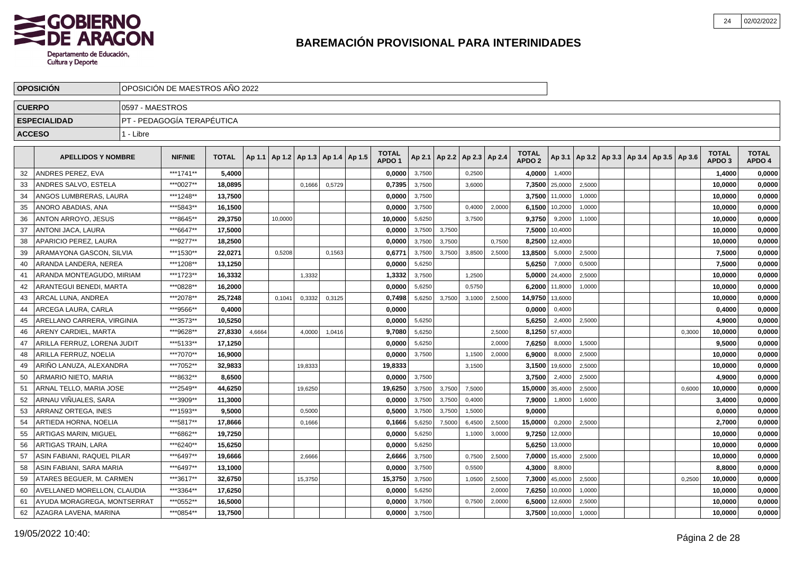

|               | <b>OPOSICION</b>            | OPOSICIÓN DE MAESTROS AÑO 2022 |                            |              |        |                                            |         |        |  |                                   |        |                          |        |        |                                   |                |        |                                                     |        |                                   |                        |
|---------------|-----------------------------|--------------------------------|----------------------------|--------------|--------|--------------------------------------------|---------|--------|--|-----------------------------------|--------|--------------------------|--------|--------|-----------------------------------|----------------|--------|-----------------------------------------------------|--------|-----------------------------------|------------------------|
| <b>CUERPO</b> |                             | 0597 - MAESTROS                |                            |              |        |                                            |         |        |  |                                   |        |                          |        |        |                                   |                |        |                                                     |        |                                   |                        |
|               | <b>ESPECIALIDAD</b>         |                                | PT - PEDAGOGIA TERAPÉUTICA |              |        |                                            |         |        |  |                                   |        |                          |        |        |                                   |                |        |                                                     |        |                                   |                        |
| <b>ACCESO</b> |                             | 1 - Libre                      |                            |              |        |                                            |         |        |  |                                   |        |                          |        |        |                                   |                |        |                                                     |        |                                   |                        |
|               |                             |                                |                            |              |        |                                            |         |        |  |                                   |        |                          |        |        |                                   |                |        |                                                     |        |                                   |                        |
|               | <b>APELLIDOS Y NOMBRE</b>   |                                | <b>NIF/NIE</b>             | <b>TOTAL</b> |        | Ap 1.1   Ap 1.2   Ap 1.3   Ap 1.4   Ap 1.5 |         |        |  | <b>TOTAL</b><br>APDO <sub>1</sub> | Ap 2.1 | Ap 2.2   Ap 2.3   Ap 2.4 |        |        | <b>TOTAL</b><br>APDO <sub>2</sub> |                |        | Ap 3.1   Ap 3.2   Ap 3.3   Ap 3.4   Ap 3.5   Ap 3.6 |        | <b>TOTAL</b><br>APDO <sub>3</sub> | <b>TOTAL</b><br>APDO 4 |
| 32            | ANDRES PEREZ, EVA           |                                | ***1741**                  | 5,4000       |        |                                            |         |        |  | 0,0000                            | 3,7500 |                          | 0,2500 |        | 4,0000                            | 1,4000         |        |                                                     |        | 1,4000                            | 0,0000                 |
| 33            | ANDRES SALVO, ESTELA        |                                | ***0027**                  | 18,0895      |        |                                            | 0,1666  | 0,5729 |  | 0,7395                            | 3,7500 |                          | 3,6000 |        | 7,3500                            | 25,0000        | 2,5000 |                                                     |        | 10,0000                           | 0,0000                 |
| -34           | ANGOS LUMBRERAS, LAURA      |                                | ***1248**                  | 13,7500      |        |                                            |         |        |  | 0.0000                            | 3,7500 |                          |        |        | 3,7500                            | 11,0000        | 1.0000 |                                                     |        | 10.0000                           | 0,0000                 |
| 35            | ANORO ABADIAS, ANA          |                                | ***5843**                  | 16,1500      |        |                                            |         |        |  | 0.0000                            | 3,7500 |                          | 0.4000 | 2.0000 | 6,1500                            | 10,2000        | 1,0000 |                                                     |        | 10.0000                           | 0,0000                 |
| 36            | ANTON ARROYO, JESUS         |                                | ***8645**                  | 29.3750      |        | 10.0000                                    |         |        |  | 10.0000                           | 5,6250 |                          | 3,7500 |        | 9,3750                            | 9,2000         | 1,1000 |                                                     |        | 10,0000                           | 0,0000                 |
| 37            | ANTONI JACA, LAURA          |                                | ***6647**                  | 17,5000      |        |                                            |         |        |  | 0.0000                            | 3,7500 | 3,7500                   |        |        | 7,5000                            | 10,4000        |        |                                                     |        | 10,0000                           | 0,0000                 |
| 38            | APARICIO PEREZ, LAURA       |                                | ***9277**                  | 18,2500      |        |                                            |         |        |  | 0,0000                            | 3,7500 | 3,7500                   |        | 0,7500 | 8,2500                            | 12,4000        |        |                                                     |        | 10,0000                           | 0,0000                 |
| 39            | ARAMAYONA GASCON, SILVIA    |                                | ***1530**                  | 22.0271      |        | 0,5208                                     |         | 0,1563 |  | 0,6771                            | 3,7500 | 3,7500                   | 3,8500 | 2,5000 | 13,8500                           | 5,0000         | 2,5000 |                                                     |        | 7,5000                            | 0,0000                 |
| 40            | ARANDA LANDERA, NEREA       |                                | ***1208**                  | 13,1250      |        |                                            |         |        |  | 0,0000                            | 5,6250 |                          |        |        | 5,6250                            | 7,0000         | 0,5000 |                                                     |        | 7,5000                            | 0,0000                 |
| 41            | ARANDA MONTEAGUDO, MIRIAM   |                                | ***1723**                  | 16,3332      |        |                                            | 1,3332  |        |  | 1,3332                            | 3,7500 |                          | 1,2500 |        |                                   | 5,0000 24,4000 | 2,5000 |                                                     |        | 10,0000                           | 0,0000                 |
| 42            | ARANTEGUI BENEDI, MARTA     |                                | ***0828**                  | 16,2000      |        |                                            |         |        |  | 0,0000                            | 5,6250 |                          | 0,5750 |        |                                   | 6,2000 11,8000 | 1,0000 |                                                     |        | 10,0000                           | 0,0000                 |
| 43            | ARCAL LUNA, ANDREA          |                                | ***2078**                  | 25,7248      |        | 0.1041                                     | 0,3332  | 0.3125 |  | 0,7498                            | 5,6250 | 3,7500                   | 3,1000 | 2.5000 | 14,9750 13,6000                   |                |        |                                                     |        | 10.0000                           | 0,0000                 |
| 44            | ARCEGA LAURA, CARLA         |                                | ***9566**                  | 0,4000       |        |                                            |         |        |  | 0.0000                            |        |                          |        |        | 0,0000                            | 0,4000         |        |                                                     |        | 0,4000                            | 0,0000                 |
| 45            | ARELLANO CARRERA, VIRGINIA  |                                | ***3573**                  | 10,5250      |        |                                            |         |        |  | 0,0000                            | 5,6250 |                          |        |        | 5,6250                            | 2,4000         | 2,5000 |                                                     |        | 4,9000                            | 0,0000                 |
| 46            | ARENY CARDIEL, MARTA        |                                | ***9628**                  | 27,8330      | 4,6664 |                                            | 4,0000  | 1,0416 |  | 9,7080                            | 5,6250 |                          |        | 2.5000 | 8,1250                            | 57,4000        |        |                                                     | 0.3000 | 10,0000                           | 0,0000                 |
| 47            | ARILLA FERRUZ, LORENA JUDIT |                                | ***5133**                  | 17,1250      |        |                                            |         |        |  | 0,0000                            | 5,6250 |                          |        | 2.0000 | 7,6250                            | 8,0000         | 1,5000 |                                                     |        | 9,5000                            | 0,0000                 |
| 48            | ARILLA FERRUZ, NOELIA       |                                | ***7070**                  | 16,9000      |        |                                            |         |        |  | 0,0000                            | 3,7500 |                          | 1,1500 | 2,0000 | 6,9000                            | 8,0000         | 2,5000 |                                                     |        | 10,0000                           | 0,0000                 |
| 49            | ARIÑO LANUZA, ALEXANDRA     |                                | ***7052**                  | 32,9833      |        |                                            | 19,8333 |        |  | 19,8333                           |        |                          | 3,1500 |        | 3,1500                            | 19,6000        | 2,5000 |                                                     |        | 10,0000                           | 0,0000                 |
| 50            | ARMARIO NIETO, MARIA        |                                | ***8632**                  | 8,6500       |        |                                            |         |        |  | 0,0000                            | 3,7500 |                          |        |        | 3,7500                            | 2,4000         | 2,5000 |                                                     |        | 4,9000                            | 0,0000                 |
| 51            | ARNAL TELLO. MARIA JOSE     |                                | ***2549**                  | 44,6250      |        |                                            | 19,6250 |        |  | 19.6250                           | 3,7500 | 3,7500                   | 7,5000 |        | 15,0000                           | 35,4000        | 2,5000 |                                                     | 0.6000 | 10,0000                           | 0,0000                 |
| 52            | ARNAU VIÑUALES, SARA        |                                | ***3909**                  | 11,3000      |        |                                            |         |        |  | 0.0000                            | 3,7500 | 3,7500                   | 0,4000 |        | 7,9000                            | 1,8000         | 1,6000 |                                                     |        | 3,4000                            | 0,0000                 |
| 53            | ARRANZ ORTEGA. INES         |                                | ***1593**                  | 9,5000       |        |                                            | 0,5000  |        |  | 0,5000                            | 3,7500 | 3,7500                   | 1,5000 |        | 9.0000                            |                |        |                                                     |        | 0.0000                            | 0,0000                 |
| 54            | ARTIEDA HORNA, NOELIA       |                                | ***5817**                  | 17,8666      |        |                                            | 0,1666  |        |  | 0,1666                            | 5,6250 | 7,5000                   | 6,4500 | 2,5000 | 15,0000                           | 0,2000         | 2,5000 |                                                     |        | 2,7000                            | 0,0000                 |
| 55            | ARTIGAS MARIN, MIGUEL       |                                | ***6862**                  | 19,7250      |        |                                            |         |        |  | 0,0000                            | 5,6250 |                          | 1,1000 | 3,0000 | 9,7250                            | 12,0000        |        |                                                     |        | 10,0000                           | 0,0000                 |
| 56            | ARTIGAS TRAIN, LARA         |                                | ***6240**                  | 15,6250      |        |                                            |         |        |  | 0,0000                            | 5,6250 |                          |        |        | 5,6250                            | 13,0000        |        |                                                     |        | 10,0000                           | 0,0000                 |
| 57            | ASIN FABIANI, RAQUEL PILAR  |                                | ***6497**                  | 19,6666      |        |                                            | 2,6666  |        |  | 2,6666                            | 3,7500 |                          | 0,7500 | 2,5000 | 7,0000                            | 15,4000        | 2,5000 |                                                     |        | 10,0000                           | 0,0000                 |
| 58            | ASIN FABIANI, SARA MARIA    |                                | ***6497**                  | 13,1000      |        |                                            |         |        |  | 0,0000                            | 3,7500 |                          | 0,5500 |        | 4,3000                            | 8,8000         |        |                                                     |        | 8,8000                            | 0,0000                 |
| 59            | ATARES BEGUER, M. CARMEN    |                                | ***3617**                  | 32,6750      |        |                                            | 15,3750 |        |  | 15,3750                           | 3,7500 |                          | 1,0500 | 2,5000 | 7,3000                            | 45,0000        | 2,5000 |                                                     | 0.2500 | 10,0000                           | 0,0000                 |
| 60            | AVELLANED MORELLON, CLAUDIA |                                | ***3364**                  | 17,6250      |        |                                            |         |        |  | 0,0000                            | 5,6250 |                          |        | 2,0000 |                                   | 7,6250 10,0000 | 1,0000 |                                                     |        | 10,0000                           | 0,0000                 |
| 61            | AYUDA MORAGREGA, MONTSERRAT |                                | ***0552**                  | 16,5000      |        |                                            |         |        |  | 0,0000                            | 3,7500 |                          | 0,7500 | 2,0000 | 6,5000                            | 12,6000        | 2,5000 |                                                     |        | 10.0000                           | 0,0000                 |
| 62            | AZAGRA LAVENA, MARINA       |                                | ***0854**                  | 13,7500      |        |                                            |         |        |  | $0,0000$ 3,7500                   |        |                          |        |        |                                   | 3,7500 10,0000 | 1,0000 |                                                     |        | 10.0000                           | 0,0000                 |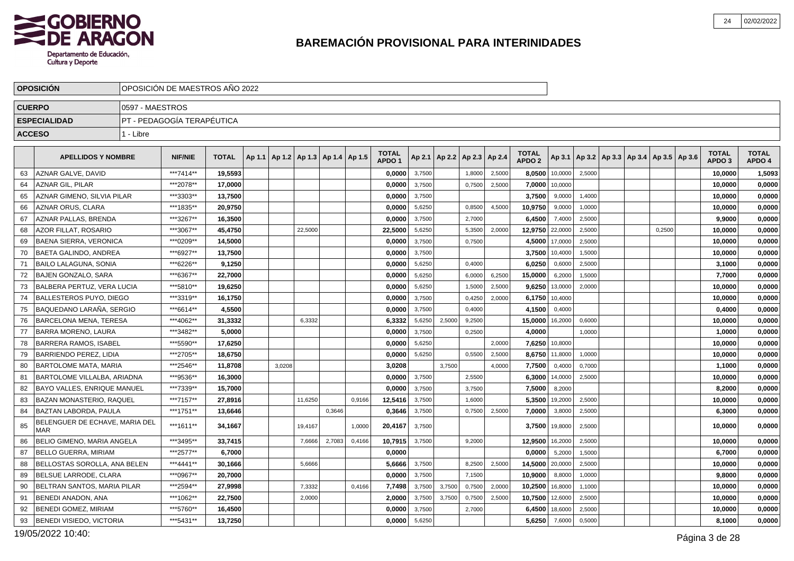

| 0597 - MAESTROS<br><b>CUERPO</b><br>PT - PEDAGOGÍA TERAPÉUTICA<br><b>ESPECIALIDAD</b><br>1 - Libre<br><b>ACCESO</b><br><b>TOTAL</b><br><b>TOTAL</b><br><b>APELLIDOS Y NOMBRE</b><br><b>NIF/NIE</b><br><b>TOTAL</b><br>Ap 1.1   Ap 1.2   Ap 1.3   Ap 1.4   Ap 1.5<br>Ap 2.1   Ap 2.2<br>Ap 2.3 Ap 2.4<br>Ap 3.1   Ap 3.2   Ap 3.3   Ap 3.4   Ap 3.5   Ap 3.6<br>APDO <sub>2</sub><br>APDO <sub>1</sub><br>AZNAR GALVE, DAVID<br>***7414**<br>19,5593<br>0,0000<br>3,7500<br>2,5000<br>8,0500<br>10,0000<br>63<br>1,8000<br>2,5000<br><b>AZNAR GIL, PILAR</b><br>***2078**<br>3,7500<br>7,0000<br>10,0000<br>64<br>17.0000<br>0,0000<br>2,5000<br>0,7500<br>***3303**<br>3,7500<br>3,7500<br>AZNAR GIMENO, SILVIA PILAR<br>13,7500<br>0,0000<br>9,0000<br>1,4000<br>65<br>AZNAR ORUS, CLARA<br>***1835**<br>20.9750<br>0,0000<br>5,6250<br>0,8500<br>4,5000<br>10,9750<br>9,0000<br>1,0000<br>66 |                              |
|------------------------------------------------------------------------------------------------------------------------------------------------------------------------------------------------------------------------------------------------------------------------------------------------------------------------------------------------------------------------------------------------------------------------------------------------------------------------------------------------------------------------------------------------------------------------------------------------------------------------------------------------------------------------------------------------------------------------------------------------------------------------------------------------------------------------------------------------------------------------------------------------|------------------------------|
|                                                                                                                                                                                                                                                                                                                                                                                                                                                                                                                                                                                                                                                                                                                                                                                                                                                                                                |                              |
|                                                                                                                                                                                                                                                                                                                                                                                                                                                                                                                                                                                                                                                                                                                                                                                                                                                                                                |                              |
|                                                                                                                                                                                                                                                                                                                                                                                                                                                                                                                                                                                                                                                                                                                                                                                                                                                                                                |                              |
|                                                                                                                                                                                                                                                                                                                                                                                                                                                                                                                                                                                                                                                                                                                                                                                                                                                                                                | <b>TOTAL</b><br><b>TOTAL</b> |
|                                                                                                                                                                                                                                                                                                                                                                                                                                                                                                                                                                                                                                                                                                                                                                                                                                                                                                | APDO <sub>3</sub><br>APDO 4  |
|                                                                                                                                                                                                                                                                                                                                                                                                                                                                                                                                                                                                                                                                                                                                                                                                                                                                                                | 10,0000<br>1,5093            |
|                                                                                                                                                                                                                                                                                                                                                                                                                                                                                                                                                                                                                                                                                                                                                                                                                                                                                                | 0,0000<br>10,0000            |
|                                                                                                                                                                                                                                                                                                                                                                                                                                                                                                                                                                                                                                                                                                                                                                                                                                                                                                | 0,0000<br>10,0000            |
|                                                                                                                                                                                                                                                                                                                                                                                                                                                                                                                                                                                                                                                                                                                                                                                                                                                                                                | 10,0000<br>0,0000            |
| ***3267**<br>AZNAR PALLAS, BRENDA<br>0,0000<br>3,7500<br>2,7000<br>6,4500<br>7,4000<br>2,5000<br>16,3500<br>67                                                                                                                                                                                                                                                                                                                                                                                                                                                                                                                                                                                                                                                                                                                                                                                 | 9,9000<br>0,0000             |
| AZOR FILLAT, ROSARIO<br>***3067**<br>45,4750<br>22,5000<br>5,6250<br>2,0000<br>12,9750<br>22,0000<br>68<br>22,5000<br>5,3500<br>2,5000<br>0,2500                                                                                                                                                                                                                                                                                                                                                                                                                                                                                                                                                                                                                                                                                                                                               | 10,0000<br>0,0000            |
| 17,0000<br><b>BAENA SIERRA, VERONICA</b><br>***0209**<br>14,5000<br>0,0000<br>3,7500<br>0,7500<br>4,5000<br>2,5000<br>69                                                                                                                                                                                                                                                                                                                                                                                                                                                                                                                                                                                                                                                                                                                                                                       | 10,0000<br>0,0000            |
| <b>BAETA GALINDO, ANDREA</b><br>***6927**<br>13.7500<br>0.0000<br>3,7500<br>3,7500<br>10,4000<br>70<br>1,5000                                                                                                                                                                                                                                                                                                                                                                                                                                                                                                                                                                                                                                                                                                                                                                                  | 10,0000<br>0,0000            |
| <b>BAILO LALAGUNA, SONIA</b><br>***6226**<br>9,1250<br>6,0250<br>0,6000<br>71<br>0,0000<br>5,6250<br>0,4000<br>2,5000                                                                                                                                                                                                                                                                                                                                                                                                                                                                                                                                                                                                                                                                                                                                                                          | 0,0000<br>3,1000             |
| 5,6250<br>6,2500<br>6,2000<br>72<br><b>BAJEN GONZALO, SARA</b><br>***6367**<br>22.7000<br>0,0000<br>6,0000<br>15,0000<br>1,5000                                                                                                                                                                                                                                                                                                                                                                                                                                                                                                                                                                                                                                                                                                                                                                | 0,0000<br>7,7000             |
| BALBERA PERTUZ, VERA LUCIA<br>***5810**<br>19,6250<br>0,0000<br>5,6250<br>2,5000<br>9,6250<br>13,0000<br>73<br>1,5000<br>2,0000                                                                                                                                                                                                                                                                                                                                                                                                                                                                                                                                                                                                                                                                                                                                                                | 10,0000<br>0,0000            |
| BALLESTEROS PUYO, DIEGO<br>***3319**<br>16,1750<br>0,0000<br>3,7500<br>2,0000<br>6,1750<br>10,4000<br>74<br>0,4250                                                                                                                                                                                                                                                                                                                                                                                                                                                                                                                                                                                                                                                                                                                                                                             | 10,0000<br>0,0000            |
| <b>BAQUEDANO LARAÑA, SERGIO</b><br>***6614**<br>4,5500<br>3,7500<br>4,1500<br>0,0000<br>0,4000<br>0,4000<br>75                                                                                                                                                                                                                                                                                                                                                                                                                                                                                                                                                                                                                                                                                                                                                                                 | 0,4000<br>0,0000             |
| ***4062**<br><b>BARCELONA MENA, TERESA</b><br>31,3332<br>6,3332<br>6,3332<br>5,6250<br>15,0000<br>16,2000<br>76<br>2,5000<br>9,2500<br>0,6000                                                                                                                                                                                                                                                                                                                                                                                                                                                                                                                                                                                                                                                                                                                                                  | 10,0000<br>0,0000            |
| 3,7500<br><b>BARRA MORENO, LAURA</b><br>***3482**<br>5,0000<br>0,0000<br>0,2500<br>4,0000<br>1,0000<br>77                                                                                                                                                                                                                                                                                                                                                                                                                                                                                                                                                                                                                                                                                                                                                                                      | 1,0000<br>0,0000             |
| ***5590**<br>2,0000<br>10,8000<br><b>BARRERA RAMOS, ISABEL</b><br>17.6250<br>0,0000<br>5,6250<br>7,6250<br>78                                                                                                                                                                                                                                                                                                                                                                                                                                                                                                                                                                                                                                                                                                                                                                                  | 10,0000<br>0,0000            |
| ***2705**<br>79<br><b>BARRIENDO PEREZ, LIDIA</b><br>18,6750<br>0,0000<br>5,6250<br>0,5500<br>2,5000<br>8,6750<br>11,8000<br>1,0000                                                                                                                                                                                                                                                                                                                                                                                                                                                                                                                                                                                                                                                                                                                                                             | 10,0000<br>0,0000            |
| <b>BARTOLOME MATA, MARIA</b><br>***2546**<br>3,0208<br>3.7500<br>4.0000<br>7,7500<br>0,4000<br>80<br>11,8708<br>3.0208<br>0,7000                                                                                                                                                                                                                                                                                                                                                                                                                                                                                                                                                                                                                                                                                                                                                               | 0,0000<br>1,1000             |
| BARTOLOME VILLALBA, ARIADNA<br>0.0000<br>3,7500<br>2,5500<br>***9536**<br>16,3000<br>6,3000<br>14,0000<br>2,5000<br>81                                                                                                                                                                                                                                                                                                                                                                                                                                                                                                                                                                                                                                                                                                                                                                         | 0,0000<br>10,0000            |
| BAYO VALLES. ENRIQUE MANUEL<br>***7339**<br>0.0000<br>3,7500<br>7,5000<br>8,2000<br>82<br>15.7000<br>3,7500                                                                                                                                                                                                                                                                                                                                                                                                                                                                                                                                                                                                                                                                                                                                                                                    | 8,2000<br>0,0000             |
| BAZAN MONASTERIO, RAQUEL<br>***7157**<br>11,6250<br>0,9166<br>12,5416<br>3,7500<br>5,3500<br>19,2000<br>2,5000<br>83<br>27,8916<br>1,6000                                                                                                                                                                                                                                                                                                                                                                                                                                                                                                                                                                                                                                                                                                                                                      | 10,0000<br>0,0000            |
| BAZTAN LABORDA, PAULA<br>***1751**<br>0,3646<br>0.3646<br>3,7500<br>3,8000<br>13.6646<br>0,7500<br>2,5000<br>7,0000<br>2,5000<br>-84                                                                                                                                                                                                                                                                                                                                                                                                                                                                                                                                                                                                                                                                                                                                                           | 6.3000<br>0,0000             |
| BELENGUER DE ECHAVE, MARIA DEL<br>***1611**<br>20,4167<br>3,7500<br>19,8000<br>85<br>34,1667<br>19,4167<br>1,0000<br>3,7500<br>2,5000<br><b>MAR</b>                                                                                                                                                                                                                                                                                                                                                                                                                                                                                                                                                                                                                                                                                                                                            | 10.0000<br>0,0000            |
| BELIO GIMENO, MARIA ANGELA<br>***3495**<br>2,7083<br>33,7415<br>0,4166<br>10,7915<br>3,7500<br>12,9500<br>16,2000<br>2,5000<br>86<br>7,6666<br>9,2000                                                                                                                                                                                                                                                                                                                                                                                                                                                                                                                                                                                                                                                                                                                                          | 10,0000<br>0,0000            |
| ***2577**<br>0,0000<br><b>BELLO GUERRA, MIRIAM</b><br>6,7000<br>0,0000<br>5,2000<br>1,5000<br>87                                                                                                                                                                                                                                                                                                                                                                                                                                                                                                                                                                                                                                                                                                                                                                                               | 6,7000<br>0,0000             |
| BELLOSTAS SOROLLA, ANA BELEN<br>***4441**<br>3,7500<br>8,2500<br>2,5000<br>14,5000<br>20,0000<br>2,5000<br>88<br>30.1666<br>5,6666<br>5,6666                                                                                                                                                                                                                                                                                                                                                                                                                                                                                                                                                                                                                                                                                                                                                   | 0,0000<br>10,0000            |
| BELSUE LARRODE, CLARA<br>***0967**<br>3,7500<br>20,7000<br>0,0000<br>7,1500<br>10,9000<br>8,8000<br>1,0000<br>89                                                                                                                                                                                                                                                                                                                                                                                                                                                                                                                                                                                                                                                                                                                                                                               | 9,8000<br>0,0000             |
| BELTRAN SANTOS, MARIA PILAR<br>***2594**<br>0,4166<br>7,7498<br>3,7500<br>0,7500<br>2,0000<br>10,2500<br>16,8000<br>90<br>27,9998<br>7,3332<br>3.7500<br>1,1000                                                                                                                                                                                                                                                                                                                                                                                                                                                                                                                                                                                                                                                                                                                                | 10,0000<br>0,0000            |
| ***1062**<br>BENEDI ANADON, ANA<br>2,0000<br>3,7500<br>0,7500<br>2,5000<br>12,6000<br>2,5000<br>91<br>22,7500<br>2,0000<br>3,7500<br>10,7500                                                                                                                                                                                                                                                                                                                                                                                                                                                                                                                                                                                                                                                                                                                                                   | 10,0000<br>0,0000            |
| <b>BENEDI GOMEZ, MIRIAM</b><br>***5760**<br>92<br>16,4500<br>0,0000<br>3,7500<br>6,4500<br>18,6000<br>2,5000<br>2,7000                                                                                                                                                                                                                                                                                                                                                                                                                                                                                                                                                                                                                                                                                                                                                                         | 10,0000<br>0,0000            |
| ***5431**<br>93<br><b>BENEDI VISIEDO, VICTORIA</b><br>13,7250<br>0,0000<br>5,6250<br>5,6250<br>7,6000<br>0,5000                                                                                                                                                                                                                                                                                                                                                                                                                                                                                                                                                                                                                                                                                                                                                                                |                              |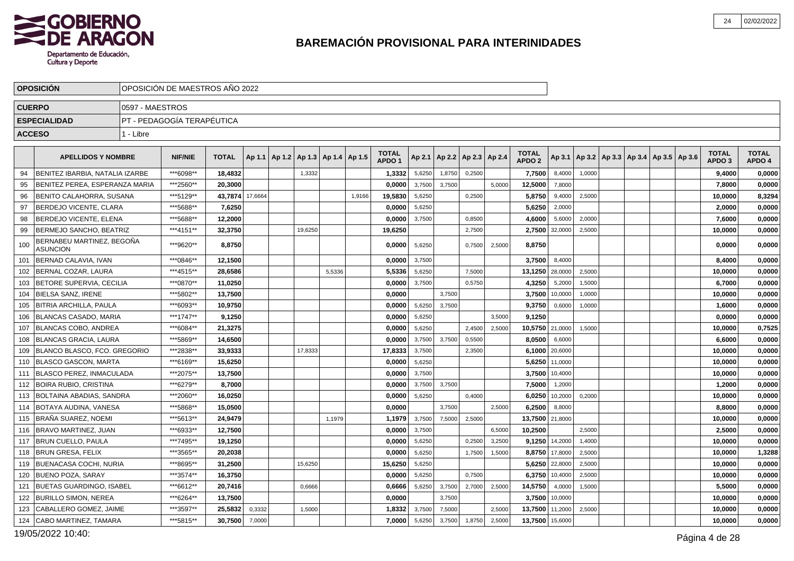

|               | <b>OPOSICION</b>                             |                 | OPOSICIÓN DE MAESTROS AÑO 2022 |              |         |                                   |        |        |                                   |        |        |                          |        |                                   |                |                                                     |  |  |                                   |                        |
|---------------|----------------------------------------------|-----------------|--------------------------------|--------------|---------|-----------------------------------|--------|--------|-----------------------------------|--------|--------|--------------------------|--------|-----------------------------------|----------------|-----------------------------------------------------|--|--|-----------------------------------|------------------------|
| <b>CUERPO</b> |                                              | 0597 - MAESTROS |                                |              |         |                                   |        |        |                                   |        |        |                          |        |                                   |                |                                                     |  |  |                                   |                        |
|               | <b>ESPECIALIDAD</b>                          |                 | PT - PEDAGOGÍA TERAPÉUTICA     |              |         |                                   |        |        |                                   |        |        |                          |        |                                   |                |                                                     |  |  |                                   |                        |
| <b>ACCESO</b> |                                              | 1 - Libre       |                                |              |         |                                   |        |        |                                   |        |        |                          |        |                                   |                |                                                     |  |  |                                   |                        |
|               |                                              |                 |                                |              |         |                                   |        |        |                                   |        |        |                          |        |                                   |                |                                                     |  |  |                                   |                        |
|               | <b>APELLIDOS Y NOMBRE</b>                    |                 | <b>NIF/NIE</b>                 | <b>TOTAL</b> | Ap 1.1  | Ap 1.2   Ap 1.3   Ap 1.4   Ap 1.5 |        |        | <b>TOTAL</b><br>APDO <sub>1</sub> | Ap 2.1 |        | Ap 2.2   Ap 2.3   Ap 2.4 |        | <b>TOTAL</b><br>APDO <sub>2</sub> |                | Ap 3.1   Ap 3.2   Ap 3.3   Ap 3.4   Ap 3.5   Ap 3.6 |  |  | <b>TOTAL</b><br>APDO <sub>3</sub> | <b>TOTAL</b><br>APDO 4 |
| 94            | BENITEZ IBARBIA, NATALIA IZARBE              |                 | ***6098**                      | 18,4832      |         | 1,3332                            |        |        | 1,3332                            | 5,6250 | 1,8750 | 0,2500                   |        | 7,7500                            | 8,4000         | 1,0000                                              |  |  | 9,4000                            | 0,0000                 |
| 95            | BENITEZ PEREA, ESPERANZA MARIA               |                 | ***2560**                      | 20,3000      |         |                                   |        |        | 0.0000                            | 3,7500 | 3,7500 |                          | 5,0000 | 12,5000                           | 7,8000         |                                                     |  |  | 7.8000                            | 0,0000                 |
| 96            | BENITO CALAHORRA, SUSANA                     |                 | ***5129**                      | 43,7874      | 17,6664 |                                   |        | 1,9166 | 19,5830                           | 5,6250 |        | 0,2500                   |        | 5,8750                            | 9,4000         | 2,5000                                              |  |  | 10,0000                           | 8,3294                 |
| 97            | <b>BERDEJO VICENTE, CLARA</b>                |                 | ***5688**                      | 7.6250       |         |                                   |        |        | 0,0000                            | 5,6250 |        |                          |        | 5,6250                            | 2,0000         |                                                     |  |  | 2,0000                            | 0,0000                 |
| 98            | BERDEJO VICENTE, ELENA                       |                 | ***5688**                      | 12,2000      |         |                                   |        |        | 0,0000                            | 3,7500 |        | 0,8500                   |        | 4,6000                            | 5,6000         | 2,0000                                              |  |  | 7,6000                            | 0,0000                 |
| 99            | BERMEJO SANCHO, BEATRIZ                      |                 | ***4151**                      | 32,3750      |         | 19,6250                           |        |        | 19,6250                           |        |        | 2,7500                   |        | 2,7500                            | 32,0000        | 2,5000                                              |  |  | 10,0000                           | 0,0000                 |
| 100           | BERNABEU MARTINEZ, BEGOÑA<br><b>ASUNCION</b> |                 | ***9620**                      | 8,8750       |         |                                   |        |        | 0,0000                            | 5,6250 |        | 0,7500                   | 2,5000 | 8,8750                            |                |                                                     |  |  | 0,0000                            | 0,0000                 |
| 101           | <b>BERNAD CALAVIA, IVAN</b>                  |                 | ***0846**                      | 12,1500      |         |                                   |        |        | 0,0000                            | 3,7500 |        |                          |        | 3,7500                            | 8,4000         |                                                     |  |  | 8,4000                            | 0,0000                 |
| 102           | BERNAL COZAR, LAURA                          |                 | ***4515**                      | 28,6586      |         |                                   | 5.5336 |        | 5,5336                            | 5,6250 |        | 7,5000                   |        | 13,1250                           | 28,0000        | 2,5000                                              |  |  | 10,0000                           | 0,0000                 |
| 103           | BETORE SUPERVIA, CECILIA                     |                 | ***0870**                      | 11,0250      |         |                                   |        |        | 0,0000                            | 3,7500 |        | 0.5750                   |        | 4,3250                            | 5,2000         | 1,5000                                              |  |  | 6,7000                            | 0,0000                 |
| 104           | <b>BIELSA SANZ. IRENE</b>                    |                 | ***5802**                      | 13,7500      |         |                                   |        |        | 0,0000                            |        | 3,7500 |                          |        | 3,7500                            | 10,0000        | 1,0000                                              |  |  | 10,0000                           | 0,0000                 |
| 105           | <b>BITRIA ARCHILLA, PAULA</b>                |                 | ***6093**                      | 10.9750      |         |                                   |        |        | 0.0000                            | 5,6250 | 3.7500 |                          |        | 9,3750                            | 0,6000         | 1,0000                                              |  |  | 1,6000                            | 0,0000                 |
| 106           | BLANCAS CASADO, MARIA                        |                 | ***1747**                      | 9,1250       |         |                                   |        |        | 0,0000                            | 5,6250 |        |                          | 3,5000 | 9,1250                            |                |                                                     |  |  | 0,0000                            | 0,0000                 |
| 107           | <b>BLANCAS COBO, ANDREA</b>                  |                 | ***6084**                      | 21,3275      |         |                                   |        |        | 0,0000                            | 5,6250 |        | 2,4500                   | 2,5000 | 10,5750 21,0000                   |                | 1,5000                                              |  |  | 10,0000                           | 0,7525                 |
| 108           | <b>BLANCAS GRACIA, LAURA</b>                 |                 | ***5869**                      | 14,6500      |         |                                   |        |        | 0,0000                            | 3,7500 | 3,7500 | 0,5500                   |        | 8,0500                            | 6.6000         |                                                     |  |  | 6,6000                            | 0,0000                 |
| 109           | BLANCO BLASCO, FCO. GREGORIO                 |                 | ***2838**                      | 33,9333      |         | 17,8333                           |        |        | 17,8333                           | 3,7500 |        | 2,3500                   |        |                                   | 6,1000 20,6000 |                                                     |  |  | 10,0000                           | 0,0000                 |
| 110           | <b>BLASCO GASCON, MARTA</b>                  |                 | ***6169**                      | 15.6250      |         |                                   |        |        | 0,0000                            | 5,6250 |        |                          |        | 5,6250                            | 11,0000        |                                                     |  |  | 10,0000                           | 0,0000                 |
| 111           | BLASCO PEREZ, INMACULADA                     |                 | ***2075**                      | 13,7500      |         |                                   |        |        | 0,0000                            | 3,7500 |        |                          |        | 3,7500                            | 10,4000        |                                                     |  |  | 10,0000                           | 0,0000                 |
| 112           | <b>BOIRA RUBIO, CRISTINA</b>                 |                 | ***6279**                      | 8,7000       |         |                                   |        |        | 0,0000                            | 3,7500 | 3,7500 |                          |        | 7,5000                            | 1,2000         |                                                     |  |  | 1,2000                            | 0,0000                 |
| 113           | <b>BOLTAINA ABADIAS, SANDRA</b>              |                 | ***2060**                      | 16,0250      |         |                                   |        |        | 0,0000                            | 5,6250 |        | 0,4000                   |        | 6,0250                            | 10,2000        | 0,2000                                              |  |  | 10,0000                           | 0,0000                 |
| 114           | <b>BOTAYA AUDINA, VANESA</b>                 |                 | ***5868**                      | 15,0500      |         |                                   |        |        | 0,0000                            |        | 3,7500 |                          | 2,5000 | 6,2500                            | 8,8000         |                                                     |  |  | 8,8000                            | 0,0000                 |
| 115           | Í BRAÑA SUAREZ. NOEMI                        |                 | ***5613**                      | 24.9479      |         |                                   | 1,1979 |        | 1,1979                            | 3,7500 | 7,5000 | 2,5000                   |        | 13,7500 21,8000                   |                |                                                     |  |  | 10,0000                           | 0,0000                 |
| 116           | <b>BRAVO MARTINEZ, JUAN</b>                  |                 | ***6933**                      | 12,7500      |         |                                   |        |        | 0,0000                            | 3,7500 |        |                          | 6,5000 | 10,2500                           |                | 2,5000                                              |  |  | 2,5000                            | 0,0000                 |
| 117           | <b>BRUN CUELLO, PAULA</b>                    |                 | ***7495**                      | 19,1250      |         |                                   |        |        | 0,0000                            | 5,6250 |        | 0,2500                   | 3,2500 | 9,1250                            | 14,2000        | 1,4000                                              |  |  | 10,0000                           | 0,0000                 |
| 118           | <b>BRUN GRESA, FELIX</b>                     |                 | ***3565**                      | 20,2038      |         |                                   |        |        | 0,0000                            | 5,6250 |        | 1,7500                   | 1,5000 | 8,8750                            | 17,8000        | 2,5000                                              |  |  | 10,0000                           | 1,3288                 |
| 119           | <b>BUENACASA COCHI, NURIA</b>                |                 | ***8695**                      | 31,2500      |         | 15,6250                           |        |        | 15,6250                           | 5,6250 |        |                          |        | 5,6250                            | 22,8000        | 2,5000                                              |  |  | 10,0000                           | 0,0000                 |
| 120           | <b>BUENO POZA, SARAY</b>                     |                 | ***3574**                      | 16,3750      |         |                                   |        |        | 0,0000                            | 5,6250 |        | 0,7500                   |        | 6,3750                            | 10,4000        | 2,5000                                              |  |  | 10,0000                           | 0,0000                 |
| 121           | BUETAS GUARDINGO, ISABEL                     |                 | ***6612**                      | 20,7416      |         | 0,6666                            |        |        | 0,6666                            | 5,6250 | 3,7500 | 2,7000                   | 2,5000 | 14,5750                           | 4,0000         | 1,5000                                              |  |  | 5,5000                            | 0,0000                 |
| 122           | <b>BURILLO SIMON, NEREA</b>                  |                 | ***6264**                      | 13,7500      |         |                                   |        |        | 0,0000                            |        | 3,7500 |                          |        | 3,7500                            | 10,0000        |                                                     |  |  | 10,0000                           | 0,0000                 |
| 123           | CABALLERO GOMEZ, JAIME                       |                 | ***3597**                      | 25,5832      | 0,3332  | 1,5000                            |        |        | 1,8332                            | 3,7500 | 7,5000 |                          | 2,5000 | 13,7500                           | 11,2000        | 2,5000                                              |  |  | 10,0000                           | 0,0000                 |
| 124           | CABO MARTINEZ, TAMARA                        |                 | ***5815**                      | 30,7500      | 7,0000  |                                   |        |        | 7,0000                            | 5,6250 | 3,7500 | 1,8750                   | 2,5000 | 13,7500                           | 15,6000        |                                                     |  |  | 10,0000                           | 0,0000                 |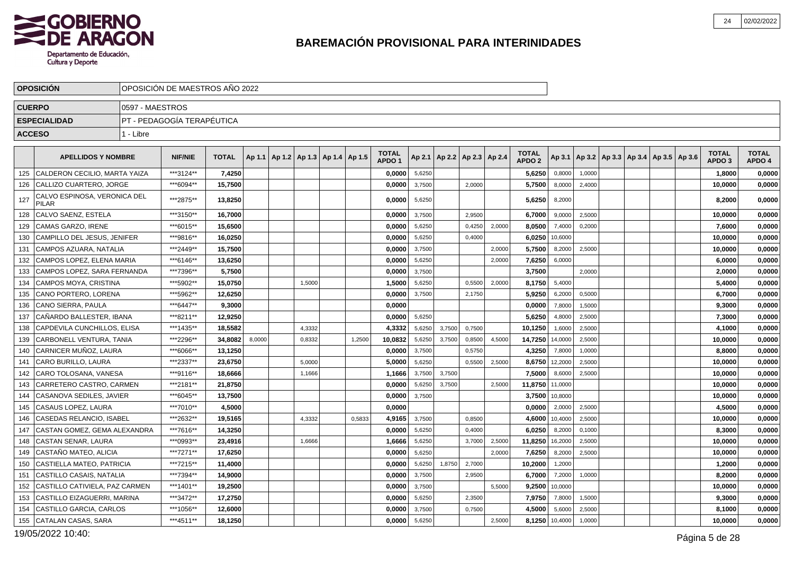

|               | <b>OPOSICION</b>                             |                 | OPOSICIÓN DE MAESTROS AÑO 2022 |              |        |                                   |        |  |        |                                   |        |        |                                   |        |                                   |         |                                                     |  |  |                                   |                        |
|---------------|----------------------------------------------|-----------------|--------------------------------|--------------|--------|-----------------------------------|--------|--|--------|-----------------------------------|--------|--------|-----------------------------------|--------|-----------------------------------|---------|-----------------------------------------------------|--|--|-----------------------------------|------------------------|
| <b>CUERPO</b> |                                              | 0597 - MAESTROS |                                |              |        |                                   |        |  |        |                                   |        |        |                                   |        |                                   |         |                                                     |  |  |                                   |                        |
|               | <b>ESPECIALIDAD</b>                          |                 | PT - PEDAGOGÍA TERAPÉUTICA     |              |        |                                   |        |  |        |                                   |        |        |                                   |        |                                   |         |                                                     |  |  |                                   |                        |
| <b>ACCESO</b> |                                              | 1 - Libre       |                                |              |        |                                   |        |  |        |                                   |        |        |                                   |        |                                   |         |                                                     |  |  |                                   |                        |
|               |                                              |                 |                                |              |        |                                   |        |  |        |                                   |        |        |                                   |        |                                   |         |                                                     |  |  |                                   |                        |
|               | <b>APELLIDOS Y NOMBRE</b>                    |                 | <b>NIF/NIE</b>                 | <b>TOTAL</b> | Ap 1.1 | Ap 1.2   Ap 1.3   Ap 1.4   Ap 1.5 |        |  |        | <b>TOTAL</b><br>APDO <sub>1</sub> |        |        | Ap 2.1   Ap 2.2   Ap 2.3   Ap 2.4 |        | <b>TOTAL</b><br>APDO <sub>2</sub> |         | Ap 3.1   Ap 3.2   Ap 3.3   Ap 3.4   Ap 3.5   Ap 3.6 |  |  | <b>TOTAL</b><br>APDO <sub>3</sub> | <b>TOTAL</b><br>APDO 4 |
| 125           | CALDERON CECILIO, MARTA YAIZA                |                 | ***3124**                      | 7,4250       |        |                                   |        |  |        | 0,0000                            | 5,6250 |        |                                   |        | 5,6250                            | 0,8000  | 1,0000                                              |  |  | 1,8000                            | 0,0000                 |
| 126           | CALLIZO CUARTERO, JORGE                      |                 | ***6094**                      | 15,7500      |        |                                   |        |  |        | 0,0000                            | 3,7500 |        | 2,0000                            |        | 5,7500                            | 8,0000  | 2,4000                                              |  |  | 10,0000                           | 0,0000                 |
| 127           | CALVO ESPINOSA, VERONICA DEL<br><b>PILAR</b> |                 | ***2875**                      | 13,8250      |        |                                   |        |  |        | 0,0000                            | 5,6250 |        |                                   |        | 5,6250                            | 8,2000  |                                                     |  |  | 8,2000                            | 0,0000                 |
| 128           | CALVO SAENZ, ESTELA                          |                 | ***3150**                      | 16,7000      |        |                                   |        |  |        | 0,0000                            | 3,7500 |        | 2,9500                            |        | 6,7000                            | 9,0000  | 2,5000                                              |  |  | 10,0000                           | 0,0000                 |
| 129           | <b>CAMAS GARZO. IRENE</b>                    |                 | ***6015**                      | 15.6500      |        |                                   |        |  |        | 0.0000                            | 5,6250 |        | 0,4250                            | 2,0000 | 8.0500                            | 7,4000  | 0,2000                                              |  |  | 7.6000                            | 0,0000                 |
| 130           | CAMPILLO DEL JESUS, JENIFER                  |                 | ***9816**                      | 16,0250      |        |                                   |        |  |        | 0,0000                            | 5,6250 |        | 0,4000                            |        | 6,0250                            | 10,6000 |                                                     |  |  | 10,0000                           | 0,0000                 |
| 131           | CAMPOS AZUARA, NATALIA                       |                 | ***2449**                      | 15,7500      |        |                                   |        |  |        | 0.0000                            | 3,7500 |        |                                   | 2,0000 | 5,7500                            | 8,2000  | 2,5000                                              |  |  | 10,0000                           | 0,0000                 |
| 132           | CAMPOS LOPEZ, ELENA MARIA                    |                 | ***6146**                      | 13,6250      |        |                                   |        |  |        | 0,0000                            | 5,6250 |        |                                   | 2,0000 | 7,6250                            | 6,0000  |                                                     |  |  | 6,0000                            | 0,0000                 |
| 133           | CAMPOS LOPEZ. SARA FERNANDA                  |                 | ***7396**                      | 5,7500       |        |                                   |        |  |        | 0,0000                            | 3,7500 |        |                                   |        | 3,7500                            |         | 2.0000                                              |  |  | 2,0000                            | 0,0000                 |
| 134           | CAMPOS MOYA, CRISTINA                        |                 | ***5902**                      | 15,0750      |        |                                   | 1,5000 |  |        | 1,5000                            | 5,6250 |        | 0,5500                            | 2,0000 | 8,1750                            | 5,4000  |                                                     |  |  | 5,4000                            | 0,0000                 |
| 135           | CANO PORTERO, LORENA                         |                 | ***5962**                      | 12,6250      |        |                                   |        |  |        | 0,0000                            | 3,7500 |        | 2,1750                            |        | 5,9250                            | 6,2000  | 0,5000                                              |  |  | 6,7000                            | 0,0000                 |
| 136           | CANO SIERRA, PAULA                           |                 | ***6447**                      | 9,3000       |        |                                   |        |  |        | 0,0000                            |        |        |                                   |        | 0,0000                            | 7,8000  | 1,5000                                              |  |  | 9,3000                            | 0,0000                 |
| 137           | CAÑARDO BALLESTER, IBANA                     |                 | ***8211**                      | 12,9250      |        |                                   |        |  |        | 0.0000                            | 5,6250 |        |                                   |        | 5,6250                            | 4,8000  | 2,5000                                              |  |  | 7,3000                            | 0,0000                 |
| 138           | CAPDEVILA CUNCHILLOS, ELISA                  |                 | ***1435**                      | 18,5582      |        |                                   | 4,3332 |  |        | 4,3332                            | 5,6250 | 3,7500 | 0,7500                            |        | 10,1250                           | 1,6000  | 2,5000                                              |  |  | 4,1000                            | 0,0000                 |
| 139           | CARBONELL VENTURA, TANIA                     |                 | ***2296**                      | 34,8082      | 8,0000 |                                   | 0,8332 |  | 1,2500 | 10,0832                           | 5,6250 | 3,7500 | 0,8500                            | 4,5000 | 14,7250                           | 14,0000 | 2,5000                                              |  |  | 10,0000                           | 0,0000                 |
| 140           | CARNICER MUÑOZ, LAURA                        |                 | ***6066**                      | 13,1250      |        |                                   |        |  |        | 0,0000                            | 3,7500 |        | 0,5750                            |        | 4,3250                            | 7,8000  | 1,0000                                              |  |  | 8,8000                            | 0,0000                 |
| 141           | CARO BURILLO, LAURA                          |                 | ***2337**                      | 23,6750      |        |                                   | 5,0000 |  |        | 5,0000                            | 5,6250 |        | 0,5500                            | 2,5000 | 8,6750                            | 12,2000 | 2,5000                                              |  |  | 10,0000                           | 0,0000                 |
| 142           | CARO TOLOSANA, VANESA                        |                 | ***9116**                      | 18,6666      |        |                                   | 1,1666 |  |        | 1,1666                            | 3,7500 | 3,7500 |                                   |        | 7,5000                            | 8,6000  | 2,5000                                              |  |  | 10,0000                           | 0,0000                 |
| 143           | CARRETERO CASTRO, CARMEN                     |                 | ***2181**                      | 21,8750      |        |                                   |        |  |        | 0,0000                            | 5,6250 | 3,7500 |                                   | 2,5000 | 11,8750                           | 11,0000 |                                                     |  |  | 10,0000                           | 0,0000                 |
| 144           | CASANOVA SEDILES, JAVIER                     |                 | ***6045**                      | 13,7500      |        |                                   |        |  |        | 0,0000                            | 3,7500 |        |                                   |        | 3,7500                            | 10,8000 |                                                     |  |  | 10,0000                           | 0,0000                 |
| 145           | CASAUS LOPEZ, LAURA                          |                 | ***7010**                      | 4,5000       |        |                                   |        |  |        | 0,0000                            |        |        |                                   |        | 0,0000                            | 2,0000  | 2,5000                                              |  |  | 4,5000                            | 0,0000                 |
| 146           | CASEDAS RELANCIO, ISABEL                     |                 | ***2632**                      | 19,5165      |        |                                   | 4,3332 |  | 0,5833 | 4,9165                            | 3,7500 |        | 0,8500                            |        | 4,6000                            | 10,4000 | 2,5000                                              |  |  | 10,0000                           | 0,0000                 |
| 147           | CASTAN GOMEZ, GEMA ALEXANDRA                 |                 | ***7616**                      | 14,3250      |        |                                   |        |  |        | 0,0000                            | 5,6250 |        | 0,4000                            |        | 6,0250                            | 8,2000  | 0,1000                                              |  |  | 8,3000                            | 0,0000                 |
| 148           | CASTAN SENAR, LAURA                          |                 | ***0993**                      | 23,4916      |        |                                   | 1.6666 |  |        | 1,6666                            | 5,6250 |        | 3,7000                            | 2,5000 | 11,8250                           | 16,2000 | 2,5000                                              |  |  | 10,0000                           | 0,0000                 |
| 149           | CASTAÑO MATEO. ALICIA                        |                 | ***7271**                      | 17,6250      |        |                                   |        |  |        | 0,0000                            | 5,6250 |        |                                   | 2,0000 | 7,6250                            | 8,2000  | 2,5000                                              |  |  | 10,0000                           | 0,0000                 |
| 150           | CASTIELLA MATEO, PATRICIA                    |                 | ***7215**                      | 11,4000      |        |                                   |        |  |        | 0,0000                            | 5,6250 | 1.8750 | 2,7000                            |        | 10,2000                           | 1,2000  |                                                     |  |  | 1,2000                            | 0,0000                 |
| 151           | CASTILLO CASAIS, NATALIA                     |                 | ***7394**                      | 14,9000      |        |                                   |        |  |        | 0,0000                            | 3,7500 |        | 2,9500                            |        | 6,7000                            | 7,2000  | 1,0000                                              |  |  | 8,2000                            | 0,0000                 |
| 152           | CASTILLO CATIVIELA. PAZ CARMEN               |                 | ***1401**                      | 19.2500      |        |                                   |        |  |        | 0.0000                            | 3,7500 |        |                                   | 5,5000 | 9,2500                            | 10,0000 |                                                     |  |  | 10,0000                           | 0,0000                 |
| 153           | CASTILLO EIZAGUERRI, MARINA                  |                 | ***3472**                      | 17,2750      |        |                                   |        |  |        | 0,0000                            | 5,6250 |        | 2,3500                            |        | 7,9750                            | 7,8000  | 1,5000                                              |  |  | 9,3000                            | 0,0000                 |
| 154           | CASTILLO GARCIA, CARLOS                      |                 | ***1056**                      | 12,6000      |        |                                   |        |  |        | 0,0000                            | 3,7500 |        | 0,7500                            |        | 4,5000                            | 5,6000  | 2,5000                                              |  |  | 8,1000                            | 0,0000                 |
| 155           | CATALAN CASAS, SARA                          |                 | ***4511**                      | 18,1250      |        |                                   |        |  |        | 0,0000                            | 5,6250 |        |                                   | 2,5000 | 8,1250                            | 10,4000 | 1,0000                                              |  |  | 10,0000                           | 0,0000                 |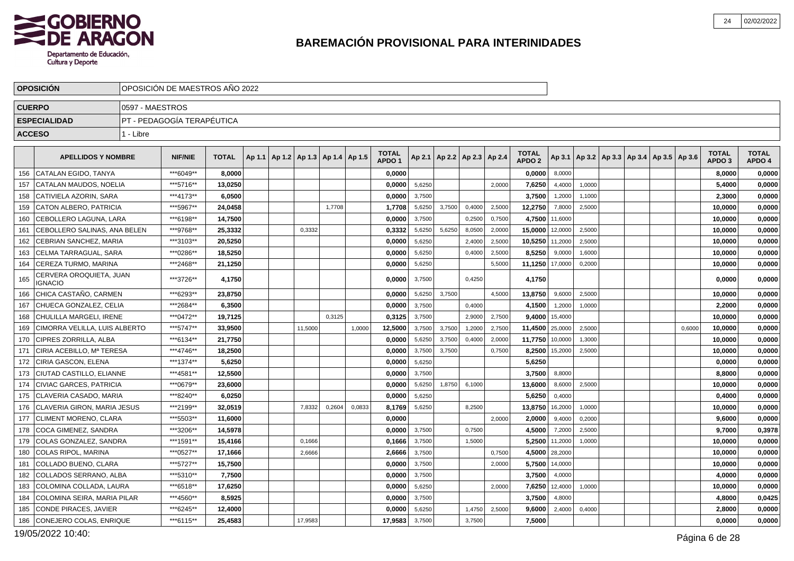

|               | <b>OPOSICION</b>                          |                 | OPOSICION DE MAESTROS ANO 2022 |              |                                            |         |        |        |                                   |        |        |                                   |        |                                   |         |        |                                                     |        |                                   |                        |
|---------------|-------------------------------------------|-----------------|--------------------------------|--------------|--------------------------------------------|---------|--------|--------|-----------------------------------|--------|--------|-----------------------------------|--------|-----------------------------------|---------|--------|-----------------------------------------------------|--------|-----------------------------------|------------------------|
| <b>CUERPO</b> |                                           | 0597 - MAESTROS |                                |              |                                            |         |        |        |                                   |        |        |                                   |        |                                   |         |        |                                                     |        |                                   |                        |
|               | <b>ESPECIALIDAD</b>                       |                 | PT - PEDAGOGÍA TERAPÉUTICA     |              |                                            |         |        |        |                                   |        |        |                                   |        |                                   |         |        |                                                     |        |                                   |                        |
| <b>ACCESO</b> |                                           | 1 - Libre       |                                |              |                                            |         |        |        |                                   |        |        |                                   |        |                                   |         |        |                                                     |        |                                   |                        |
|               |                                           |                 |                                |              |                                            |         |        |        |                                   |        |        |                                   |        |                                   |         |        |                                                     |        |                                   |                        |
|               | <b>APELLIDOS Y NOMBRE</b>                 |                 | <b>NIF/NIE</b>                 | <b>TOTAL</b> | Ap 1.1   Ap 1.2   Ap 1.3   Ap 1.4   Ap 1.5 |         |        |        | <b>TOTAL</b><br>APDO <sub>1</sub> |        |        | Ap 2.1   Ap 2.2   Ap 2.3   Ap 2.4 |        | <b>TOTAL</b><br>APDO <sub>2</sub> |         |        | Ap 3.1   Ap 3.2   Ap 3.3   Ap 3.4   Ap 3.5   Ap 3.6 |        | <b>TOTAL</b><br>APDO <sub>3</sub> | <b>TOTAL</b><br>APDO 4 |
| 156           | CATALAN EGIDO, TANYA                      |                 | ***6049**                      | 8,0000       |                                            |         |        |        | 0,0000                            |        |        |                                   |        | 0,0000                            | 8,0000  |        |                                                     |        | 8,0000                            | 0,0000                 |
| 157           | CATALAN MAUDOS, NOELIA                    |                 | ***5716**                      | 13,0250      |                                            |         |        |        | 0,0000                            | 5,6250 |        |                                   | 2,0000 | 7,6250                            | 4,4000  | 1,0000 |                                                     |        | 5,4000                            | 0,0000                 |
| 158           | CATIVIELA AZORIN. SARA                    |                 | ***4173**                      | 6.0500       |                                            |         |        |        | 0.0000                            | 3,7500 |        |                                   |        | 3,7500                            | 1,2000  | 1,1000 |                                                     |        | 2.3000                            | 0,0000                 |
| 159           | CATON ALBERO, PATRICIA                    |                 | ***5967**                      | 24,0458      |                                            |         | 1,7708 |        | 1,7708                            | 5,6250 | 3,7500 | 0,4000                            | 2,5000 | 12,2750                           | 7,8000  | 2,5000 |                                                     |        | 10,0000                           | 0,0000                 |
| 160           | l CEBOLLERO LAGUNA. LARA                  |                 | ***6198**                      | 14,7500      |                                            |         |        |        | 0,0000                            | 3,7500 |        | 0,2500                            | 0,7500 | 4,7500 11,6000                    |         |        |                                                     |        | 10,0000                           | 0,0000                 |
| 161           | CEBOLLERO SALINAS, ANA BELEN              |                 | ***9768**                      | 25,3332      |                                            | 0,3332  |        |        | 0,3332                            | 5,6250 | 5,6250 | 8,0500                            | 2,0000 | 15,0000                           | 12,0000 | 2,5000 |                                                     |        | 10,0000                           | 0,0000                 |
| 162           | CEBRIAN SANCHEZ, MARIA                    |                 | ***3103**                      | 20.5250      |                                            |         |        |        | 0,0000                            | 5,6250 |        | 2,4000                            | 2,5000 | 10,5250                           | 11,2000 | 2,5000 |                                                     |        | 10,0000                           | 0,0000                 |
| 163           | CELMA TARRAGUAL. SARA                     |                 | ***0286**                      | 18.5250      |                                            |         |        |        | 0,0000                            | 5,6250 |        | 0,4000                            | 2,5000 | 8,5250                            | 9,0000  | 1,6000 |                                                     |        | 10,0000                           | 0,0000                 |
| 164           | CEREZA TURMO, MARINA                      |                 | ***2468**                      | 21,1250      |                                            |         |        |        | 0,0000                            | 5,6250 |        |                                   | 5,5000 | 11,1250                           | 17,0000 | 0,2000 |                                                     |        | 10,0000                           | 0,0000                 |
| 165           | CERVERA OROQUIETA, JUAN<br><b>IGNACIO</b> |                 | ***3726**                      | 4,1750       |                                            |         |        |        | 0,0000                            | 3,7500 |        | 0,4250                            |        | 4,1750                            |         |        |                                                     |        | 0,0000                            | 0,0000                 |
| 166           | CHICA CASTAÑO, CARMEN                     |                 | ***6293**                      | 23.8750      |                                            |         |        |        | 0.0000                            | 5,6250 | 3,7500 |                                   | 4.5000 | 13,8750                           | 9,6000  | 2,5000 |                                                     |        | 10,0000                           | 0,0000                 |
| 167           | CHUECA GONZALEZ, CELIA                    |                 | ***2684**                      | 6,3500       |                                            |         |        |        | 0,0000                            | 3,7500 |        | 0,4000                            |        | 4,1500                            | 1,2000  | 1,0000 |                                                     |        | 2,2000                            | 0,0000                 |
| 168           | CHULILLA MARGELI. IRENE                   |                 | ***0472**                      | 19,7125      |                                            |         | 0.3125 |        | 0,3125                            | 3,7500 |        | 2,9000                            | 2,7500 | 9,4000                            | 15,4000 |        |                                                     |        | 10,0000                           | 0,0000                 |
| 169           | CIMORRA VELILLA, LUIS ALBERTO             |                 | ***5747**                      | 33,9500      |                                            | 11,5000 |        | 1,0000 | 12,5000                           | 3,7500 | 3,7500 | 1,2000                            | 2,7500 | 11,4500                           | 25,0000 | 2,5000 |                                                     | 0,6000 | 10,0000                           | 0,0000                 |
| 170           | <b>CIPRES ZORRILLA, ALBA</b>              |                 | ***6134**                      | 21,7750      |                                            |         |        |        | 0,0000                            | 5,6250 | 3,7500 | 0,4000                            | 2,0000 | 11,7750                           | 10,0000 | 1,3000 |                                                     |        | 10,0000                           | 0,0000                 |
| 171           | CIRIA ACEBILLO, Mª TERESA                 |                 | ***4746**                      | 18.2500      |                                            |         |        |        | 0,0000                            | 3,7500 | 3,7500 |                                   | 0,7500 | 8,2500                            | 15,2000 | 2,5000 |                                                     |        | 10,0000                           | 0,0000                 |
| 172           | <b>CIRIA GASCON, ELENA</b>                |                 | ***1374**                      | 5,6250       |                                            |         |        |        | 0,0000                            | 5,6250 |        |                                   |        | 5,6250                            |         |        |                                                     |        | 0,0000                            | 0,0000                 |
| 173           | CIUTAD CASTILLO, ELIANNE                  |                 | ***4581**                      | 12,5500      |                                            |         |        |        | 0,0000                            | 3,7500 |        |                                   |        | 3,7500                            | 8,8000  |        |                                                     |        | 8,8000                            | 0,0000                 |
| 174           | <b>CIVIAC GARCES. PATRICIA</b>            |                 | ***0679**                      | 23,6000      |                                            |         |        |        | 0.0000                            | 5,6250 | 1,8750 | 6,1000                            |        | 13,6000                           | 8,6000  | 2,5000 |                                                     |        | 10,0000                           | 0,0000                 |
| 175           | CLAVERIA CASADO, MARIA                    |                 | ***8240**                      | 6,0250       |                                            |         |        |        | 0,0000                            | 5,6250 |        |                                   |        | 5,6250                            | 0,4000  |        |                                                     |        | 0,4000                            | 0,0000                 |
| 176           | CLAVERIA GIRON, MARIA JESUS               |                 | ***2199**                      | 32,0519      |                                            | 7,8332  | 0,2604 | 0,0833 | 8,1769                            | 5,6250 |        | 8,2500                            |        | 13,8750                           | 16,2000 | 1,0000 |                                                     |        | 10,0000                           | 0,0000                 |
| 177           | CLIMENT MORENO, CLARA                     |                 | ***5503**                      | 11,6000      |                                            |         |        |        | 0,0000                            |        |        |                                   | 2,0000 | 2,0000                            | 9,4000  | 0,2000 |                                                     |        | 9,6000                            | 0,0000                 |
| 178           | COCA GIMENEZ, SANDRA                      |                 | ***3206**                      | 14,5978      |                                            |         |        |        | 0,0000                            | 3,7500 |        | 0,7500                            |        | 4,5000                            | 7,2000  | 2,5000 |                                                     |        | 9,7000                            | 0,3978                 |
| 179           | COLAS GONZALEZ, SANDRA                    |                 | ***1591**                      | 15.4166      |                                            | 0,1666  |        |        | 0,1666                            | 3,7500 |        | 1,5000                            |        | 5,2500                            | 11,2000 | 1,0000 |                                                     |        | 10,0000                           | 0,0000                 |
| 180           | COLAS RIPOL, MARINA                       |                 | ***0527**                      | 17,1666      |                                            | 2,6666  |        |        | 2,6666                            | 3,7500 |        |                                   | 0,7500 | 4,5000                            | 28,2000 |        |                                                     |        | 10,0000                           | 0,0000                 |
| 181           | COLLADO BUENO, CLARA                      |                 | ***5727**                      | 15,7500      |                                            |         |        |        | 0,0000                            | 3,7500 |        |                                   | 2,0000 | 5,7500                            | 14,0000 |        |                                                     |        | 10,0000                           | 0,0000                 |
| 182           | COLLADOS SERRANO, ALBA                    |                 | ***5310**                      | 7.7500       |                                            |         |        |        | 0.0000                            | 3,7500 |        |                                   |        | 3,7500                            | 4,0000  |        |                                                     |        | 4.0000                            | 0,0000                 |
| 183           | COLOMINA COLLADA, LAURA                   |                 | ***6518**                      | 17,6250      |                                            |         |        |        | 0,0000                            | 5,6250 |        |                                   | 2,0000 | 7,6250                            | 12,4000 | 1,0000 |                                                     |        | 10,0000                           | 0,0000                 |
| 184           | COLOMINA SEIRA, MARIA PILAR               |                 | ***4560**                      | 8,5925       |                                            |         |        |        | 0,0000                            | 3,7500 |        |                                   |        | 3,7500                            | 4,8000  |        |                                                     |        | 4,8000                            | 0,0425                 |
| 185           | <b>CONDE PIRACES, JAVIER</b>              |                 | ***6245**                      | 12,4000      |                                            |         |        |        | 0,0000                            | 5,6250 |        | 1,4750                            | 2,5000 | 9,6000                            | 2,4000  | 0,4000 |                                                     |        | 2,8000                            | 0,0000                 |
| 186           | CONEJERO COLAS, ENRIQUE                   |                 | ***6115**                      | 25,4583      |                                            | 17,9583 |        |        | 17,9583                           | 3,7500 |        | 3,7500                            |        | 7,5000                            |         |        |                                                     |        | 0,0000                            | 0,0000                 |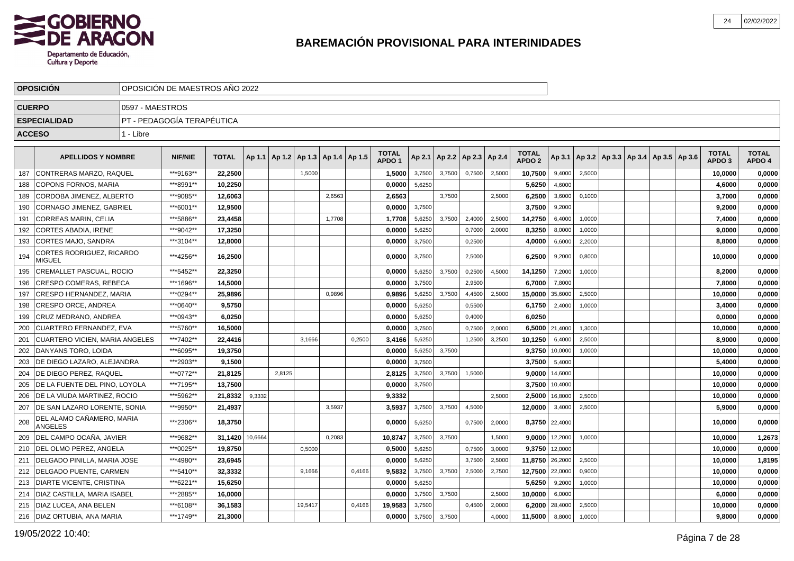

|               | <b>OPOSICIÓN</b>                            |                 | OPOSICIÓN DE MAESTROS AÑO 2022 |              |         |        |                 |        |            |                                   |        |        |                 |        |                                   |                |        |                                            |  |                                   |                        |
|---------------|---------------------------------------------|-----------------|--------------------------------|--------------|---------|--------|-----------------|--------|------------|-----------------------------------|--------|--------|-----------------|--------|-----------------------------------|----------------|--------|--------------------------------------------|--|-----------------------------------|------------------------|
| <b>CUERPO</b> |                                             | 0597 - MAESTROS |                                |              |         |        |                 |        |            |                                   |        |        |                 |        |                                   |                |        |                                            |  |                                   |                        |
|               | <b>ESPECIALIDAD</b>                         |                 | PT - PEDAGOGÍA TERAPÉUTICA     |              |         |        |                 |        |            |                                   |        |        |                 |        |                                   |                |        |                                            |  |                                   |                        |
| <b>ACCESO</b> |                                             | 1 - Libre       |                                |              |         |        |                 |        |            |                                   |        |        |                 |        |                                   |                |        |                                            |  |                                   |                        |
|               |                                             |                 |                                |              |         |        |                 |        |            |                                   |        |        |                 |        |                                   |                |        |                                            |  |                                   |                        |
|               | <b>APELLIDOS Y NOMBRE</b>                   |                 | <b>NIF/NIE</b>                 | <b>TOTAL</b> | Ap 1.1  | Ap 1.2 | Ap 1.3   Ap 1.4 |        | $ $ Ap 1.5 | <b>TOTAL</b><br>APDO <sub>1</sub> | Ap 2.1 | Ap 2.2 | Ap 2.3   Ap 2.4 |        | <b>TOTAL</b><br>APDO <sub>2</sub> | Ap 3.1         |        | Ap 3.2   Ap 3.3   Ap 3.4   Ap 3.5   Ap 3.6 |  | <b>TOTAL</b><br>APDO <sub>3</sub> | <b>TOTAL</b><br>APDO 4 |
| 187           | CONTRERAS MARZO, RAQUEL                     |                 | ***9163**                      | 22,2500      |         |        | 1,5000          |        |            | 1,5000                            | 3,7500 | 3,7500 | 0,7500          | 2,5000 | 10,7500                           | 9,4000         | 2,5000 |                                            |  | 10,0000                           | 0,0000                 |
| 188           | <b>COPONS FORNOS, MARIA</b>                 |                 | ***8991**                      | 10,2250      |         |        |                 |        |            | 0,0000                            | 5,6250 |        |                 |        | 5,6250                            | 4,6000         |        |                                            |  | 4,6000                            | 0,0000                 |
| 189           | CORDOBA JIMENEZ, ALBERTO                    |                 | ***9085**                      | 12.6063      |         |        |                 | 2.6563 |            | 2.6563                            |        | 3,7500 |                 | 2.5000 | 6,2500                            | 3,6000         | 0,1000 |                                            |  | 3,7000                            | 0,0000                 |
| 190           | CORNAGO JIMENEZ, GABRIEL                    |                 | ***6001**                      | 12,9500      |         |        |                 |        |            | 0.0000                            | 3,7500 |        |                 |        | 3,7500                            | 9,2000         |        |                                            |  | 9.2000                            | 0,0000                 |
| 191           | <b>CORREAS MARIN, CELIA</b>                 |                 | ***5886**                      | 23,4458      |         |        |                 | 1,7708 |            | 1,7708                            | 5,6250 | 3,7500 | 2,4000          | 2,5000 | 14,2750                           | 6,4000         | 1,0000 |                                            |  | 7,4000                            | 0,0000                 |
| 192           | CORTES ABADIA, IRENE                        |                 | ***9042**                      | 17,3250      |         |        |                 |        |            | 0,0000                            | 5,6250 |        | 0,7000          | 2,0000 | 8,3250                            | 8,0000         | 1,0000 |                                            |  | 9,0000                            | 0,0000                 |
| 193           | CORTES MAJO, SANDRA                         |                 | ***3104**                      | 12,8000      |         |        |                 |        |            | 0,0000                            | 3,7500 |        | 0,2500          |        | 4,0000                            | 6,6000         | 2,2000 |                                            |  | 8,8000                            | 0,0000                 |
| 194           | CORTES RODRIGUEZ, RICARDO<br><b>MIGUEL</b>  |                 | ***4256**                      | 16,2500      |         |        |                 |        |            | 0,0000                            | 3.7500 |        | 2.5000          |        | 6,2500                            | 9,2000         | 0,8000 |                                            |  | 10,0000                           | 0,0000                 |
| 195           | CREMALLET PASCUAL, ROCIO                    |                 | *** 5452**                     | 22,3250      |         |        |                 |        |            | 0.0000                            | 5,6250 | 3,7500 | 0,2500          | 4,5000 | 14,1250                           | 7,2000         | 1,0000 |                                            |  | 8,2000                            | 0,0000                 |
| 196           | CRESPO COMERAS. REBECA                      |                 | ***1696**                      | 14,5000      |         |        |                 |        |            | 0,0000                            | 3,7500 |        | 2,9500          |        | 6,7000                            | 7,8000         |        |                                            |  | 7,8000                            | 0,0000                 |
| 197           | <b>CRESPO HERNANDEZ, MARIA</b>              |                 | ***0294**                      | 25.9896      |         |        |                 | 0.9896 |            | 0.9896                            | 5,6250 | 3,7500 | 4,4500          | 2,5000 | 15,0000                           | 35,6000        | 2,5000 |                                            |  | 10.0000                           | 0,0000                 |
| 198           | CRESPO ORCE, ANDREA                         |                 | ***0640**                      | 9.5750       |         |        |                 |        |            | 0.0000                            | 5,6250 |        | 0,5500          |        | 6,1750                            | 2,4000         | 1,0000 |                                            |  | 3,4000                            | 0,0000                 |
| 199           | CRUZ MEDRANO, ANDREA                        |                 | ***0943**                      | 6,0250       |         |        |                 |        |            | 0,0000                            | 5,6250 |        | 0,4000          |        | 6,0250                            |                |        |                                            |  | 0,0000                            | 0,0000                 |
| 200           | <b>CUARTERO FERNANDEZ, EVA</b>              |                 | ***5760**                      | 16,5000      |         |        |                 |        |            | 0,0000                            | 3,7500 |        | 0,7500          | 2,0000 | 6,5000                            | 21,4000        | 1,3000 |                                            |  | 10,0000                           | 0,0000                 |
| 201           | <b>CUARTERO VICIEN, MARIA ANGELES</b>       |                 | ***7402**                      | 22,4416      |         |        | 3,1666          |        | 0,2500     | 3,4166                            | 5,6250 |        | 1,2500          | 3,2500 | 10,1250                           | 6,4000         | 2,5000 |                                            |  | 8,9000                            | 0,0000                 |
| 202           | DANYANS TORO, LOIDA                         |                 | ***6095**                      | 19,3750      |         |        |                 |        |            | 0.0000                            | 5,6250 | 3,7500 |                 |        | 9,3750                            | 10,0000        | 1,0000 |                                            |  | 10,0000                           | 0,0000                 |
| 203           | DE DIEGO LAZARO. ALEJANDRA                  |                 | ***2903**                      | 9,1500       |         |        |                 |        |            | 0.0000                            | 3,7500 |        |                 |        | 3,7500                            | 5,4000         |        |                                            |  | 5,4000                            | 0,0000                 |
| 204           | DE DIEGO PEREZ. RAQUEL                      |                 | ***0772**                      | 21,8125      |         | 2,8125 |                 |        |            | 2.8125                            | 3,7500 | 3.7500 | 1,5000          |        | 9.0000                            | 14,6000        |        |                                            |  | 10,0000                           | 0,0000                 |
| 205           | DE LA FUENTE DEL PINO, LOYOLA               |                 | ***7195**                      | 13,7500      |         |        |                 |        |            | 0,0000                            | 3,7500 |        |                 |        | 3,7500                            | 10,4000        |        |                                            |  | 10,0000                           | 0,0000                 |
| 206           | DE LA VIUDA MARTINEZ, ROCIO                 |                 | ***5962**                      | 21,8332      | 9,3332  |        |                 |        |            | 9,3332                            |        |        |                 | 2.5000 | 2,5000                            | 16,8000        | 2,5000 |                                            |  | 10,0000                           | 0,0000                 |
| 207           | DE SAN LAZARO LORENTE, SONIA                |                 | ***9950**                      | 21,4937      |         |        |                 | 3,5937 |            | 3,5937                            | 3,7500 | 3,7500 | 4,5000          |        | 12,0000                           | 3,4000         | 2,5000 |                                            |  | 5,9000                            | 0,0000                 |
| 208           | DEL ALAMO CAÑAMERO, MARIA<br><b>ANGELES</b> |                 | ***2306**                      | 18.3750      |         |        |                 |        |            | 0.0000                            | 5,6250 |        | 0,7500          | 2,0000 |                                   | 8.3750 22,4000 |        |                                            |  | 10.0000                           | 0,0000                 |
| 209           | DEL CAMPO OCAÑA, JAVIER                     |                 | ***9682**                      | 31,1420      | 10,6664 |        |                 | 0,2083 |            | 10,8747                           | 3,7500 | 3,7500 |                 | 1,5000 | 9,0000                            | 12,2000        | 1,0000 |                                            |  | 10,0000                           | 1,2673                 |
| 210           | DEL OLMO PEREZ, ANGELA                      |                 | ***0025**                      | 19,8750      |         |        | 0,5000          |        |            | 0,5000                            | 5,6250 |        | 0.7500          | 3.0000 | 9,3750                            | 12,0000        |        |                                            |  | 10,0000                           | 0,0000                 |
| 211           | I DELGADO PINILLA. MARIA JOSE               |                 | ***4980**                      | 23.6945      |         |        |                 |        |            | 0.0000                            | 5,6250 |        | 3,7500          | 2,5000 | 11,8750 26,2000                   |                | 2,5000 |                                            |  | 10,0000                           | 1,8195                 |
| 212           | DELGADO PUENTE, CARMEN                      |                 | ***5410**                      | 32,3332      |         |        | 9,1666          |        | 0,4166     | 9.5832                            | 3,7500 | 3,7500 | 2,5000          | 2,7500 | 12,7500 22,0000                   |                | 0,9000 |                                            |  | 10.0000                           | 0,0000                 |
| 213           | DIARTE VICENTE, CRISTINA                    |                 | ***6221**                      | 15,6250      |         |        |                 |        |            | 0,0000                            | 5,6250 |        |                 |        | 5,6250                            | 9,2000         | 1,0000 |                                            |  | 10,0000                           | 0,0000                 |
| 214           | <b>DIAZ CASTILLA, MARIA ISABEL</b>          |                 | ***2885**                      | 16,0000      |         |        |                 |        |            | 0,0000                            | 3,7500 | 3,7500 |                 | 2,5000 | 10,0000                           | 6,0000         |        |                                            |  | 6,0000                            | 0,0000                 |
| 215           | <b>DIAZ LUCEA, ANA BELEN</b>                |                 | ***6108**                      | 36,1583      |         |        | 19,5417         |        | 0,4166     | 19,9583                           | 3,7500 |        | 0,4500          | 2,0000 | 6,2000                            | 28,4000        | 2,5000 |                                            |  | 10,0000                           | 0,0000                 |
|               | 216   DIAZ ORTUBIA, ANA MARIA               |                 | ***1749**                      | 21,3000      |         |        |                 |        |            | 0,0000                            | 3,7500 | 3,7500 |                 | 4,0000 | 11,5000                           | 8,8000         | 1,0000 |                                            |  | 9.8000                            | 0,0000                 |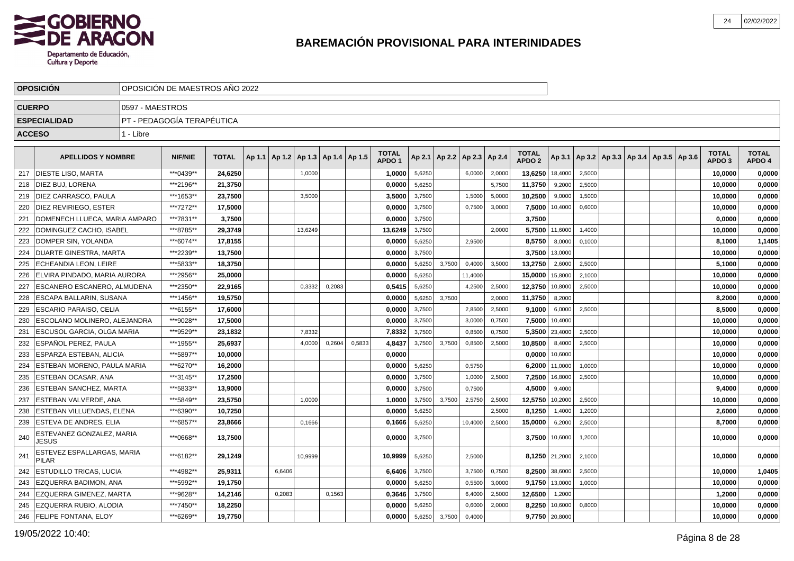

|               | <b>OPOSICION</b>                           |                 | OPOSICION DE MAESTROS ANO 2022 |              |        |        |                          |        |        |                                   |        |        |                          |        |                                   |                |                                                     |  |  |                                   |                        |
|---------------|--------------------------------------------|-----------------|--------------------------------|--------------|--------|--------|--------------------------|--------|--------|-----------------------------------|--------|--------|--------------------------|--------|-----------------------------------|----------------|-----------------------------------------------------|--|--|-----------------------------------|------------------------|
| <b>CUERPO</b> |                                            | 0597 - MAESTROS |                                |              |        |        |                          |        |        |                                   |        |        |                          |        |                                   |                |                                                     |  |  |                                   |                        |
|               | <b>ESPECIALIDAD</b>                        |                 | PT - PEDAGOGÍA TERAPÉUTICA     |              |        |        |                          |        |        |                                   |        |        |                          |        |                                   |                |                                                     |  |  |                                   |                        |
| <b>ACCESO</b> |                                            | 1 - Libre       |                                |              |        |        |                          |        |        |                                   |        |        |                          |        |                                   |                |                                                     |  |  |                                   |                        |
|               |                                            |                 |                                |              |        |        |                          |        |        |                                   |        |        |                          |        |                                   |                |                                                     |  |  |                                   |                        |
|               | <b>APELLIDOS Y NOMBRE</b>                  |                 | <b>NIF/NIE</b>                 | <b>TOTAL</b> | Ap 1.1 | Ap 1.2 | Ap 1.3   Ap 1.4   Ap 1.5 |        |        | <b>TOTAL</b><br>APDO <sub>1</sub> | Ap 2.1 |        | Ap 2.2   Ap 2.3   Ap 2.4 |        | <b>TOTAL</b><br>APDO <sub>2</sub> |                | Ap 3.1   Ap 3.2   Ap 3.3   Ap 3.4   Ap 3.5   Ap 3.6 |  |  | <b>TOTAL</b><br>APDO <sub>3</sub> | <b>TOTAL</b><br>APDO 4 |
| 217           | <b>DIESTE LISO, MARTA</b>                  |                 | ***0439**                      | 24,6250      |        |        | 1,0000                   |        |        | 1,0000                            | 5,6250 |        | 6,0000                   | 2,0000 | 13,6250                           | 18,4000        | 2,5000                                              |  |  | 10,0000                           | 0,0000                 |
| 218           | DIEZ BUJ, LORENA                           |                 | ***2196**                      | 21,3750      |        |        |                          |        |        | 0,0000                            | 5,6250 |        |                          | 5,7500 | 11,3750                           | 9,2000         | 2,5000                                              |  |  | 10,0000                           | 0,0000                 |
| 219           | DIEZ CARRASCO, PAULA                       |                 | ***1653**                      | 23,7500      |        |        | 3,5000                   |        |        | 3,5000                            | 3,7500 |        | 1,5000                   | 5,0000 | 10,2500                           | 9,0000         | 1,5000                                              |  |  | 10,0000                           | 0,0000                 |
| 220           | DIEZ REVIRIEGO, ESTER                      |                 | ***7272**                      | 17,5000      |        |        |                          |        |        | 0,0000                            | 3,7500 |        | 0,7500                   | 3,0000 | 7,5000                            | 10,4000        | 0,6000                                              |  |  | 10,0000                           | 0,0000                 |
| 221           | DOMENECH LLUECA. MARIA AMPARO              |                 | ***7831**                      | 3,7500       |        |        |                          |        |        | 0.0000                            | 3,7500 |        |                          |        | 3,7500                            |                |                                                     |  |  | 0.0000                            | 0,0000                 |
| 222           | DOMINGUEZ CACHO. ISABEL                    |                 | ***8785**                      | 29,3749      |        |        | 13,6249                  |        |        | 13,6249                           | 3,7500 |        |                          | 2.0000 | 5,7500                            | 11,6000        | 1,4000                                              |  |  | 10,0000                           | 0,0000                 |
| 223           | DOMPER SIN, YOLANDA                        |                 | ***6074**                      | 17,8155      |        |        |                          |        |        | 0,0000                            | 5,6250 |        | 2,9500                   |        | 8,5750                            | 8,0000         | 0.1000                                              |  |  | 8,1000                            | 1,1405                 |
| 224           | DUARTE GINESTRA, MARTA                     |                 | ***2239**                      | 13,7500      |        |        |                          |        |        | 0,0000                            | 3,7500 |        |                          |        | 3,7500                            | 13,0000        |                                                     |  |  | 10,0000                           | 0,0000                 |
| 225           | <b>ECHEANDIA LEON. LEIRE</b>               |                 | ***5833**                      | 18,3750      |        |        |                          |        |        | 0,0000                            | 5,6250 | 3,7500 | 0,4000                   | 3,5000 | 13,2750                           | 2,6000         | 2,5000                                              |  |  | 5,1000                            | 0,0000                 |
| 226           | ELVIRA PINDADO, MARIA AURORA               |                 | ***2956**                      | 25,0000      |        |        |                          |        |        | 0,0000                            | 5,6250 |        | 11,4000                  |        | 15,0000                           | 15,8000        | 2,1000                                              |  |  | 10,0000                           | 0,0000                 |
| 227           | ESCANERO ESCANERO, ALMUDENA                |                 | ***2350**                      | 22.9165      |        |        | 0,3332                   | 0,2083 |        | 0,5415                            | 5,6250 |        | 4,2500                   | 2,5000 | 12,3750                           | 10,8000        | 2,5000                                              |  |  | 10,0000                           | 0,0000                 |
| 228           | <b>ESCAPA BALLARIN, SUSANA</b>             |                 | ***1456**                      | 19,5750      |        |        |                          |        |        | 0,0000                            | 5,6250 | 3.7500 |                          | 2,0000 | 11,3750                           | 8,2000         |                                                     |  |  | 8,2000                            | 0,0000                 |
| 229           | <b>ESCARIO PARAISO, CELIA</b>              |                 | ***6155**                      | 17,6000      |        |        |                          |        |        | 0.0000                            | 3,7500 |        | 2,8500                   | 2,5000 | 9,1000                            | 6,0000         | 2,5000                                              |  |  | 8,5000                            | 0,0000                 |
| 230           | <b>ESCOLANO MOLINERO, ALEJANDRA</b>        |                 | ***9028**                      | 17.5000      |        |        |                          |        |        | 0.0000                            | 3,7500 |        | 3,0000                   | 0.7500 | 7,5000                            | 10,4000        |                                                     |  |  | 10.0000                           | 0,0000                 |
| 231           | ESCUSOL GARCIA, OLGA MARIA                 |                 | ***9529**                      | 23,1832      |        |        | 7,8332                   |        |        | 7,8332                            | 3,7500 |        | 0,8500                   | 0,7500 | 5,3500                            | 23,4000        | 2,5000                                              |  |  | 10,0000                           | 0,0000                 |
| 232           | ESPAÑOL PEREZ, PAULA                       |                 | ***1955**                      | 25,6937      |        |        | 4,0000                   | 0,2604 | 0,5833 | 4,8437                            | 3,7500 | 3,7500 | 0,8500                   | 2,5000 | 10,8500                           | 8,4000         | 2,5000                                              |  |  | 10,0000                           | 0,0000                 |
| 233           | <b>ESPARZA ESTEBAN, ALICIA</b>             |                 | ***5897**                      | 10,0000      |        |        |                          |        |        | 0,0000                            |        |        |                          |        | 0,0000                            | 10,6000        |                                                     |  |  | 10,0000                           | 0,0000                 |
| 234           | ESTEBAN MORENO, PAULA MARIA                |                 | ***6270**                      | 16,2000      |        |        |                          |        |        | 0,0000                            | 5,6250 |        | 0,5750                   |        | 6,2000                            | 11,0000        | 1,0000                                              |  |  | 10,0000                           | 0,0000                 |
| 235           | I ESTEBAN OCASAR. ANA                      |                 | ***3145**                      | 17,2500      |        |        |                          |        |        | 0.0000                            | 3,7500 |        | 1,0000                   | 2,5000 | 7,2500                            | 16,8000        | 2,5000                                              |  |  | 10,0000                           | 0,0000                 |
| 236           | <b>ESTEBAN SANCHEZ, MARTA</b>              |                 | ***5833**                      | 13.9000      |        |        |                          |        |        | 0,0000                            | 3,7500 |        | 0,7500                   |        | 4,5000                            | 9,4000         |                                                     |  |  | 9,4000                            | 0,0000                 |
| 237           | ESTEBAN VALVERDE, ANA                      |                 | ***5849**                      | 23,5750      |        |        | 1,0000                   |        |        | 1,0000                            | 3,7500 | 3.7500 | 2,5750                   | 2,5000 | 12,5750                           | 10,2000        | 2,5000                                              |  |  | 10,0000                           | 0,0000                 |
| 238           | ESTEBAN VILLUENDAS, ELENA                  |                 | ***6390**                      | 10,7250      |        |        |                          |        |        | 0,0000                            | 5,6250 |        |                          | 2,5000 | 8,1250                            | 1,4000         | 1,2000                                              |  |  | 2,6000                            | 0,0000                 |
| 239           | <b>ESTEVA DE ANDRES, ELIA</b>              |                 | ***6857**                      | 23,8666      |        |        | 0,1666                   |        |        | 0,1666                            | 5,6250 |        | 10,4000                  | 2,5000 | 15,0000                           | 6,2000         | 2,5000                                              |  |  | 8,7000                            | 0,0000                 |
| 240           | ESTEVANEZ GONZALEZ, MARIA<br><b>JESUS</b>  |                 | ***0668**                      | 13,7500      |        |        |                          |        |        | 0,0000                            | 3,7500 |        |                          |        | 3,7500                            | 10,6000        | 1,2000                                              |  |  | 10,0000                           | 0,0000                 |
| 241           | ESTEVEZ ESPALLARGAS, MARIA<br><b>PILAR</b> |                 | ***6182**                      | 29,1249      |        |        | 10,9999                  |        |        | 10,9999                           | 5,6250 |        | 2,5000                   |        |                                   | 8,1250 21,2000 | 2,1000                                              |  |  | 10,0000                           | 0,0000                 |
| 242           | <b>ESTUDILLO TRICAS, LUCIA</b>             |                 | ***4982**                      | 25,9311      |        | 6,6406 |                          |        |        | 6,6406                            | 3,7500 |        | 3,7500                   | 0,7500 | 8,2500 38,6000                    |                | 2,5000                                              |  |  | 10,0000                           | 1,0405                 |
| 243           | EZQUERRA BADIMON, ANA                      |                 | ***5992**                      | 19,1750      |        |        |                          |        |        | 0,0000                            | 5,6250 |        | 0,5500                   | 3,0000 | 9,1750                            | 13,0000        | 1,0000                                              |  |  | 10,0000                           | 0,0000                 |
| 244           | EZQUERRA GIMENEZ, MARTA                    |                 | ***9628**                      | 14,2146      |        | 0,2083 |                          | 0,1563 |        | 0,3646                            | 3,7500 |        | 6,4000                   | 2,5000 | 12,6500                           | 1,2000         |                                                     |  |  | 1,2000                            | 0,0000                 |
| 245           | EZQUERRA RUBIO, ALODIA                     |                 | ***7450**                      | 18,2250      |        |        |                          |        |        | 0,0000                            | 5,6250 |        | 0,6000                   | 2,0000 | 8,2250                            | 10,6000        | 0,8000                                              |  |  | 10,0000                           | 0,0000                 |
|               | 246   FELIPE FONTANA, ELOY                 |                 | ***6269**                      | 19,7750      |        |        |                          |        |        | 0,0000                            | 5,6250 | 3,7500 | 0,4000                   |        |                                   | 9,7750 20,8000 |                                                     |  |  | 10,0000                           | 0,0000                 |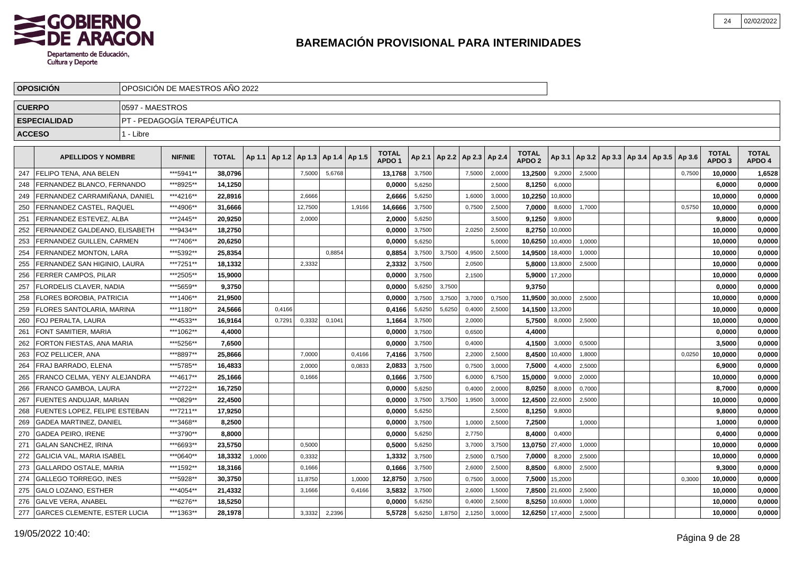

|               | <b>OPOSICION</b>                    |                 | OPOSICIÓN DE MAESTROS AÑO 2022 |              |        |        |         |                          |        |                                   |        |        |                 |        |                                   |         |        |                                            |  |        |                                   |                        |
|---------------|-------------------------------------|-----------------|--------------------------------|--------------|--------|--------|---------|--------------------------|--------|-----------------------------------|--------|--------|-----------------|--------|-----------------------------------|---------|--------|--------------------------------------------|--|--------|-----------------------------------|------------------------|
| <b>CUERPO</b> |                                     | 0597 - MAESTROS |                                |              |        |        |         |                          |        |                                   |        |        |                 |        |                                   |         |        |                                            |  |        |                                   |                        |
|               | <b>ESPECIALIDAD</b>                 |                 | PT - PEDAGOGÍA TERAPÉUTICA     |              |        |        |         |                          |        |                                   |        |        |                 |        |                                   |         |        |                                            |  |        |                                   |                        |
| <b>ACCESO</b> |                                     | 1 - Libre       |                                |              |        |        |         |                          |        |                                   |        |        |                 |        |                                   |         |        |                                            |  |        |                                   |                        |
|               |                                     |                 |                                |              |        |        |         |                          |        |                                   |        |        |                 |        |                                   |         |        |                                            |  |        |                                   |                        |
|               | <b>APELLIDOS Y NOMBRE</b>           |                 | <b>NIF/NIE</b>                 | <b>TOTAL</b> | Ap 1.1 | Ap 1.2 |         | Ap 1.3   Ap 1.4   Ap 1.5 |        | <b>TOTAL</b><br>APDO <sub>1</sub> | Ap 2.1 | Ap 2.2 | Ap 2.3   Ap 2.4 |        | <b>TOTAL</b><br>APDO <sub>2</sub> | Ap 3.1  |        | Ap 3.2   Ap 3.3   Ap 3.4   Ap 3.5   Ap 3.6 |  |        | <b>TOTAL</b><br>APDO <sub>3</sub> | <b>TOTAL</b><br>APDO 4 |
| 247           | l FELIPO TENA. ANA BELEN            |                 | ***5941**                      | 38.0796      |        |        | 7,5000  | 5,6768                   |        | 13,1768                           | 3,7500 |        | 7,5000          | 2,0000 | 13,2500                           | 9,2000  | 2,5000 |                                            |  | 0,7500 | 10,0000                           | 1,6528                 |
| 248           | FERNANDEZ BLANCO, FERNANDO          |                 | ***8925**                      | 14,1250      |        |        |         |                          |        | 0,0000                            | 5,6250 |        |                 | 2.5000 | 8,1250                            | 6,0000  |        |                                            |  |        | 6,0000                            | 0,0000                 |
| 249           | FERNANDEZ CARRAMINANA, DANIEL       |                 | ***4216**                      | 22,8916      |        |        | 2,6666  |                          |        | 2,6666                            | 5,6250 |        | 1,6000          | 3,0000 | 10,2250                           | 10,8000 |        |                                            |  |        | 10,0000                           | 0,0000                 |
| 250           | FERNANDEZ CASTEL, RAQUEL            |                 | ***4906**                      | 31,6666      |        |        | 12,7500 |                          | 1,9166 | 14,6666                           | 3,7500 |        | 0,7500          | 2,5000 | 7,0000                            | 8,6000  | 1,7000 |                                            |  | 0,5750 | 10,0000                           | 0,0000                 |
| 251           | FERNANDEZ ESTEVEZ, ALBA             |                 | ***2445**                      | 20,9250      |        |        | 2,0000  |                          |        | 2,0000                            | 5,6250 |        |                 | 3,5000 | 9,1250                            | 9,8000  |        |                                            |  |        | 9,8000                            | 0,0000                 |
| 252           | FERNANDEZ GALDEANO. ELISABETH       |                 | ***9434**                      | 18.2750      |        |        |         |                          |        | 0.0000                            | 3,7500 |        | 2,0250          | 2,5000 | 8,2750                            | 10,0000 |        |                                            |  |        | 10.0000                           | 0,0000                 |
| 253           | l FERNANDEZ GUILLEN. CARMEN         |                 | ***7406**                      | 20.6250      |        |        |         |                          |        | 0,0000                            | 5,6250 |        |                 | 5,0000 | 10,6250                           | 10,4000 | 1,0000 |                                            |  |        | 10,0000                           | 0,0000                 |
| 254           | <b>FERNANDEZ MONTON, LARA</b>       |                 | ***5392**                      | 25,8354      |        |        |         | 0.8854                   |        | 0,8854                            | 3,7500 | 3,7500 | 4,9500          | 2,5000 | 14,9500                           | 18,4000 | 1,0000 |                                            |  |        | 10,0000                           | 0,0000                 |
| 255           | FERNANDEZ SAN HIGINIO, LAURA        |                 | ***7251**                      | 18,1332      |        |        | 2,3332  |                          |        | 2,3332                            | 3,7500 |        | 2,0500          |        | 5,8000 13,8000                    |         | 2,5000 |                                            |  |        | 10,0000                           | 0,0000                 |
| 256           | <b>FERRER CAMPOS, PILAR</b>         |                 | ***2505**                      | 15,9000      |        |        |         |                          |        | 0,0000                            | 3,7500 |        | 2,1500          |        | 5,9000 17,2000                    |         |        |                                            |  |        | 10,0000                           | 0,0000                 |
| 257           | <b>FLORDELIS CLAVER, NADIA</b>      |                 | ***5659**                      | 9,3750       |        |        |         |                          |        | 0,0000                            | 5,6250 | 3,7500 |                 |        | 9,3750                            |         |        |                                            |  |        | 0,0000                            | 0,0000                 |
| 258           | FLORES BOROBIA, PATRICIA            |                 | ***1406**                      | 21,9500      |        |        |         |                          |        | 0,0000                            | 3,7500 | 3,7500 | 3,7000          | 0.7500 | 11,9500                           | 30,0000 | 2.5000 |                                            |  |        | 10,0000                           | 0,0000                 |
| 259           | FLORES SANTOLARIA. MARINA           |                 | ***1180**                      | 24,5666      |        | 0.4166 |         |                          |        | 0,4166                            | 5,6250 | 5,6250 | 0,4000          | 2,5000 | 14,1500                           | 13,2000 |        |                                            |  |        | 10,0000                           | 0,0000                 |
| 260           | FOJ PERALTA, LAURA                  |                 | ***4533**                      | 16,9164      |        | 0,7291 | 0,3332  | 0,1041                   |        | 1,1664                            | 3,7500 |        | 2,0000          |        | 5,7500                            | 8,0000  | 2,5000 |                                            |  |        | 10,0000                           | 0,0000                 |
| 261           | <b>FONT SAMITIER, MARIA</b>         |                 | ***1062**                      | 4,4000       |        |        |         |                          |        | 0,0000                            | 3,7500 |        | 0,6500          |        | 4,4000                            |         |        |                                            |  |        | 0,0000                            | 0,0000                 |
| 262           | FORTON FIESTAS, ANA MARIA           |                 | ***5256**                      | 7,6500       |        |        |         |                          |        | 0,0000                            | 3,7500 |        | 0,4000          |        | 4,1500                            | 3,0000  | 0,5000 |                                            |  |        | 3,5000                            | 0,0000                 |
| 263           | FOZ PELLICER, ANA                   |                 | ***8897**                      | 25,8666      |        |        | 7,0000  |                          | 0,4166 | 7,4166                            | 3,7500 |        | 2,2000          | 2,5000 | 8,4500                            | 10,4000 | 1,8000 |                                            |  | 0,0250 | 10,0000                           | 0,0000                 |
| 264           | FRAJ BARRADO, ELENA                 |                 | ***5785**                      | 16.4833      |        |        | 2.0000  |                          | 0,0833 | 2.0833                            | 3,7500 |        | 0,7500          | 3,0000 | 7,5000                            | 4,4000  | 2,5000 |                                            |  |        | 6,9000                            | 0,0000                 |
| 265           | <b>FRANCO CELMA, YENY ALEJANDRA</b> |                 | ***4617**                      | 25.1666      |        |        | 0,1666  |                          |        | 0,1666                            | 3,7500 |        | 6,0000          | 6,7500 | 15,0000                           | 9,0000  | 2,0000 |                                            |  |        | 10,0000                           | 0,0000                 |
| 266           | FRANCO GAMBOA, LAURA                |                 | ***2722**                      | 16,7250      |        |        |         |                          |        | 0,0000                            | 5,6250 |        | 0,4000          | 2,0000 | 8,0250                            | 8,0000  | 0,7000 |                                            |  |        | 8,7000                            | 0,0000                 |
| 267           | FUENTES ANDUJAR, MARIAN             |                 | ***0829**                      | 22,4500      |        |        |         |                          |        | 0,0000                            | 3,7500 | 3,7500 | 1,9500          | 3,0000 | 12,4500                           | 22,6000 | 2,5000 |                                            |  |        | 10,0000                           | 0,0000                 |
| 268           | FUENTES LOPEZ, FELIPE ESTEBAN       |                 | ***7211**                      | 17,9250      |        |        |         |                          |        | 0,0000                            | 5,6250 |        |                 | 2,5000 | 8,1250                            | 9,8000  |        |                                            |  |        | 9,8000                            | 0,0000                 |
| 269           | <b>GADEA MARTINEZ, DANIEL</b>       |                 | ***3468**                      | 8,2500       |        |        |         |                          |        | 0,0000                            | 3,7500 |        | 1,0000          | 2,5000 | 7,2500                            |         | 1,0000 |                                            |  |        | 1,0000                            | 0,0000                 |
| 270           | <b>GADEA PEIRO. IRENE</b>           |                 | ***3790**                      | 8.8000       |        |        |         |                          |        | 0.0000                            | 5,6250 |        | 2,7750          |        | 8,4000                            | 0,4000  |        |                                            |  |        | 0.4000                            | 0,0000                 |
| 271           | <b>GALAN SANCHEZ, IRINA</b>         |                 | ***6693**                      | 23.5750      |        |        | 0,5000  |                          |        | 0,5000                            | 5,6250 |        | 3,7000          | 3,7500 | 13,0750                           | 27,4000 | 1,0000 |                                            |  |        | 10,0000                           | 0,0000                 |
| 272           | GALICIA VAL, MARIA ISABEL           |                 | ***0640**                      | 18,3332      | 1,0000 |        | 0,3332  |                          |        | 1,3332                            | 3,7500 |        | 2,5000          | 0,7500 | 7,0000                            | 8,2000  | 2,5000 |                                            |  |        | 10,0000                           | 0,0000                 |
| 273           | GALLARDO OSTALE, MARIA              |                 | ***1592**                      | 18,3166      |        |        | 0,1666  |                          |        | 0,1666                            | 3,7500 |        | 2,6000          | 2,5000 | 8,8500                            | 6,8000  | 2,5000 |                                            |  |        | 9,3000                            | 0,0000                 |
| 274           | GALLEGO TORREGO, INES               |                 | ***5928**                      | 30,3750      |        |        | 11,8750 |                          | 1,0000 | 12,8750                           | 3,7500 |        | 0,7500          | 3,0000 | 7,5000                            | 15,2000 |        |                                            |  | 0,3000 | 10,0000                           | 0,0000                 |
| 275           | GALO LOZANO, ESTHER                 |                 | ***4054**                      | 21,4332      |        |        | 3,1666  |                          | 0,4166 | 3,5832                            | 3,7500 |        | 2,6000          | 1,5000 | 7,8500 21,6000                    |         | 2,5000 |                                            |  |        | 10,0000                           | 0,0000                 |
| 276           | lGALVE VERA. ANABEL                 |                 | ***6276**                      | 18,5250      |        |        |         |                          |        | 0.0000                            | 5,6250 |        | 0,4000          | 2,5000 | 8,5250                            | 10,6000 | 1,0000 |                                            |  |        | 10,0000                           | 0,0000                 |
|               | 277 GARCES CLEMENTE, ESTER LUCIA    |                 | ***1363**                      | 28,1978      |        |        | 3,3332  | 2,2396                   |        | 5,5728                            | 5,6250 | 1,8750 | 2,1250          | 3,0000 | 12,6250 17,4000                   |         | 2,5000 |                                            |  |        | 10.0000                           | 0,0000                 |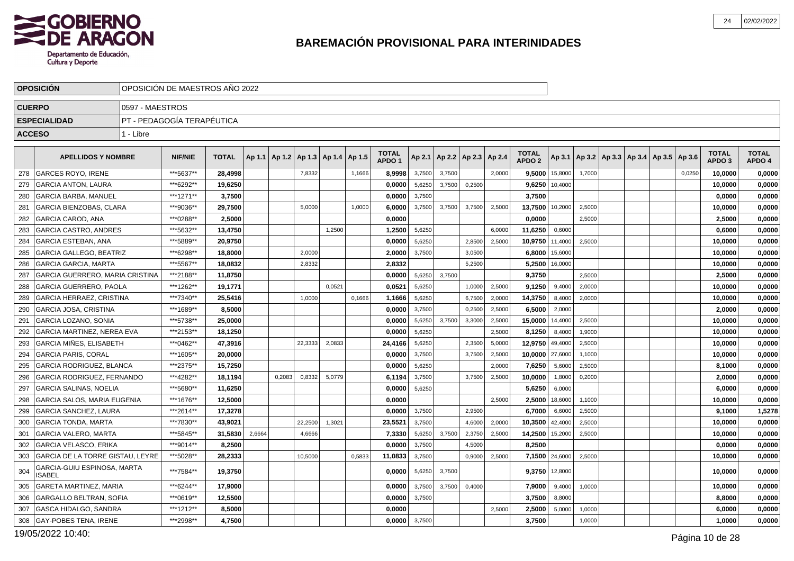

| <b>CUERPO</b><br>0597 - MAESTROS<br>PT - PEDAGOGÍA TERAPÉUTICA<br><b>ESPECIALIDAD</b><br><b>ACCESO</b><br>1 - Libre<br><b>TOTAL</b><br><b>TOTAL</b><br><b>TOTAL</b><br><b>TOTAL</b><br>Ap 2.2   Ap 2.3   Ap 2.4<br>Ap 3.1   Ap 3.2   Ap 3.3   Ap 3.4   Ap 3.5   Ap 3.6<br><b>APELLIDOS Y NOMBRE</b><br><b>NIF/NIE</b><br><b>TOTAL</b><br>Ap 1.1   Ap 1.2<br>Ap 1.3   Ap 1.4   Ap 1.5<br>Ap 2.1<br>APDO <sub>2</sub><br>APDO <sub>1</sub><br>APDO <sub>3</sub><br>APDO 4<br>***5637**<br>278<br><b>GARCES ROYO, IRENE</b><br>28,4998<br>8,9998<br>3,7500<br>9,5000 15,8000<br>10,0000<br>0,0000<br>7,8332<br>3,7500<br>2,0000<br>1,7000<br>0,0250<br>1,1666<br>***6292**<br>19,6250<br>0,2500<br>0,0000<br>279<br><b>GARCIA ANTON, LAURA</b><br>0,0000<br>5,6250<br>3,7500<br>9,6250<br>10,0000<br>10,4000<br>***1271**<br>3.7500<br>280<br><b>GARCIA BARBA, MANUEL</b><br>3.7500<br>0.0000<br>3,7500<br>0.0000<br>0,0000<br>***9036**<br>281<br><b>GARCIA BIENZOBAS, CLARA</b><br>29,7500<br>5,0000<br>1,0000<br>6,0000<br>3,7500<br>3,7500<br>3,7500<br>2,5000<br>13,7500<br>10,2000<br>2,5000<br>10,0000<br>0,0000<br>***0288**<br>282<br><b>GARCIA CAROD, ANA</b><br>0,0000<br>2.5000<br>0.0000<br>0.0000<br>2.5000<br>2,5000<br><b>GARCIA CASTRO, ANDRES</b><br>***5632**<br>1,2500<br>5,6250<br>11,6250<br>0,6000<br>0,0000<br>283<br>13,4750<br>1,2500<br>6,0000<br>0,6000<br>284<br><b>GARCIA ESTEBAN, ANA</b><br>***5889**<br>20.9750<br>10,9750<br>0.0000<br>5,6250<br>2.8500<br>2.5000<br>11,4000<br>2,5000<br>10,0000<br>0,0000<br>285<br><b>GARCIA GALLEGO, BEATRIZ</b><br>***6298**<br>18,8000<br>2,0000<br>6,8000<br>0,0000<br>2,0000<br>3,7500<br>3,0500<br>15,6000<br>10,0000<br>286<br><b>GARCIA GARCIA, MARTA</b><br>***5567**<br>18.0832<br>2,8332<br>2,8332<br>5,2500<br>5,2500<br>16,0000<br>10,0000<br>0,0000<br>0,0000<br>287<br>GARCIA GUERRERO, MARIA CRISTINA<br>***2188**<br>11,8750<br>0,0000<br>5,6250<br>3,7500<br>9,3750<br>2,5000<br>2,5000<br><b>GARCIA GUERRERO, PAOLA</b><br>***1262**<br>19,1771<br>0.0521<br>0.0521<br>5,6250<br>9,1250<br>9,4000<br>10,0000<br>0,0000<br>288<br>1,0000<br>2,5000<br>2,0000<br><b>GARCIA HERRAEZ, CRISTINA</b><br>***7340**<br>0,0000<br>289<br>25,5416<br>1,0000<br>0,1666<br>1,1666<br>5,6250<br>6,7500<br>2,0000<br>14,3750<br>8,4000<br>2,0000<br>10,0000<br>***1689**<br>290<br><b>GARCIA JOSA, CRISTINA</b><br>8,5000<br>0.0000<br>3,7500<br>6,5000<br>2,0000<br>2,0000<br>0,0000<br>0,2500<br>2,5000<br>***5738**<br>10,0000<br>291<br><b>GARCIA LOZANO, SONIA</b><br>25,0000<br>0,0000<br>5,6250<br>3,7500<br>3,3000<br>2,5000<br>15,0000<br>14,4000<br>2,5000<br>0,0000<br><b>GARCIA MARTINEZ, NEREA EVA</b><br>***2153**<br>5,6250<br>292<br>18,1250<br>0,0000<br>2.5000<br>8,1250<br>8,4000<br>1,9000<br>10,0000<br>0,0000<br><b>GARCIA MIÑES, ELISABETH</b><br>***0462**<br>293<br>47,3916<br>22,3333<br>5,6250<br>2,3500<br>12,9750<br>49,4000<br>2,5000<br>0,0000<br>2,0833<br>24,4166<br>5,0000<br>10,0000<br>294<br><b>GARCIA PARIS, CORAL</b><br>***1605**<br>0,0000<br>3,7500<br>10,0000<br>27,6000<br>10,0000<br>0,0000<br>20,0000<br>3,7500<br>2,5000<br>1,1000<br>295<br><b>GARCIA RODRIGUEZ, BLANCA</b><br>***2375**<br>2,5000<br>15,7250<br>0,0000<br>5,6250<br>2,000<br>7,6250<br>5,6000<br>8,1000<br>0,0000<br>296<br><b>GARCIA RODRIGUEZ, FERNANDO</b><br>***4282**<br>6,1194<br>3,7500<br>10,0000<br>2,0000<br>0,0000<br>18.1194<br>0,2083<br>0,8332<br>5,0779<br>3,7500<br>2,5000<br>1,8000<br>0,2000<br>297<br><b>GARCIA SALINAS, NOELIA</b><br>***5680**<br>11,6250<br>0,0000<br>5,6250<br>6,0000<br>6,0000<br>0,0000<br>5,6250<br>***1676**<br>298<br><b>GARCIA SALOS, MARIA EUGENIA</b><br>12,5000<br>0.0000<br>2,5000<br>2,5000<br>18,6000<br>0,0000<br>1,1000<br>10,0000<br>1,5278<br>GARCIA SANCHEZ, LAURA<br>***2614**<br>17,3278<br>0,0000<br>3,7500<br>2,9500<br>6,7000<br>6,6000<br>2,5000<br>9,1000<br>299<br>300<br><b>GARCIA TONDA, MARTA</b><br>***7830**<br>43.9021<br>23,5521<br>10,3500<br>10,0000<br>0,0000<br>22,2500<br>1,3021<br>3,7500<br>4,6000<br>2,0000<br>42,4000<br>2,5000<br>***5845**<br>301<br><b>GARCIA VALERO, MARTA</b><br>31,5830<br>2,6664<br>7,3330<br>5,6250<br>3,7500<br>2,3750<br>14,2500<br>2,5000<br>10,0000<br>0,0000<br>4,6666<br>2,5000<br>15,2000<br><b>GARCIA VELASCO, ERIKA</b><br>***9014**<br>8,2500<br>0,0000<br>3,7500<br>4,5000<br>8,2500<br>302<br>0,0000<br>0,0000<br>***5028**<br>GARCIA DE LA TORRE GISTAU, LEYRE<br>28,2333<br>3,7500<br>7,1500 24,6000<br>2,5000<br>0,0000<br>303<br>10,5000<br>0.5833<br>11,0833<br>0,9000<br>2.5000<br>10,0000<br>GARCIA-GUIU ESPINOSA, MARTA<br>304<br>***7584**<br>12,8000<br>0,0000<br>19,3750<br>0,0000<br>5,6250<br>3,7500<br>9,3750<br>10,0000<br><b>ISABEL</b><br><b>GARETA MARTINEZ, MARIA</b><br>***6244**<br>17.9000<br>0.0000<br>3,7500<br>3,7500<br>0,4000<br>7,9000<br>9,4000<br>1,0000<br>10,0000<br>0,0000<br>305<br>***0619**<br><b>GARGALLO BELTRAN, SOFIA</b><br>12,5500<br>3,7500<br>3,7500<br>8,8000<br>0,0000<br>306<br>0,0000<br>8,8000<br><b>GASCA HIDALGO, SANDRA</b><br>***1212**<br>0,0000<br>307<br>8,5000<br>0.0000<br>2,5000<br>5,0000<br>1,0000<br>6,0000<br>2,500<br>***2998**<br>308<br><b>GAY-POBES TENA, IRENE</b><br>4,7500<br>0,0000<br>3,7500<br>3,7500<br>1,0000<br>1,0000<br>0,0000 | <b>OPOSICION</b> | OPOSICIÓN DE MAESTROS AÑO 2022 |  |  |  |  |  |  |  |  |  |  |
|--------------------------------------------------------------------------------------------------------------------------------------------------------------------------------------------------------------------------------------------------------------------------------------------------------------------------------------------------------------------------------------------------------------------------------------------------------------------------------------------------------------------------------------------------------------------------------------------------------------------------------------------------------------------------------------------------------------------------------------------------------------------------------------------------------------------------------------------------------------------------------------------------------------------------------------------------------------------------------------------------------------------------------------------------------------------------------------------------------------------------------------------------------------------------------------------------------------------------------------------------------------------------------------------------------------------------------------------------------------------------------------------------------------------------------------------------------------------------------------------------------------------------------------------------------------------------------------------------------------------------------------------------------------------------------------------------------------------------------------------------------------------------------------------------------------------------------------------------------------------------------------------------------------------------------------------------------------------------------------------------------------------------------------------------------------------------------------------------------------------------------------------------------------------------------------------------------------------------------------------------------------------------------------------------------------------------------------------------------------------------------------------------------------------------------------------------------------------------------------------------------------------------------------------------------------------------------------------------------------------------------------------------------------------------------------------------------------------------------------------------------------------------------------------------------------------------------------------------------------------------------------------------------------------------------------------------------------------------------------------------------------------------------------------------------------------------------------------------------------------------------------------------------------------------------------------------------------------------------------------------------------------------------------------------------------------------------------------------------------------------------------------------------------------------------------------------------------------------------------------------------------------------------------------------------------------------------------------------------------------------------------------------------------------------------------------------------------------------------------------------------------------------------------------------------------------------------------------------------------------------------------------------------------------------------------------------------------------------------------------------------------------------------------------------------------------------------------------------------------------------------------------------------------------------------------------------------------------------------------------------------------------------------------------------------------------------------------------------------------------------------------------------------------------------------------------------------------------------------------------------------------------------------------------------------------------------------------------------------------------------------------------------------------------------------------------------------------------------------------------------------------------------------------------------------------------------------------------------------------------------------------------------------------------------------------------------------------------------------------------------------------------------------------------------------------------------------------------------------------------------------------------------------------------------------------------------------------------------------------------------------------------------------------------------------------------------|------------------|--------------------------------|--|--|--|--|--|--|--|--|--|--|
|                                                                                                                                                                                                                                                                                                                                                                                                                                                                                                                                                                                                                                                                                                                                                                                                                                                                                                                                                                                                                                                                                                                                                                                                                                                                                                                                                                                                                                                                                                                                                                                                                                                                                                                                                                                                                                                                                                                                                                                                                                                                                                                                                                                                                                                                                                                                                                                                                                                                                                                                                                                                                                                                                                                                                                                                                                                                                                                                                                                                                                                                                                                                                                                                                                                                                                                                                                                                                                                                                                                                                                                                                                                                                                                                                                                                                                                                                                                                                                                                                                                                                                                                                                                                                                                                                                                                                                                                                                                                                                                                                                                                                                                                                                                                                                                                                                                                                                                                                                                                                                                                                                                                                                                                                                                                                                                          |                  |                                |  |  |  |  |  |  |  |  |  |  |
|                                                                                                                                                                                                                                                                                                                                                                                                                                                                                                                                                                                                                                                                                                                                                                                                                                                                                                                                                                                                                                                                                                                                                                                                                                                                                                                                                                                                                                                                                                                                                                                                                                                                                                                                                                                                                                                                                                                                                                                                                                                                                                                                                                                                                                                                                                                                                                                                                                                                                                                                                                                                                                                                                                                                                                                                                                                                                                                                                                                                                                                                                                                                                                                                                                                                                                                                                                                                                                                                                                                                                                                                                                                                                                                                                                                                                                                                                                                                                                                                                                                                                                                                                                                                                                                                                                                                                                                                                                                                                                                                                                                                                                                                                                                                                                                                                                                                                                                                                                                                                                                                                                                                                                                                                                                                                                                          |                  |                                |  |  |  |  |  |  |  |  |  |  |
|                                                                                                                                                                                                                                                                                                                                                                                                                                                                                                                                                                                                                                                                                                                                                                                                                                                                                                                                                                                                                                                                                                                                                                                                                                                                                                                                                                                                                                                                                                                                                                                                                                                                                                                                                                                                                                                                                                                                                                                                                                                                                                                                                                                                                                                                                                                                                                                                                                                                                                                                                                                                                                                                                                                                                                                                                                                                                                                                                                                                                                                                                                                                                                                                                                                                                                                                                                                                                                                                                                                                                                                                                                                                                                                                                                                                                                                                                                                                                                                                                                                                                                                                                                                                                                                                                                                                                                                                                                                                                                                                                                                                                                                                                                                                                                                                                                                                                                                                                                                                                                                                                                                                                                                                                                                                                                                          |                  |                                |  |  |  |  |  |  |  |  |  |  |
|                                                                                                                                                                                                                                                                                                                                                                                                                                                                                                                                                                                                                                                                                                                                                                                                                                                                                                                                                                                                                                                                                                                                                                                                                                                                                                                                                                                                                                                                                                                                                                                                                                                                                                                                                                                                                                                                                                                                                                                                                                                                                                                                                                                                                                                                                                                                                                                                                                                                                                                                                                                                                                                                                                                                                                                                                                                                                                                                                                                                                                                                                                                                                                                                                                                                                                                                                                                                                                                                                                                                                                                                                                                                                                                                                                                                                                                                                                                                                                                                                                                                                                                                                                                                                                                                                                                                                                                                                                                                                                                                                                                                                                                                                                                                                                                                                                                                                                                                                                                                                                                                                                                                                                                                                                                                                                                          |                  |                                |  |  |  |  |  |  |  |  |  |  |
|                                                                                                                                                                                                                                                                                                                                                                                                                                                                                                                                                                                                                                                                                                                                                                                                                                                                                                                                                                                                                                                                                                                                                                                                                                                                                                                                                                                                                                                                                                                                                                                                                                                                                                                                                                                                                                                                                                                                                                                                                                                                                                                                                                                                                                                                                                                                                                                                                                                                                                                                                                                                                                                                                                                                                                                                                                                                                                                                                                                                                                                                                                                                                                                                                                                                                                                                                                                                                                                                                                                                                                                                                                                                                                                                                                                                                                                                                                                                                                                                                                                                                                                                                                                                                                                                                                                                                                                                                                                                                                                                                                                                                                                                                                                                                                                                                                                                                                                                                                                                                                                                                                                                                                                                                                                                                                                          |                  |                                |  |  |  |  |  |  |  |  |  |  |
|                                                                                                                                                                                                                                                                                                                                                                                                                                                                                                                                                                                                                                                                                                                                                                                                                                                                                                                                                                                                                                                                                                                                                                                                                                                                                                                                                                                                                                                                                                                                                                                                                                                                                                                                                                                                                                                                                                                                                                                                                                                                                                                                                                                                                                                                                                                                                                                                                                                                                                                                                                                                                                                                                                                                                                                                                                                                                                                                                                                                                                                                                                                                                                                                                                                                                                                                                                                                                                                                                                                                                                                                                                                                                                                                                                                                                                                                                                                                                                                                                                                                                                                                                                                                                                                                                                                                                                                                                                                                                                                                                                                                                                                                                                                                                                                                                                                                                                                                                                                                                                                                                                                                                                                                                                                                                                                          |                  |                                |  |  |  |  |  |  |  |  |  |  |
|                                                                                                                                                                                                                                                                                                                                                                                                                                                                                                                                                                                                                                                                                                                                                                                                                                                                                                                                                                                                                                                                                                                                                                                                                                                                                                                                                                                                                                                                                                                                                                                                                                                                                                                                                                                                                                                                                                                                                                                                                                                                                                                                                                                                                                                                                                                                                                                                                                                                                                                                                                                                                                                                                                                                                                                                                                                                                                                                                                                                                                                                                                                                                                                                                                                                                                                                                                                                                                                                                                                                                                                                                                                                                                                                                                                                                                                                                                                                                                                                                                                                                                                                                                                                                                                                                                                                                                                                                                                                                                                                                                                                                                                                                                                                                                                                                                                                                                                                                                                                                                                                                                                                                                                                                                                                                                                          |                  |                                |  |  |  |  |  |  |  |  |  |  |
|                                                                                                                                                                                                                                                                                                                                                                                                                                                                                                                                                                                                                                                                                                                                                                                                                                                                                                                                                                                                                                                                                                                                                                                                                                                                                                                                                                                                                                                                                                                                                                                                                                                                                                                                                                                                                                                                                                                                                                                                                                                                                                                                                                                                                                                                                                                                                                                                                                                                                                                                                                                                                                                                                                                                                                                                                                                                                                                                                                                                                                                                                                                                                                                                                                                                                                                                                                                                                                                                                                                                                                                                                                                                                                                                                                                                                                                                                                                                                                                                                                                                                                                                                                                                                                                                                                                                                                                                                                                                                                                                                                                                                                                                                                                                                                                                                                                                                                                                                                                                                                                                                                                                                                                                                                                                                                                          |                  |                                |  |  |  |  |  |  |  |  |  |  |
|                                                                                                                                                                                                                                                                                                                                                                                                                                                                                                                                                                                                                                                                                                                                                                                                                                                                                                                                                                                                                                                                                                                                                                                                                                                                                                                                                                                                                                                                                                                                                                                                                                                                                                                                                                                                                                                                                                                                                                                                                                                                                                                                                                                                                                                                                                                                                                                                                                                                                                                                                                                                                                                                                                                                                                                                                                                                                                                                                                                                                                                                                                                                                                                                                                                                                                                                                                                                                                                                                                                                                                                                                                                                                                                                                                                                                                                                                                                                                                                                                                                                                                                                                                                                                                                                                                                                                                                                                                                                                                                                                                                                                                                                                                                                                                                                                                                                                                                                                                                                                                                                                                                                                                                                                                                                                                                          |                  |                                |  |  |  |  |  |  |  |  |  |  |
|                                                                                                                                                                                                                                                                                                                                                                                                                                                                                                                                                                                                                                                                                                                                                                                                                                                                                                                                                                                                                                                                                                                                                                                                                                                                                                                                                                                                                                                                                                                                                                                                                                                                                                                                                                                                                                                                                                                                                                                                                                                                                                                                                                                                                                                                                                                                                                                                                                                                                                                                                                                                                                                                                                                                                                                                                                                                                                                                                                                                                                                                                                                                                                                                                                                                                                                                                                                                                                                                                                                                                                                                                                                                                                                                                                                                                                                                                                                                                                                                                                                                                                                                                                                                                                                                                                                                                                                                                                                                                                                                                                                                                                                                                                                                                                                                                                                                                                                                                                                                                                                                                                                                                                                                                                                                                                                          |                  |                                |  |  |  |  |  |  |  |  |  |  |
|                                                                                                                                                                                                                                                                                                                                                                                                                                                                                                                                                                                                                                                                                                                                                                                                                                                                                                                                                                                                                                                                                                                                                                                                                                                                                                                                                                                                                                                                                                                                                                                                                                                                                                                                                                                                                                                                                                                                                                                                                                                                                                                                                                                                                                                                                                                                                                                                                                                                                                                                                                                                                                                                                                                                                                                                                                                                                                                                                                                                                                                                                                                                                                                                                                                                                                                                                                                                                                                                                                                                                                                                                                                                                                                                                                                                                                                                                                                                                                                                                                                                                                                                                                                                                                                                                                                                                                                                                                                                                                                                                                                                                                                                                                                                                                                                                                                                                                                                                                                                                                                                                                                                                                                                                                                                                                                          |                  |                                |  |  |  |  |  |  |  |  |  |  |
|                                                                                                                                                                                                                                                                                                                                                                                                                                                                                                                                                                                                                                                                                                                                                                                                                                                                                                                                                                                                                                                                                                                                                                                                                                                                                                                                                                                                                                                                                                                                                                                                                                                                                                                                                                                                                                                                                                                                                                                                                                                                                                                                                                                                                                                                                                                                                                                                                                                                                                                                                                                                                                                                                                                                                                                                                                                                                                                                                                                                                                                                                                                                                                                                                                                                                                                                                                                                                                                                                                                                                                                                                                                                                                                                                                                                                                                                                                                                                                                                                                                                                                                                                                                                                                                                                                                                                                                                                                                                                                                                                                                                                                                                                                                                                                                                                                                                                                                                                                                                                                                                                                                                                                                                                                                                                                                          |                  |                                |  |  |  |  |  |  |  |  |  |  |
|                                                                                                                                                                                                                                                                                                                                                                                                                                                                                                                                                                                                                                                                                                                                                                                                                                                                                                                                                                                                                                                                                                                                                                                                                                                                                                                                                                                                                                                                                                                                                                                                                                                                                                                                                                                                                                                                                                                                                                                                                                                                                                                                                                                                                                                                                                                                                                                                                                                                                                                                                                                                                                                                                                                                                                                                                                                                                                                                                                                                                                                                                                                                                                                                                                                                                                                                                                                                                                                                                                                                                                                                                                                                                                                                                                                                                                                                                                                                                                                                                                                                                                                                                                                                                                                                                                                                                                                                                                                                                                                                                                                                                                                                                                                                                                                                                                                                                                                                                                                                                                                                                                                                                                                                                                                                                                                          |                  |                                |  |  |  |  |  |  |  |  |  |  |
|                                                                                                                                                                                                                                                                                                                                                                                                                                                                                                                                                                                                                                                                                                                                                                                                                                                                                                                                                                                                                                                                                                                                                                                                                                                                                                                                                                                                                                                                                                                                                                                                                                                                                                                                                                                                                                                                                                                                                                                                                                                                                                                                                                                                                                                                                                                                                                                                                                                                                                                                                                                                                                                                                                                                                                                                                                                                                                                                                                                                                                                                                                                                                                                                                                                                                                                                                                                                                                                                                                                                                                                                                                                                                                                                                                                                                                                                                                                                                                                                                                                                                                                                                                                                                                                                                                                                                                                                                                                                                                                                                                                                                                                                                                                                                                                                                                                                                                                                                                                                                                                                                                                                                                                                                                                                                                                          |                  |                                |  |  |  |  |  |  |  |  |  |  |
|                                                                                                                                                                                                                                                                                                                                                                                                                                                                                                                                                                                                                                                                                                                                                                                                                                                                                                                                                                                                                                                                                                                                                                                                                                                                                                                                                                                                                                                                                                                                                                                                                                                                                                                                                                                                                                                                                                                                                                                                                                                                                                                                                                                                                                                                                                                                                                                                                                                                                                                                                                                                                                                                                                                                                                                                                                                                                                                                                                                                                                                                                                                                                                                                                                                                                                                                                                                                                                                                                                                                                                                                                                                                                                                                                                                                                                                                                                                                                                                                                                                                                                                                                                                                                                                                                                                                                                                                                                                                                                                                                                                                                                                                                                                                                                                                                                                                                                                                                                                                                                                                                                                                                                                                                                                                                                                          |                  |                                |  |  |  |  |  |  |  |  |  |  |
|                                                                                                                                                                                                                                                                                                                                                                                                                                                                                                                                                                                                                                                                                                                                                                                                                                                                                                                                                                                                                                                                                                                                                                                                                                                                                                                                                                                                                                                                                                                                                                                                                                                                                                                                                                                                                                                                                                                                                                                                                                                                                                                                                                                                                                                                                                                                                                                                                                                                                                                                                                                                                                                                                                                                                                                                                                                                                                                                                                                                                                                                                                                                                                                                                                                                                                                                                                                                                                                                                                                                                                                                                                                                                                                                                                                                                                                                                                                                                                                                                                                                                                                                                                                                                                                                                                                                                                                                                                                                                                                                                                                                                                                                                                                                                                                                                                                                                                                                                                                                                                                                                                                                                                                                                                                                                                                          |                  |                                |  |  |  |  |  |  |  |  |  |  |
|                                                                                                                                                                                                                                                                                                                                                                                                                                                                                                                                                                                                                                                                                                                                                                                                                                                                                                                                                                                                                                                                                                                                                                                                                                                                                                                                                                                                                                                                                                                                                                                                                                                                                                                                                                                                                                                                                                                                                                                                                                                                                                                                                                                                                                                                                                                                                                                                                                                                                                                                                                                                                                                                                                                                                                                                                                                                                                                                                                                                                                                                                                                                                                                                                                                                                                                                                                                                                                                                                                                                                                                                                                                                                                                                                                                                                                                                                                                                                                                                                                                                                                                                                                                                                                                                                                                                                                                                                                                                                                                                                                                                                                                                                                                                                                                                                                                                                                                                                                                                                                                                                                                                                                                                                                                                                                                          |                  |                                |  |  |  |  |  |  |  |  |  |  |
|                                                                                                                                                                                                                                                                                                                                                                                                                                                                                                                                                                                                                                                                                                                                                                                                                                                                                                                                                                                                                                                                                                                                                                                                                                                                                                                                                                                                                                                                                                                                                                                                                                                                                                                                                                                                                                                                                                                                                                                                                                                                                                                                                                                                                                                                                                                                                                                                                                                                                                                                                                                                                                                                                                                                                                                                                                                                                                                                                                                                                                                                                                                                                                                                                                                                                                                                                                                                                                                                                                                                                                                                                                                                                                                                                                                                                                                                                                                                                                                                                                                                                                                                                                                                                                                                                                                                                                                                                                                                                                                                                                                                                                                                                                                                                                                                                                                                                                                                                                                                                                                                                                                                                                                                                                                                                                                          |                  |                                |  |  |  |  |  |  |  |  |  |  |
|                                                                                                                                                                                                                                                                                                                                                                                                                                                                                                                                                                                                                                                                                                                                                                                                                                                                                                                                                                                                                                                                                                                                                                                                                                                                                                                                                                                                                                                                                                                                                                                                                                                                                                                                                                                                                                                                                                                                                                                                                                                                                                                                                                                                                                                                                                                                                                                                                                                                                                                                                                                                                                                                                                                                                                                                                                                                                                                                                                                                                                                                                                                                                                                                                                                                                                                                                                                                                                                                                                                                                                                                                                                                                                                                                                                                                                                                                                                                                                                                                                                                                                                                                                                                                                                                                                                                                                                                                                                                                                                                                                                                                                                                                                                                                                                                                                                                                                                                                                                                                                                                                                                                                                                                                                                                                                                          |                  |                                |  |  |  |  |  |  |  |  |  |  |
|                                                                                                                                                                                                                                                                                                                                                                                                                                                                                                                                                                                                                                                                                                                                                                                                                                                                                                                                                                                                                                                                                                                                                                                                                                                                                                                                                                                                                                                                                                                                                                                                                                                                                                                                                                                                                                                                                                                                                                                                                                                                                                                                                                                                                                                                                                                                                                                                                                                                                                                                                                                                                                                                                                                                                                                                                                                                                                                                                                                                                                                                                                                                                                                                                                                                                                                                                                                                                                                                                                                                                                                                                                                                                                                                                                                                                                                                                                                                                                                                                                                                                                                                                                                                                                                                                                                                                                                                                                                                                                                                                                                                                                                                                                                                                                                                                                                                                                                                                                                                                                                                                                                                                                                                                                                                                                                          |                  |                                |  |  |  |  |  |  |  |  |  |  |
|                                                                                                                                                                                                                                                                                                                                                                                                                                                                                                                                                                                                                                                                                                                                                                                                                                                                                                                                                                                                                                                                                                                                                                                                                                                                                                                                                                                                                                                                                                                                                                                                                                                                                                                                                                                                                                                                                                                                                                                                                                                                                                                                                                                                                                                                                                                                                                                                                                                                                                                                                                                                                                                                                                                                                                                                                                                                                                                                                                                                                                                                                                                                                                                                                                                                                                                                                                                                                                                                                                                                                                                                                                                                                                                                                                                                                                                                                                                                                                                                                                                                                                                                                                                                                                                                                                                                                                                                                                                                                                                                                                                                                                                                                                                                                                                                                                                                                                                                                                                                                                                                                                                                                                                                                                                                                                                          |                  |                                |  |  |  |  |  |  |  |  |  |  |
|                                                                                                                                                                                                                                                                                                                                                                                                                                                                                                                                                                                                                                                                                                                                                                                                                                                                                                                                                                                                                                                                                                                                                                                                                                                                                                                                                                                                                                                                                                                                                                                                                                                                                                                                                                                                                                                                                                                                                                                                                                                                                                                                                                                                                                                                                                                                                                                                                                                                                                                                                                                                                                                                                                                                                                                                                                                                                                                                                                                                                                                                                                                                                                                                                                                                                                                                                                                                                                                                                                                                                                                                                                                                                                                                                                                                                                                                                                                                                                                                                                                                                                                                                                                                                                                                                                                                                                                                                                                                                                                                                                                                                                                                                                                                                                                                                                                                                                                                                                                                                                                                                                                                                                                                                                                                                                                          |                  |                                |  |  |  |  |  |  |  |  |  |  |
|                                                                                                                                                                                                                                                                                                                                                                                                                                                                                                                                                                                                                                                                                                                                                                                                                                                                                                                                                                                                                                                                                                                                                                                                                                                                                                                                                                                                                                                                                                                                                                                                                                                                                                                                                                                                                                                                                                                                                                                                                                                                                                                                                                                                                                                                                                                                                                                                                                                                                                                                                                                                                                                                                                                                                                                                                                                                                                                                                                                                                                                                                                                                                                                                                                                                                                                                                                                                                                                                                                                                                                                                                                                                                                                                                                                                                                                                                                                                                                                                                                                                                                                                                                                                                                                                                                                                                                                                                                                                                                                                                                                                                                                                                                                                                                                                                                                                                                                                                                                                                                                                                                                                                                                                                                                                                                                          |                  |                                |  |  |  |  |  |  |  |  |  |  |
|                                                                                                                                                                                                                                                                                                                                                                                                                                                                                                                                                                                                                                                                                                                                                                                                                                                                                                                                                                                                                                                                                                                                                                                                                                                                                                                                                                                                                                                                                                                                                                                                                                                                                                                                                                                                                                                                                                                                                                                                                                                                                                                                                                                                                                                                                                                                                                                                                                                                                                                                                                                                                                                                                                                                                                                                                                                                                                                                                                                                                                                                                                                                                                                                                                                                                                                                                                                                                                                                                                                                                                                                                                                                                                                                                                                                                                                                                                                                                                                                                                                                                                                                                                                                                                                                                                                                                                                                                                                                                                                                                                                                                                                                                                                                                                                                                                                                                                                                                                                                                                                                                                                                                                                                                                                                                                                          |                  |                                |  |  |  |  |  |  |  |  |  |  |
|                                                                                                                                                                                                                                                                                                                                                                                                                                                                                                                                                                                                                                                                                                                                                                                                                                                                                                                                                                                                                                                                                                                                                                                                                                                                                                                                                                                                                                                                                                                                                                                                                                                                                                                                                                                                                                                                                                                                                                                                                                                                                                                                                                                                                                                                                                                                                                                                                                                                                                                                                                                                                                                                                                                                                                                                                                                                                                                                                                                                                                                                                                                                                                                                                                                                                                                                                                                                                                                                                                                                                                                                                                                                                                                                                                                                                                                                                                                                                                                                                                                                                                                                                                                                                                                                                                                                                                                                                                                                                                                                                                                                                                                                                                                                                                                                                                                                                                                                                                                                                                                                                                                                                                                                                                                                                                                          |                  |                                |  |  |  |  |  |  |  |  |  |  |
|                                                                                                                                                                                                                                                                                                                                                                                                                                                                                                                                                                                                                                                                                                                                                                                                                                                                                                                                                                                                                                                                                                                                                                                                                                                                                                                                                                                                                                                                                                                                                                                                                                                                                                                                                                                                                                                                                                                                                                                                                                                                                                                                                                                                                                                                                                                                                                                                                                                                                                                                                                                                                                                                                                                                                                                                                                                                                                                                                                                                                                                                                                                                                                                                                                                                                                                                                                                                                                                                                                                                                                                                                                                                                                                                                                                                                                                                                                                                                                                                                                                                                                                                                                                                                                                                                                                                                                                                                                                                                                                                                                                                                                                                                                                                                                                                                                                                                                                                                                                                                                                                                                                                                                                                                                                                                                                          |                  |                                |  |  |  |  |  |  |  |  |  |  |
|                                                                                                                                                                                                                                                                                                                                                                                                                                                                                                                                                                                                                                                                                                                                                                                                                                                                                                                                                                                                                                                                                                                                                                                                                                                                                                                                                                                                                                                                                                                                                                                                                                                                                                                                                                                                                                                                                                                                                                                                                                                                                                                                                                                                                                                                                                                                                                                                                                                                                                                                                                                                                                                                                                                                                                                                                                                                                                                                                                                                                                                                                                                                                                                                                                                                                                                                                                                                                                                                                                                                                                                                                                                                                                                                                                                                                                                                                                                                                                                                                                                                                                                                                                                                                                                                                                                                                                                                                                                                                                                                                                                                                                                                                                                                                                                                                                                                                                                                                                                                                                                                                                                                                                                                                                                                                                                          |                  |                                |  |  |  |  |  |  |  |  |  |  |
|                                                                                                                                                                                                                                                                                                                                                                                                                                                                                                                                                                                                                                                                                                                                                                                                                                                                                                                                                                                                                                                                                                                                                                                                                                                                                                                                                                                                                                                                                                                                                                                                                                                                                                                                                                                                                                                                                                                                                                                                                                                                                                                                                                                                                                                                                                                                                                                                                                                                                                                                                                                                                                                                                                                                                                                                                                                                                                                                                                                                                                                                                                                                                                                                                                                                                                                                                                                                                                                                                                                                                                                                                                                                                                                                                                                                                                                                                                                                                                                                                                                                                                                                                                                                                                                                                                                                                                                                                                                                                                                                                                                                                                                                                                                                                                                                                                                                                                                                                                                                                                                                                                                                                                                                                                                                                                                          |                  |                                |  |  |  |  |  |  |  |  |  |  |
|                                                                                                                                                                                                                                                                                                                                                                                                                                                                                                                                                                                                                                                                                                                                                                                                                                                                                                                                                                                                                                                                                                                                                                                                                                                                                                                                                                                                                                                                                                                                                                                                                                                                                                                                                                                                                                                                                                                                                                                                                                                                                                                                                                                                                                                                                                                                                                                                                                                                                                                                                                                                                                                                                                                                                                                                                                                                                                                                                                                                                                                                                                                                                                                                                                                                                                                                                                                                                                                                                                                                                                                                                                                                                                                                                                                                                                                                                                                                                                                                                                                                                                                                                                                                                                                                                                                                                                                                                                                                                                                                                                                                                                                                                                                                                                                                                                                                                                                                                                                                                                                                                                                                                                                                                                                                                                                          |                  |                                |  |  |  |  |  |  |  |  |  |  |
|                                                                                                                                                                                                                                                                                                                                                                                                                                                                                                                                                                                                                                                                                                                                                                                                                                                                                                                                                                                                                                                                                                                                                                                                                                                                                                                                                                                                                                                                                                                                                                                                                                                                                                                                                                                                                                                                                                                                                                                                                                                                                                                                                                                                                                                                                                                                                                                                                                                                                                                                                                                                                                                                                                                                                                                                                                                                                                                                                                                                                                                                                                                                                                                                                                                                                                                                                                                                                                                                                                                                                                                                                                                                                                                                                                                                                                                                                                                                                                                                                                                                                                                                                                                                                                                                                                                                                                                                                                                                                                                                                                                                                                                                                                                                                                                                                                                                                                                                                                                                                                                                                                                                                                                                                                                                                                                          |                  |                                |  |  |  |  |  |  |  |  |  |  |
|                                                                                                                                                                                                                                                                                                                                                                                                                                                                                                                                                                                                                                                                                                                                                                                                                                                                                                                                                                                                                                                                                                                                                                                                                                                                                                                                                                                                                                                                                                                                                                                                                                                                                                                                                                                                                                                                                                                                                                                                                                                                                                                                                                                                                                                                                                                                                                                                                                                                                                                                                                                                                                                                                                                                                                                                                                                                                                                                                                                                                                                                                                                                                                                                                                                                                                                                                                                                                                                                                                                                                                                                                                                                                                                                                                                                                                                                                                                                                                                                                                                                                                                                                                                                                                                                                                                                                                                                                                                                                                                                                                                                                                                                                                                                                                                                                                                                                                                                                                                                                                                                                                                                                                                                                                                                                                                          |                  |                                |  |  |  |  |  |  |  |  |  |  |
|                                                                                                                                                                                                                                                                                                                                                                                                                                                                                                                                                                                                                                                                                                                                                                                                                                                                                                                                                                                                                                                                                                                                                                                                                                                                                                                                                                                                                                                                                                                                                                                                                                                                                                                                                                                                                                                                                                                                                                                                                                                                                                                                                                                                                                                                                                                                                                                                                                                                                                                                                                                                                                                                                                                                                                                                                                                                                                                                                                                                                                                                                                                                                                                                                                                                                                                                                                                                                                                                                                                                                                                                                                                                                                                                                                                                                                                                                                                                                                                                                                                                                                                                                                                                                                                                                                                                                                                                                                                                                                                                                                                                                                                                                                                                                                                                                                                                                                                                                                                                                                                                                                                                                                                                                                                                                                                          |                  |                                |  |  |  |  |  |  |  |  |  |  |
|                                                                                                                                                                                                                                                                                                                                                                                                                                                                                                                                                                                                                                                                                                                                                                                                                                                                                                                                                                                                                                                                                                                                                                                                                                                                                                                                                                                                                                                                                                                                                                                                                                                                                                                                                                                                                                                                                                                                                                                                                                                                                                                                                                                                                                                                                                                                                                                                                                                                                                                                                                                                                                                                                                                                                                                                                                                                                                                                                                                                                                                                                                                                                                                                                                                                                                                                                                                                                                                                                                                                                                                                                                                                                                                                                                                                                                                                                                                                                                                                                                                                                                                                                                                                                                                                                                                                                                                                                                                                                                                                                                                                                                                                                                                                                                                                                                                                                                                                                                                                                                                                                                                                                                                                                                                                                                                          |                  |                                |  |  |  |  |  |  |  |  |  |  |
|                                                                                                                                                                                                                                                                                                                                                                                                                                                                                                                                                                                                                                                                                                                                                                                                                                                                                                                                                                                                                                                                                                                                                                                                                                                                                                                                                                                                                                                                                                                                                                                                                                                                                                                                                                                                                                                                                                                                                                                                                                                                                                                                                                                                                                                                                                                                                                                                                                                                                                                                                                                                                                                                                                                                                                                                                                                                                                                                                                                                                                                                                                                                                                                                                                                                                                                                                                                                                                                                                                                                                                                                                                                                                                                                                                                                                                                                                                                                                                                                                                                                                                                                                                                                                                                                                                                                                                                                                                                                                                                                                                                                                                                                                                                                                                                                                                                                                                                                                                                                                                                                                                                                                                                                                                                                                                                          |                  |                                |  |  |  |  |  |  |  |  |  |  |
|                                                                                                                                                                                                                                                                                                                                                                                                                                                                                                                                                                                                                                                                                                                                                                                                                                                                                                                                                                                                                                                                                                                                                                                                                                                                                                                                                                                                                                                                                                                                                                                                                                                                                                                                                                                                                                                                                                                                                                                                                                                                                                                                                                                                                                                                                                                                                                                                                                                                                                                                                                                                                                                                                                                                                                                                                                                                                                                                                                                                                                                                                                                                                                                                                                                                                                                                                                                                                                                                                                                                                                                                                                                                                                                                                                                                                                                                                                                                                                                                                                                                                                                                                                                                                                                                                                                                                                                                                                                                                                                                                                                                                                                                                                                                                                                                                                                                                                                                                                                                                                                                                                                                                                                                                                                                                                                          |                  |                                |  |  |  |  |  |  |  |  |  |  |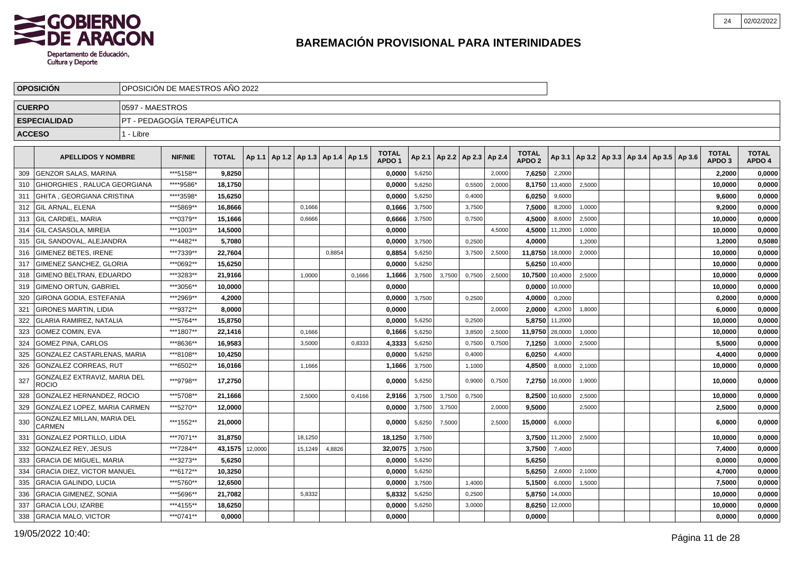

|               | <b>OPOSICION</b>                                                   |                 | OPOSICION DE MAESTROS ANO 2022 |                   |         |                                            |         |        |        |                   |                  |        |                                   |                  |                   |                   |        |                                                     |  |                   |                  |
|---------------|--------------------------------------------------------------------|-----------------|--------------------------------|-------------------|---------|--------------------------------------------|---------|--------|--------|-------------------|------------------|--------|-----------------------------------|------------------|-------------------|-------------------|--------|-----------------------------------------------------|--|-------------------|------------------|
| <b>CUERPO</b> |                                                                    | 0597 - MAESTROS |                                |                   |         |                                            |         |        |        |                   |                  |        |                                   |                  |                   |                   |        |                                                     |  |                   |                  |
|               | <b>ESPECIALIDAD</b>                                                |                 | PT - PEDAGOGÍA TERAPÉUTICA     |                   |         |                                            |         |        |        |                   |                  |        |                                   |                  |                   |                   |        |                                                     |  |                   |                  |
| <b>ACCESO</b> |                                                                    | 1 - Libre       |                                |                   |         |                                            |         |        |        |                   |                  |        |                                   |                  |                   |                   |        |                                                     |  |                   |                  |
|               | <b>APELLIDOS Y NOMBRE</b>                                          |                 | <b>NIF/NIE</b>                 | <b>TOTAL</b>      |         | Ap 1.1   Ap 1.2   Ap 1.3   Ap 1.4   Ap 1.5 |         |        |        | <b>TOTAL</b>      |                  |        | Ap 2.1   Ap 2.2   Ap 2.3   Ap 2.4 |                  | <b>TOTAL</b>      |                   |        | Ap 3.1   Ap 3.2   Ap 3.3   Ap 3.4   Ap 3.5   Ap 3.6 |  | <b>TOTAL</b>      | <b>TOTAL</b>     |
|               |                                                                    |                 |                                |                   |         |                                            |         |        |        | APDO <sub>1</sub> |                  |        |                                   |                  | APDO <sub>2</sub> |                   |        |                                                     |  | APDO <sub>3</sub> | APDO 4           |
| 309           | <b>GENZOR SALAS, MARINA</b><br><b>GHIORGHIES, RALUCA GEORGIANA</b> |                 | ***5158**<br>****9586*         | 9,8250<br>18,1750 |         |                                            |         |        |        | 0,0000<br>0,0000  | 5,6250           |        |                                   | 2,0000<br>2,0000 | 7,6250            | 2,2000            |        |                                                     |  | 2,2000<br>10,0000 | 0,0000           |
| 310<br>311    | GHITA , GEORGIANA CRISTINA                                         |                 | *****3598*                     | 15,6250           |         |                                            |         |        |        | 0,0000            | 5,6250<br>5,6250 |        | 0,5500<br>0,4000                  |                  | 8,1750<br>6,0250  | 13,4000<br>9,6000 | 2,5000 |                                                     |  | 9,6000            | 0,0000<br>0,0000 |
| 312           | <b>GIL ARNAL, ELENA</b>                                            |                 | ***5869**                      | 16,8666           |         |                                            | 0,1666  |        |        | 0,1666            | 3,7500           |        | 3,7500                            |                  | 7,5000            | 8,2000            | 1,0000 |                                                     |  | 9,2000            | 0,0000           |
| 313           | <b>GIL CARDIEL. MARIA</b>                                          |                 | ***0379**                      | 15.1666           |         |                                            | 0,6666  |        |        | 0,6666            | 3,7500           |        | 0,7500                            |                  | 4,5000            | 8,6000            | 2,5000 |                                                     |  | 10,0000           | 0,0000           |
| 314           | <b>GIL CASASOLA. MIREIA</b>                                        |                 | ***1003**                      | 14,5000           |         |                                            |         |        |        | 0,0000            |                  |        |                                   | 4.5000           | 4,5000            | 11,2000           | 1,0000 |                                                     |  | 10,0000           | 0,0000           |
| 315           | <b>IGIL SANDOVAL. ALEJANDRA</b>                                    |                 | ***4482**                      | 5,7080            |         |                                            |         |        |        | 0.0000            | 3,7500           |        | 0,2500                            |                  | 4,0000            |                   | 1,2000 |                                                     |  | 1,2000            | 0,5080           |
| 316           | <b>GIMENEZ BETES, IRENE</b>                                        |                 | ***7339**                      | 22,7604           |         |                                            |         | 0,8854 |        | 0,8854            | 5,6250           |        | 3,7500                            | 2,5000           | 11,8750           | 18,0000           | 2,0000 |                                                     |  | 10,0000           | 0,0000           |
| 317           | GIMENEZ SANCHEZ, GLORIA                                            |                 | ***0692**                      | 15,6250           |         |                                            |         |        |        | 0,0000            | 5,6250           |        |                                   |                  | 5,6250            | 10,4000           |        |                                                     |  | 10,0000           | 0,0000           |
| 318           | GIMENO BELTRAN, EDUARDO                                            |                 | ***3283**                      | 21,9166           |         |                                            | 1,0000  |        | 0,1666 | 1,1666            | 3,7500           | 3,7500 | 0,7500                            | 2,5000           | 10,7500           | 10,4000           | 2,5000 |                                                     |  | 10,0000           | 0,0000           |
| 319           | <b>GIMENO ORTUN, GABRIEL</b>                                       |                 | ***3056**                      | 10,0000           |         |                                            |         |        |        | 0,0000            |                  |        |                                   |                  | 0,0000            | 10,0000           |        |                                                     |  | 10,0000           | 0,0000           |
| 320           | GIRONA GODIA, ESTEFANIA                                            |                 | ***2969**                      | 4,2000            |         |                                            |         |        |        | 0.0000            | 3,7500           |        | 0,2500                            |                  | 4,0000            | 0,2000            |        |                                                     |  | 0,2000            | 0,0000           |
| 321           | <b>GIRONES MARTIN, LIDIA</b>                                       |                 | ***9372**                      | 8.0000            |         |                                            |         |        |        | 0.0000            |                  |        |                                   | 2.0000           | 2,0000            | 4,2000            | 1,8000 |                                                     |  | 6,0000            | 0,0000           |
| 322           | <b>GLARIA RAMIREZ, NATALIA</b>                                     |                 | ***5764**                      | 15.8750           |         |                                            |         |        |        | 0.0000            | 5,6250           |        | 0,2500                            |                  | 5,8750            | 11.2000           |        |                                                     |  | 10,0000           | 0,0000           |
| 323           | GOMEZ COMIN, EVA                                                   |                 | ***1807**                      | 22,1416           |         |                                            | 0,1666  |        |        | 0,1666            | 5,6250           |        | 3,8500                            | 2,5000           | 11,9750           | 28,0000           | 1,0000 |                                                     |  | 10,0000           | 0,0000           |
| 324           | <b>GOMEZ PINA, CARLOS</b>                                          |                 | ***8636**                      | 16,9583           |         |                                            | 3,5000  |        | 0,8333 | 4,3333            | 5,6250           |        | 0,7500                            | 0,7500           | 7,1250            | 3,0000            | 2,5000 |                                                     |  | 5,5000            | 0,0000           |
| 325           | GONZALEZ CASTARLENAS, MARIA                                        |                 | ***8108**                      | 10,4250           |         |                                            |         |        |        | 0,0000            | 5,6250           |        | 0,4000                            |                  | 6,0250            | 4,4000            |        |                                                     |  | 4,4000            | 0,0000           |
| 326           | <b>GONZALEZ CORREAS, RUT</b>                                       |                 | ***6502**                      | 16,0166           |         |                                            | 1,1666  |        |        | 1,1666            | 3,7500           |        | 1,1000                            |                  | 4,8500            | 8,0000            | 2,1000 |                                                     |  | 10,0000           | 0,0000           |
| 327           | GONZALEZ EXTRAVIZ, MARIA DEL<br><b>ROCIO</b>                       |                 | ***9798**                      | 17,2750           |         |                                            |         |        |        | 0.0000            | 5,6250           |        | 0,9000                            | 0,7500           | 7.2750            | 16,0000           | 1,9000 |                                                     |  | 10.0000           | 0,0000           |
| 328           | GONZALEZ HERNANDEZ, ROCIO                                          |                 | ***5708**                      | 21,1666           |         |                                            | 2,5000  |        | 0,4166 | 2,9166            | 3,7500           | 3,7500 | 0,7500                            |                  |                   | 8,2500 10,6000    | 2,5000 |                                                     |  | 10,0000           | 0,0000           |
| 329           | <b>GONZALEZ LOPEZ, MARIA CARMEN</b>                                |                 | ***5270**                      | 12.0000           |         |                                            |         |        |        | 0.0000            | 3,7500           | 3,7500 |                                   | 2,0000           | 9,5000            |                   | 2,5000 |                                                     |  | 2,5000            | 0,0000           |
| 330           | GONZALEZ MILLAN, MARIA DEL<br><b>CARMEN</b>                        |                 | ***1552**                      | 21,0000           |         |                                            |         |        |        | 0,0000            | 5,6250           | 7,5000 |                                   | 2,5000           | 15,0000           | 6,0000            |        |                                                     |  | 6,0000            | 0,0000           |
| 331           | <b>GONZALEZ PORTILLO, LIDIA</b>                                    |                 | ***7071**                      | 31,8750           |         |                                            | 18.1250 |        |        | 18,1250           | 3,7500           |        |                                   |                  | 3,7500            | 11,2000           | 2,5000 |                                                     |  | 10,0000           | 0,0000           |
| 332           | <b>GONZALEZ REY, JESUS</b>                                         |                 | ***7284**                      | 43,1575           | 12,0000 |                                            | 15,1249 | 4,8826 |        | 32,0075           | 3,7500           |        |                                   |                  | 3,7500            | 7,4000            |        |                                                     |  | 7.4000            | 0,0000           |
| 333           | <b>GRACIA DE MIGUEL, MARIA</b>                                     |                 | ***3273**                      | 5.6250            |         |                                            |         |        |        | 0.0000            | 5,6250           |        |                                   |                  | 5.6250            |                   |        |                                                     |  | 0.0000            | 0,0000           |
| 334           | <b>GRACIA DIEZ, VICTOR MANUEL</b>                                  |                 | ***6172**                      | 10,3250           |         |                                            |         |        |        | 0,0000            | 5,6250           |        |                                   |                  | 5,6250            | 2.6000            | 2,1000 |                                                     |  | 4,7000            | 0,0000           |
| 335           | <b>GRACIA GALINDO, LUCIA</b>                                       |                 | ***5760**                      | 12,6500           |         |                                            |         |        |        | 0,0000            | 3,7500           |        | 1,4000                            |                  | 5,1500            | 6,0000            | 1,5000 |                                                     |  | 7,5000            | 0,0000           |
| 336           | <b>GRACIA GIMENEZ, SONIA</b>                                       |                 | ***5696**                      | 21,7082           |         |                                            | 5,8332  |        |        | 5,8332            | 5,6250           |        | 0,2500                            |                  | 5,8750            | 14,0000           |        |                                                     |  | 10,0000           | 0,0000           |
| 337           | <b>GRACIA LOU, IZARBE</b>                                          |                 | ***4155**                      | 18,6250           |         |                                            |         |        |        | 0,0000            | 5,6250           |        | 3,0000                            |                  | 8,6250            | 12,0000           |        |                                                     |  | 10,0000           | 0,0000           |
| 338           | <b>GRACIA MALO, VICTOR</b>                                         |                 | ***0741**                      | 0.0000            |         |                                            |         |        |        | 0,0000            |                  |        |                                   |                  | 0,0000            |                   |        |                                                     |  | 0,0000            | 0,0000           |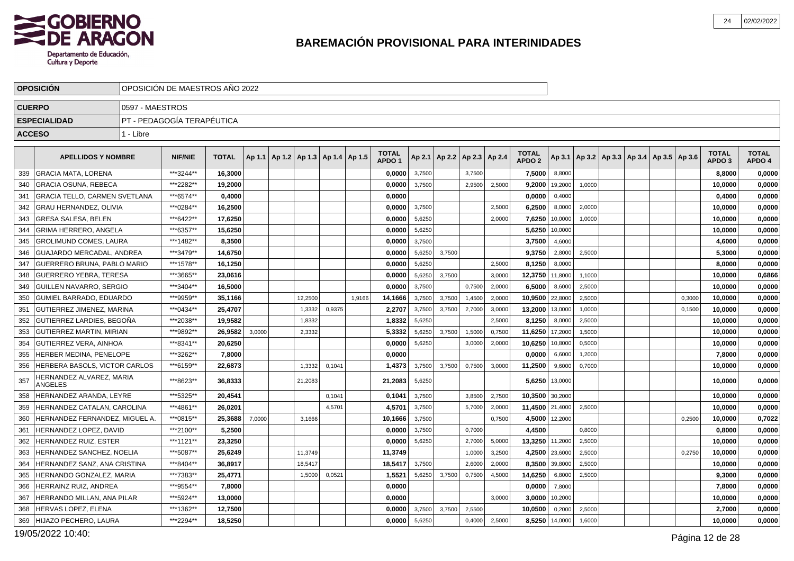

|               | <b>OPOSICION</b>                     |                 | OPOSICION DE MAESTROS ANO 2022 |              |        |                                            |        |        |                   |        |                 |                 |        |                   |         |        |                                                     |        |                   |              |
|---------------|--------------------------------------|-----------------|--------------------------------|--------------|--------|--------------------------------------------|--------|--------|-------------------|--------|-----------------|-----------------|--------|-------------------|---------|--------|-----------------------------------------------------|--------|-------------------|--------------|
| <b>CUERPO</b> |                                      | 0597 - MAESTROS |                                |              |        |                                            |        |        |                   |        |                 |                 |        |                   |         |        |                                                     |        |                   |              |
|               | <b>ESPECIALIDAD</b>                  |                 | PT - PEDAGOGIA TERAPÉUTICA     |              |        |                                            |        |        |                   |        |                 |                 |        |                   |         |        |                                                     |        |                   |              |
| <b>ACCESO</b> |                                      | 1 - Libre       |                                |              |        |                                            |        |        |                   |        |                 |                 |        |                   |         |        |                                                     |        |                   |              |
|               |                                      |                 |                                |              |        |                                            |        |        | <b>TOTAL</b>      |        |                 |                 |        | <b>TOTAL</b>      |         |        |                                                     |        | <b>TOTAL</b>      | <b>TOTAL</b> |
|               | <b>APELLIDOS Y NOMBRE</b>            |                 | <b>NIF/NIE</b>                 | <b>TOTAL</b> |        | Ap 1.1   Ap 1.2   Ap 1.3   Ap 1.4   Ap 1.5 |        |        | APDO <sub>1</sub> |        | Ap 2.1   Ap 2.2 | Ap 2.3   Ap 2.4 |        | APDO <sub>2</sub> |         |        | Ap 3.1   Ap 3.2   Ap 3.3   Ap 3.4   Ap 3.5   Ap 3.6 |        | APDO <sub>3</sub> | APDO 4       |
| 339           | <b>GRACIA MATA, LORENA</b>           |                 | ***3244**                      | 16,3000      |        |                                            |        |        | 0,0000            | 3,7500 |                 | 3,7500          |        | 7,5000            | 8,8000  |        |                                                     |        | 8,8000            | 0,0000       |
| 340           | <b>GRACIA OSUNA, REBECA</b>          |                 | ***2282**                      | 19,2000      |        |                                            |        |        | 0,0000            | 3,7500 |                 | 2,9500          | 2,5000 | 9,2000            | 19,2000 | 1,0000 |                                                     |        | 10,0000           | 0,0000       |
| 341           | <b>GRACIA TELLO, CARMEN SVETLANA</b> |                 | ***6574**                      | 0.4000       |        |                                            |        |        | 0.0000            |        |                 |                 |        | 0,0000            | 0,4000  |        |                                                     |        | 0.4000            | 0,0000       |
| 342           | GRAU HERNANDEZ, OLIVIA               |                 | ***0284**                      | 16,2500      |        |                                            |        |        | 0,0000            | 3,7500 |                 |                 | 2,5000 | 6,2500            | 8,0000  | 2,0000 |                                                     |        | 10,0000           | 0,0000       |
| 343           | <b>GRESA SALESA, BELEN</b>           |                 | ***6422**                      | 17.6250      |        |                                            |        |        | 0,0000            | 5,6250 |                 |                 | 2,0000 | 7,6250            | 10,0000 | 1,0000 |                                                     |        | 10,0000           | 0,0000       |
| 344           | <b>GRIMA HERRERO, ANGELA</b>         |                 | ***6357**                      | 15,6250      |        |                                            |        |        | 0,0000            | 5,6250 |                 |                 |        | 5,6250            | 10,0000 |        |                                                     |        | 10,0000           | 0,0000       |
| 345           | <b>GROLIMUND COMES, LAURA</b>        |                 | ***1482**                      | 8,3500       |        |                                            |        |        | 0,0000            | 3,7500 |                 |                 |        | 3,7500            | 4,6000  |        |                                                     |        | 4,6000            | 0,0000       |
| 346           | GUAJARDO MERCADAL, ANDREA            |                 | ***3479**                      | 14.6750      |        |                                            |        |        | 0.0000            | 5,6250 | 3.7500          |                 |        | 9,3750            | 2,8000  | 2,5000 |                                                     |        | 5,3000            | 0,0000       |
| 347           | GUERRERO BRUNA, PABLO MARIO          |                 | ***1578**                      | 16,1250      |        |                                            |        |        | 0,0000            | 5,6250 |                 |                 | 2,5000 | 8,1250            | 8,0000  |        |                                                     |        | 8,0000            | 0,0000       |
| 348           | <b>GUERRERO YEBRA, TERESA</b>        |                 | ***3665**                      | 23,0616      |        |                                            |        |        | 0.0000            | 5,6250 | 3,7500          |                 | 3,0000 | 12,3750           | 11,8000 | 1,1000 |                                                     |        | 10,0000           | 0,6866       |
| 349           | <b>GUILLEN NAVARRO, SERGIO</b>       |                 | ***3404**                      | 16.5000      |        |                                            |        |        | 0,0000            | 3,7500 |                 | 0,7500          | 2,0000 | 6,5000            | 8.6000  | 2,5000 |                                                     |        | 10,0000           | 0,0000       |
| 350           | GUMIEL BARRADO, EDUARDO              |                 | ***9959**                      | 35,1166      |        | 12,2500                                    |        | 1,9166 | 14,1666           | 3,7500 | 3,7500          | 1,4500          | 2,0000 | 10,9500           | 22,8000 | 2,5000 |                                                     | 0,3000 | 10,0000           | 0,0000       |
| 351           | <b>GUTIERREZ JIMENEZ, MARINA</b>     |                 | ***0434**                      | 25.4707      |        | 1,3332                                     | 0,9375 |        | 2,2707            | 3,7500 | 3,7500          | 2,7000          | 3,0000 | 13,2000           | 13,0000 | 1,0000 |                                                     | 0,1500 | 10,0000           | 0,0000       |
| 352           | GUTIERREZ LARDIES, BEGOÑA            |                 | ***2038**                      | 19,9582      |        | 1,8332                                     |        |        | 1,8332            | 5,6250 |                 |                 | 2,5000 | 8,1250            | 8,0000  | 2,5000 |                                                     |        | 10,0000           | 0,0000       |
| 353           | <b>GUTIERREZ MARTIN, MIRIAN</b>      |                 | ***9892**                      | 26,9582      | 3,0000 | 2,3332                                     |        |        | 5,3332            | 5,6250 | 3,7500          | 1,5000          | 0,7500 | 11,6250           | 17,2000 | 1,5000 |                                                     |        | 10,0000           | 0,0000       |
| 354           | <b>GUTIERREZ VERA, AINHOA</b>        |                 | ***8341**                      | 20.6250      |        |                                            |        |        | 0,0000            | 5,6250 |                 | 3,0000          | 2,0000 | 10,6250           | 10,8000 | 0,5000 |                                                     |        | 10,0000           | 0,0000       |
| 355           | HERBER MEDINA, PENELOPE              |                 | ***3262**                      | 7,8000       |        |                                            |        |        | 0,0000            |        |                 |                 |        | 0,0000            | 6,6000  | 1,2000 |                                                     |        | 7,8000            | 0,0000       |
| 356           | HERBERA BASOLS, VICTOR CARLOS        |                 | ***6159**                      | 22,6873      |        | 1,3332                                     | 0,1041 |        | 1,4373            | 3,7500 | 3,7500          | 0,7500          | 3,0000 | 11,2500           | 9,6000  | 0,7000 |                                                     |        | 10,0000           | 0,0000       |
| 357           | HERNANDEZ ALVAREZ, MARIA<br>ANGELES  |                 | ***8623**                      | 36,8333      |        | 21,2083                                    |        |        | 21,2083           | 5,6250 |                 |                 |        | 5,6250            | 13,0000 |        |                                                     |        | 10.0000           | 0,0000       |
| 358           | HERNANDEZ ARANDA, LEYRE              |                 | ***5325**                      | 20,4541      |        |                                            | 0,1041 |        | 0,1041            | 3,7500 |                 | 3,8500          | 2,7500 | 10,3500           | 30,2000 |        |                                                     |        | 10,0000           | 0,0000       |
| 359           | HERNANDEZ CATALAN, CAROLINA          |                 | ***4861**                      | 26.0201      |        |                                            | 4.5701 |        | 4,5701            | 3,7500 |                 | 5,7000          | 2,0000 | 11,4500           | 21,4000 | 2,5000 |                                                     |        | 10,0000           | 0,0000       |
| 360           | HERNANDEZ FERNANDEZ, MIGUEL A.       |                 | ***0815**                      | 25,3688      | 7,0000 | 3.1666                                     |        |        | 10,1666           | 3,7500 |                 |                 | 0.7500 | 4,5000            | 12,2000 |        |                                                     | 0.2500 | 10,0000           | 0,7022       |
| 361           | HERNANDEZ LOPEZ, DAVID               |                 | ***2100**                      | 5,2500       |        |                                            |        |        | 0.0000            | 3,7500 |                 | 0,7000          |        | 4,4500            |         | 0,8000 |                                                     |        | 0,8000            | 0,0000       |
| 362           | <b>HERNANDEZ RUIZ, ESTER</b>         |                 | ***1121**                      | 23.3250      |        |                                            |        |        | 0.0000            | 5,6250 |                 | 2,7000          | 5,0000 | 13,3250           | 11,2000 | 2,5000 |                                                     |        | 10,0000           | 0,0000       |
| 363           | HERNANDEZ SANCHEZ, NOELIA            |                 | ***5087**                      | 25,6249      |        | 11,3749                                    |        |        | 11,3749           |        |                 | 1,0000          | 3,2500 | 4,2500            | 23,6000 | 2,5000 |                                                     | 0,2750 | 10,0000           | 0,0000       |
| 364           | HERNANDEZ SANZ, ANA CRISTINA         |                 | ***8404**                      | 36.8917      |        | 18,5417                                    |        |        | 18,5417           | 3,7500 |                 | 2,6000          | 2,0000 | 8,3500            | 39,8000 | 2,5000 |                                                     |        | 10,0000           | 0,0000       |
| 365           | HERNANDO GONZALEZ, MARIA             |                 | ***7383**                      | 25.4771      |        | 1,5000                                     | 0,0521 |        | 1.5521            | 5,6250 | 3,7500          | 0,7500          | 4,5000 | 14,6250           | 6,8000  | 2,5000 |                                                     |        | 9,3000            | 0,0000       |
| 366           | HERRAINZ RUIZ, ANDREA                |                 | ***9554**                      | 7,8000       |        |                                            |        |        | 0,0000            |        |                 |                 |        | 0,0000            | 7,8000  |        |                                                     |        | 7,8000            | 0,0000       |
| 367           | HERRANDO MILLAN. ANA PILAR           |                 | ***5924**                      | 13.0000      |        |                                            |        |        | 0.0000            |        |                 |                 | 3,0000 | 3,0000            | 10,2000 |        |                                                     |        | 10,0000           | 0,0000       |
| 368           | HERVAS LOPEZ, ELENA                  |                 | ***1362**                      | 12,7500      |        |                                            |        |        | 0,0000            | 3,7500 | 3,7500          | 2,5500          |        | 10,0500           | 0,2000  | 2,5000 |                                                     |        | 2,7000            | 0,0000       |
| 369           | HIJAZO PECHERO, LAURA                |                 | ***2294**                      | 18,5250      |        |                                            |        |        | 0,0000            | 5,6250 |                 | 0,4000          | 2,5000 | 8,5250            | 14,0000 | 1,6000 |                                                     |        | 10,0000           | 0,0000       |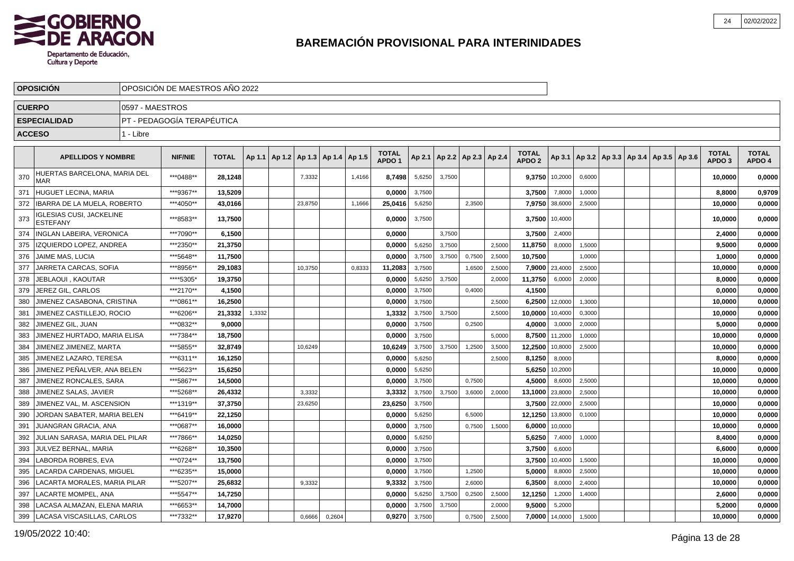

|               | <b>OPOSICION</b>                                   |                 | OPOSICIÓN DE MAESTROS AÑO 2022 |              |        |                                   |         |        |        |                                   |        |        |                          |        |                                   |                |        |  |                                            |                                   |                        |
|---------------|----------------------------------------------------|-----------------|--------------------------------|--------------|--------|-----------------------------------|---------|--------|--------|-----------------------------------|--------|--------|--------------------------|--------|-----------------------------------|----------------|--------|--|--------------------------------------------|-----------------------------------|------------------------|
| <b>CUERPO</b> |                                                    | 0597 - MAESTROS |                                |              |        |                                   |         |        |        |                                   |        |        |                          |        |                                   |                |        |  |                                            |                                   |                        |
|               | <b>ESPECIALIDAD</b>                                |                 | PT - PEDAGOGÍA TERAPÉUTICA     |              |        |                                   |         |        |        |                                   |        |        |                          |        |                                   |                |        |  |                                            |                                   |                        |
| <b>ACCESO</b> |                                                    | 1 - Libre       |                                |              |        |                                   |         |        |        |                                   |        |        |                          |        |                                   |                |        |  |                                            |                                   |                        |
|               |                                                    |                 |                                |              |        |                                   |         |        |        |                                   |        |        |                          |        |                                   |                |        |  |                                            |                                   |                        |
|               | <b>APELLIDOS Y NOMBRE</b>                          |                 | <b>NIF/NIE</b>                 | <b>TOTAL</b> | Ap 1.1 | Ap 1.2   Ap 1.3   Ap 1.4   Ap 1.5 |         |        |        | <b>TOTAL</b><br>APDO <sub>1</sub> | Ap 2.1 |        | Ap 2.2   Ap 2.3   Ap 2.4 |        | <b>TOTAL</b><br>APDO <sub>2</sub> | Ap 3.1 $\vert$ |        |  | Ap 3.2   Ap 3.3   Ap 3.4   Ap 3.5   Ap 3.6 | <b>TOTAL</b><br>APDO <sub>3</sub> | <b>TOTAL</b><br>APDO 4 |
| 370           | HUERTAS BARCELONA, MARIA DEL<br><b>MAR</b>         |                 | ***0488**                      | 28.1248      |        |                                   | 7,3332  |        | 1,4166 | 8,7498                            | 5,6250 | 3,7500 |                          |        | 9,3750                            | 10,2000        | 0,6000 |  |                                            | 10,0000                           | 0,0000                 |
| 371           | HUGUET LECINA, MARIA                               |                 | ***9367**                      | 13,5209      |        |                                   |         |        |        | 0.0000                            | 3,7500 |        |                          |        | 3,7500                            | 7,8000         | 1,0000 |  |                                            | 8,8000                            | 0,9709                 |
| 372           | IBARRA DE LA MUELA. ROBERTO                        |                 | ***4050**                      | 43,0166      |        |                                   | 23,8750 |        | 1,1666 | 25,0416                           | 5,6250 |        | 2,3500                   |        | 7,9750                            | 38,6000        | 2,5000 |  |                                            | 10,0000                           | 0,0000                 |
| 373           | <b>IGLESIAS CUSI, JACKELINE</b><br><b>ESTEFANY</b> |                 | ***8583**                      | 13,7500      |        |                                   |         |        |        | 0,0000                            | 3,7500 |        |                          |        |                                   | 3,7500 10,4000 |        |  |                                            | 10,0000                           | 0,0000                 |
| 374           | <b>INGLAN LABEIRA, VERONICA</b>                    |                 | ***7090**                      | 6,1500       |        |                                   |         |        |        | 0.0000                            |        | 3,7500 |                          |        | 3,7500                            | 2,4000         |        |  |                                            | 2,4000                            | 0,0000                 |
| 375           | IZQUIERDO LOPEZ. ANDREA                            |                 | ***2350**                      | 21,3750      |        |                                   |         |        |        | 0.0000                            | 5,6250 | 3,7500 |                          | 2.5000 | 11,8750                           | 8,0000         | 1,5000 |  |                                            | 9,5000                            | 0,0000                 |
| 376           | JAIME MAS, LUCIA                                   |                 | ***5648**                      | 11,7500      |        |                                   |         |        |        | 0,0000                            | 3,7500 | 3,7500 | 0,7500                   | 2.5000 | 10,7500                           |                | 1.0000 |  |                                            | 1,0000                            | 0,0000                 |
| 377           | JARRETA CARCAS, SOFIA                              |                 | ***8956**                      | 29,1083      |        |                                   | 10,3750 |        | 0,8333 | 11,2083                           | 3,7500 |        | 1,6500                   | 2,5000 | 7,9000                            | 23,4000        | 2,5000 |  |                                            | 10,0000                           | 0,0000                 |
| 378           | JEBLAOUI, KAOUTAR                                  |                 | ****5305*                      | 19,3750      |        |                                   |         |        |        | 0,0000                            | 5,6250 | 3,7500 |                          | 2,0000 | 11,3750                           | 6,0000         | 2,0000 |  |                                            | 8,0000                            | 0,0000                 |
| 379           | JEREZ GIL, CARLOS                                  |                 | ***2170**                      | 4,1500       |        |                                   |         |        |        | 0,0000                            | 3,7500 |        | 0,4000                   |        | 4,1500                            |                |        |  |                                            | 0,0000                            | 0,0000                 |
| 380           | JIMENEZ CASABONA, CRISTINA                         |                 | ***0861**                      | 16,2500      |        |                                   |         |        |        | 0,0000                            | 3,7500 |        |                          | 2,5000 | 6,2500                            | 12,0000        | 1,3000 |  |                                            | 10,0000                           | 0,0000                 |
| 381           | JIMENEZ CASTILLEJO, ROCIO                          |                 | ***6206**                      | 21,3332      | 1,3332 |                                   |         |        |        | 1,3332                            | 3,7500 | 3,7500 |                          | 2.5000 | 10,0000                           | 10,4000        | 0,3000 |  |                                            | 10,0000                           | 0,0000                 |
| 382           | JIMENEZ GIL. JUAN                                  |                 | ***0832**                      | 9.0000       |        |                                   |         |        |        | 0.0000                            | 3,7500 |        | 0,2500                   |        | 4.0000                            | 3,0000         | 2,0000 |  |                                            | 5.0000                            | 0,0000                 |
| 383           | JIMENEZ HURTADO, MARIA ELISA                       |                 | ***7384**                      | 18,7500      |        |                                   |         |        |        | 0,0000                            | 3,7500 |        |                          | 5,0000 | 8,7500                            | 11,2000        | 1,0000 |  |                                            | 10,0000                           | 0,0000                 |
| 384           | JIMENEZ JIMENEZ, MARTA                             |                 | ***5855**                      | 32,8749      |        |                                   | 10,6249 |        |        | 10,6249                           | 3,7500 | 3,7500 | 1,2500                   | 3,5000 | 12,2500                           | 10,8000        | 2,5000 |  |                                            | 10,0000                           | 0,0000                 |
| 385           | JIMENEZ LAZARO, TERESA                             |                 | ***6311**                      | 16,1250      |        |                                   |         |        |        | 0,0000                            | 5,6250 |        |                          | 2,5000 | 8,1250                            | 8,0000         |        |  |                                            | 8,0000                            | 0,0000                 |
| 386           | JIMENEZ PEÑALVER, ANA BELEN                        |                 | ***5623**                      | 15,6250      |        |                                   |         |        |        | 0,0000                            | 5,6250 |        |                          |        | 5,6250                            | 10,2000        |        |  |                                            | 10,0000                           | 0,0000                 |
| 387           | JIMENEZ RONCALES, SARA                             |                 | ***5867**                      | 14,5000      |        |                                   |         |        |        | 0,0000                            | 3,7500 |        | 0.7500                   |        | 4,5000                            | 8,6000         | 2,5000 |  |                                            | 10,0000                           | 0,0000                 |
| 388           | JIMENEZ SALAS, JAVIER                              |                 | ***5268**                      | 26.4332      |        |                                   | 3,3332  |        |        | 3,3332                            | 3,7500 | 3,7500 | 3,6000                   | 2,0000 | 13,1000                           | 23,8000        | 2,5000 |  |                                            | 10,0000                           | 0,0000                 |
| 389           | JIMENEZ VAL, M. ASCENSION                          |                 | ***1319**                      | 37,3750      |        |                                   | 23,6250 |        |        | 23,6250                           | 3,7500 |        |                          |        | 3,7500                            | 22,0000        | 2,5000 |  |                                            | 10,0000                           | 0,0000                 |
| 390           | JORDAN SABATER, MARIA BELEN                        |                 | ***6419**                      | 22,1250      |        |                                   |         |        |        | 0,0000                            | 5,6250 |        | 6,5000                   |        | 12,1250                           | 13,8000        | 0,1000 |  |                                            | 10,0000                           | 0,0000                 |
| 391           | JUANGRAN GRACIA, ANA                               |                 | ***0687**                      | 16,0000      |        |                                   |         |        |        | 0,0000                            | 3,7500 |        | 0,7500                   | 1,5000 | 6,0000                            | 10,0000        |        |  |                                            | 10,0000                           | 0,0000                 |
| 392           | JULIAN SARASA, MARIA DEL PILAR                     |                 | ***7866**                      | 14,0250      |        |                                   |         |        |        | 0,0000                            | 5,6250 |        |                          |        | 5,6250                            | 7,4000         | 1,0000 |  |                                            | 8,4000                            | 0,0000                 |
| 393           | JULVEZ BERNAL, MARIA                               |                 | ***6268**                      | 10,3500      |        |                                   |         |        |        | 0,0000                            | 3,7500 |        |                          |        | 3,7500                            | 6,6000         |        |  |                                            | 6,6000                            | 0,0000                 |
| 394           | LABORDA ROBRES, EVA                                |                 | ***0724**                      | 13.7500      |        |                                   |         |        |        | 0.0000                            | 3,7500 |        |                          |        | 3,7500                            | 10,4000        | 1,5000 |  |                                            | 10,0000                           | 0,0000                 |
| 395           | LACARDA CARDENAS, MIGUEL                           |                 | ***6235**                      | 15,0000      |        |                                   |         |        |        | 0.0000                            | 3,7500 |        | 1,2500                   |        | 5,0000                            | 8,8000         | 2,5000 |  |                                            | 10,0000                           | 0,0000                 |
| 396           | LACARTA MORALES, MARIA PILAR                       |                 | ***5207**                      | 25,6832      |        |                                   | 9,3332  |        |        | 9,3332                            | 3,7500 |        | 2,6000                   |        | 6,3500                            | 8,0000         | 2,4000 |  |                                            | 10,0000                           | 0,0000                 |
| 397           | LACARTE MOMPEL, ANA                                |                 | ***5547**                      | 14,7250      |        |                                   |         |        |        | 0,0000                            | 5,6250 | 3,7500 | 0,2500                   | 2,5000 | 12,1250                           | 1,2000         | 1,4000 |  |                                            | 2,6000                            | 0,0000                 |
| 398           | LACASA ALMAZAN, ELENA MARIA                        |                 | ***6653**                      | 14,7000      |        |                                   |         |        |        | 0,0000                            | 3,7500 | 3,7500 |                          | 2,0000 | 9,5000                            | 5,2000         |        |  |                                            | 5,2000                            | 0,0000                 |
| 399           | LACASA VISCASILLAS, CARLOS                         |                 | ***7332**                      | 17,9270      |        |                                   | 0,6666  | 0,2604 |        | 0,9270                            | 3,7500 |        | 0,7500                   | 2,5000 | 7,0000                            | 14,0000        | 1,5000 |  |                                            | 10,0000                           | 0,0000                 |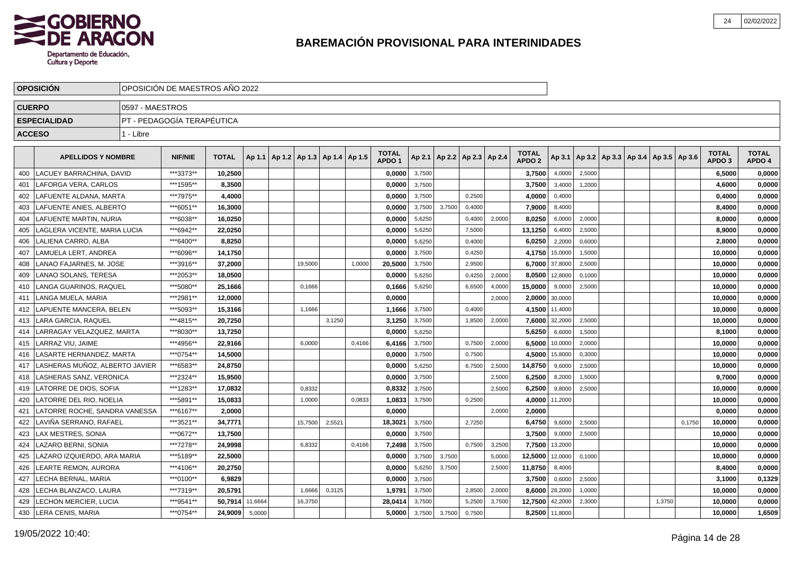

|     | <b>OPOSICION</b>               |                 | OPOSICIÓN DE MAESTROS AÑO 2022 |              |         |         |                                   |        |                                   |        |        |                          |        |                                   |                |        |                                            |        |        |                                   |                        |
|-----|--------------------------------|-----------------|--------------------------------|--------------|---------|---------|-----------------------------------|--------|-----------------------------------|--------|--------|--------------------------|--------|-----------------------------------|----------------|--------|--------------------------------------------|--------|--------|-----------------------------------|------------------------|
|     | <b>CUERPO</b>                  | 0597 - MAESTROS |                                |              |         |         |                                   |        |                                   |        |        |                          |        |                                   |                |        |                                            |        |        |                                   |                        |
|     | <b>ESPECIALIDAD</b>            |                 | PT - PEDAGOGÍA TERAPÉUTICA     |              |         |         |                                   |        |                                   |        |        |                          |        |                                   |                |        |                                            |        |        |                                   |                        |
|     | <b>ACCESO</b>                  | 1 - Libre       |                                |              |         |         |                                   |        |                                   |        |        |                          |        |                                   |                |        |                                            |        |        |                                   |                        |
|     | <b>APELLIDOS Y NOMBRE</b>      |                 | <b>NIF/NIE</b>                 | <b>TOTAL</b> | Ap 1.1  |         | Ap 1.2   Ap 1.3   Ap 1.4   Ap 1.5 |        | <b>TOTAL</b><br>APDO <sub>1</sub> | Ap 2.1 |        | Ap 2.2   Ap 2.3   Ap 2.4 |        | <b>TOTAL</b><br>APDO <sub>2</sub> | Ap 3.1         |        | Ap 3.2   Ap 3.3   Ap 3.4   Ap 3.5   Ap 3.6 |        |        | <b>TOTAL</b><br>APDO <sub>3</sub> | <b>TOTAL</b><br>APDO 4 |
| 400 | LLACUEY BARRACHINA. DAVID      |                 | ***3373**                      | 10.2500      |         |         |                                   |        | 0.0000                            | 3,7500 |        |                          |        | 3,7500                            | 4,0000         | 2,5000 |                                            |        |        | 6,5000                            | 0,0000                 |
| 401 | LAFORGA VERA, CARLOS           |                 | ***1595**                      | 8,3500       |         |         |                                   |        | 0.0000                            | 3,7500 |        |                          |        | 3,7500                            | 3,4000         | 1,2000 |                                            |        |        | 4,6000                            | 0,0000                 |
| 402 | LAFUENTE ALDANA, MARTA         |                 | ***7975**                      | 4,4000       |         |         |                                   |        | 0.00001                           | 3,7500 |        | 0,2500                   |        | 4,0000                            | 0,4000         |        |                                            |        |        | 0,4000                            | 0,0000                 |
| 403 | LAFUENTE ANIES, ALBERTO        |                 | ***6051**                      | 16,3000      |         |         |                                   |        | 0,0000                            | 3,7500 | 3,7500 | 0,4000                   |        | 7,9000                            | 8,4000         |        |                                            |        |        | 8,4000                            | 0,0000                 |
| 404 | LAFUENTE MARTIN, NURIA         |                 | ***6038**                      | 16,0250      |         |         |                                   |        | 0,0000                            | 5,6250 |        | 0,4000                   | 2,0000 | 8,0250                            | 6,0000         | 2,0000 |                                            |        |        | 8,0000                            | 0,0000                 |
| 405 | LAGLERA VICENTE. MARIA LUCIA   |                 | ***6942**                      | 22.0250      |         |         |                                   |        | 0.0000                            | 5,6250 |        | 7,5000                   |        | 13.1250                           | 6,4000         | 2,5000 |                                            |        |        | 8.9000                            | 0,0000                 |
| 406 | LALIENA CARRO. ALBA            |                 | ***6400**                      | 8.8250       |         |         |                                   |        | 0.0000                            | 5,6250 |        | 0,4000                   |        | 6,0250                            | 2,2000         | 0,6000 |                                            |        |        | 2,8000                            | 0,0000                 |
| 407 | LAMUELA LERT. ANDREA           |                 | ***6096**                      | 14,1750      |         |         |                                   |        | 0.0000                            | 3,7500 |        | 0,4250                   |        |                                   | 4,1750 15,0000 | 1,5000 |                                            |        |        | 10,0000                           | 0,0000                 |
| 408 | LANAO FAJARNES, M. JOSE        |                 | ***3916**                      | 37,2000      |         | 19,5000 |                                   | 1,0000 | 20,5000                           | 3,7500 |        | 2,9500                   |        |                                   | 6,7000 37,8000 | 2,5000 |                                            |        |        | 10,0000                           | 0,0000                 |
| 409 | <b>LANAO SOLANS, TERESA</b>    |                 | ***2053**                      | 18,0500      |         |         |                                   |        | 0,0000                            | 5,6250 |        | 0,4250                   | 2,0000 | 8,0500                            | 12,8000        | 0,1000 |                                            |        |        | 10,0000                           | 0,0000                 |
| 410 | LANGA GUARINOS, RAQUEL         |                 | ***5080**                      | 25,1666      |         | 0,1666  |                                   |        | 0,1666                            | 5,6250 |        | 6,6500                   | 4,0000 | 15,0000                           | 9,0000         | 2,5000 |                                            |        |        | 10,0000                           | 0,0000                 |
| 411 | l LANGA MUELA. MARIA           |                 | ***2981**                      | 12.0000      |         |         |                                   |        | 0.0000                            |        |        |                          | 2.0000 |                                   | 2,0000 30,0000 |        |                                            |        |        | 10,0000                           | 0,0000                 |
| 412 | LAPUENTE MANCERA. BELEN        |                 | ***5093**                      | 15.3166      |         | 1,1666  |                                   |        | 1,1666                            | 3,7500 |        | 0,4000                   |        |                                   | 4,1500 11,4000 |        |                                            |        |        | 10,0000                           | 0,0000                 |
| 413 | LARA GARCIA. RAQUEL            |                 | ***4815**                      | 20.7250      |         |         | 3,1250                            |        | 3,1250                            | 3,7500 |        | 1,8500                   | 2,0000 | 7,6000                            | 32,2000        | 2,5000 |                                            |        |        | 10,0000                           | 0,0000                 |
| 414 | LARRAGAY VELAZQUEZ, MARTA      |                 | ***8030**                      | 13,7250      |         |         |                                   |        | 0.0000                            | 5,6250 |        |                          |        | 5,6250                            | 6,6000         | 1,5000 |                                            |        |        | 8,1000                            | 0,0000                 |
| 415 | LARRAZ VIU. JAIME              |                 | ***4956**                      | 22,9166      |         | 6,0000  |                                   | 0,4166 | 6,4166                            | 3,7500 |        | 0,7500                   | 2,0000 | 6,5000                            | 10,0000        | 2,0000 |                                            |        |        | 10,0000                           | 0,0000                 |
| 416 | LASARTE HERNANDEZ. MARTA       |                 | ***0754**                      | 14,5000      |         |         |                                   |        | 0,0000                            | 3,7500 |        | 0,7500                   |        | 4,5000                            | 15,8000        | 0,3000 |                                            |        |        | 10,0000                           | 0,0000                 |
| 417 | LASHERAS MUÑOZ. ALBERTO JAVIER |                 | ***6583**                      | 24.8750      |         |         |                                   |        | 0.0000                            | 5,6250 |        | 6,7500                   | 2,5000 | 14,8750                           | 9,6000         | 2,5000 |                                            |        |        | 10.0000                           | 0,0000                 |
| 418 | LASHERAS SANZ, VERONICA        |                 | ***2324**                      | 15.9500      |         |         |                                   |        | 0.0000                            | 3,7500 |        |                          | 2,5000 | 6,2500                            | 8,2000         | 1,5000 |                                            |        |        | 9.7000                            | 0,0000                 |
| 419 | LATORRE DE DIOS, SOFIA         |                 | ***1283**                      | 17,0832      |         | 0,8332  |                                   |        | 0,8332                            | 3,7500 |        |                          | 2,5000 | 6,2500                            | 9,8000         | 2,5000 |                                            |        |        | 10,0000                           | 0,0000                 |
| 420 | LATORRE DEL RIO, NOELIA        |                 | ***5891**                      | 15,0833      |         | 1,0000  |                                   | 0,0833 | 1,0833                            | 3,7500 |        | 0,2500                   |        | 4,0000                            | 11,2000        |        |                                            |        |        | 10,0000                           | 0,0000                 |
| 421 | LATORRE ROCHE, SANDRA VANESSA  |                 | ***6167**                      | 2,0000       |         |         |                                   |        | 0,0000                            |        |        |                          | 2,0000 | 2,0000                            |                |        |                                            |        |        | 0,0000                            | 0,0000                 |
| 422 | LAVIÑA SERRANO, RAFAEL         |                 | ***3521**                      | 34,7771      |         | 15,7500 | 2,5521                            |        | 18,3021                           | 3,7500 |        | 2,7250                   |        | 6,4750                            | 9,6000         | 2,5000 |                                            |        | 0,1750 | 10,0000                           | 0,0000                 |
| 423 | LAX MESTRES. SONIA             |                 | ***0672**                      | 13.7500      |         |         |                                   |        | 0.0000                            | 3,7500 |        |                          |        | 3.7500                            | 9,0000         | 2,5000 |                                            |        |        | 10.0000                           | 0,0000                 |
| 424 | LAZARO BERNI. SONIA            |                 | ***7278**                      | 24.9998      |         | 6,8332  |                                   | 0,4166 | 7.2498                            | 3,7500 |        | 0,7500                   | 3,2500 |                                   | 7,7500 13,2000 |        |                                            |        |        | 10.0000                           | 0,0000                 |
| 425 | LAZARO IZQUIERDO, ARA MARIA    |                 | ***5189**                      | 22,5000      |         |         |                                   |        | 0.0000                            | 3,7500 | 3,7500 |                          | 5,0000 | 12,5000                           | 12,0000        | 0,1000 |                                            |        |        | 10,0000                           | 0,0000                 |
| 426 | LEARTE REMON, AURORA           |                 | ***4106**                      | 20,2750      |         |         |                                   |        | 0,0000                            | 5,6250 | 3,7500 |                          | 2,5000 | 11,8750                           | 8,4000         |        |                                            |        |        | 8,4000                            | 0,0000                 |
| 427 | LECHA BERNAL, MARIA            |                 | ***0100**                      | 6,9829       |         |         |                                   |        | 0,0000                            | 3,7500 |        |                          |        | 3,7500                            | 0,6000         | 2,5000 |                                            |        |        | 3,1000                            | 0,1329                 |
| 428 | LECHA BLANZACO, LAURA          |                 | ***7319**                      | 20,5791      |         | 1,6666  | 0,3125                            |        | 1,9791                            | 3,7500 |        | 2,8500                   | 2,0000 |                                   | 8,6000 28,2000 | 1,0000 |                                            |        |        | 10,0000                           | 0,0000                 |
| 429 | LECHON MERCIER, LUCIA          |                 | ***9541**                      | 50.7914      | 11,6664 | 16,3750 |                                   |        | 28,0414                           | 3,7500 |        | 5,2500                   | 3,7500 | 12,7500 42,2000                   |                | 2,3000 |                                            | 1,3750 |        | 10.0000                           | 0,0000                 |
|     | 430 LERA CENIS, MARIA          |                 | ***0754**                      | 24,9009      | 5,0000  |         |                                   |        | 5.0000                            | 3,7500 | 3,7500 | 0,7500                   |        |                                   | 8,2500 11,8000 |        |                                            |        |        | 10,0000                           | 1,6509                 |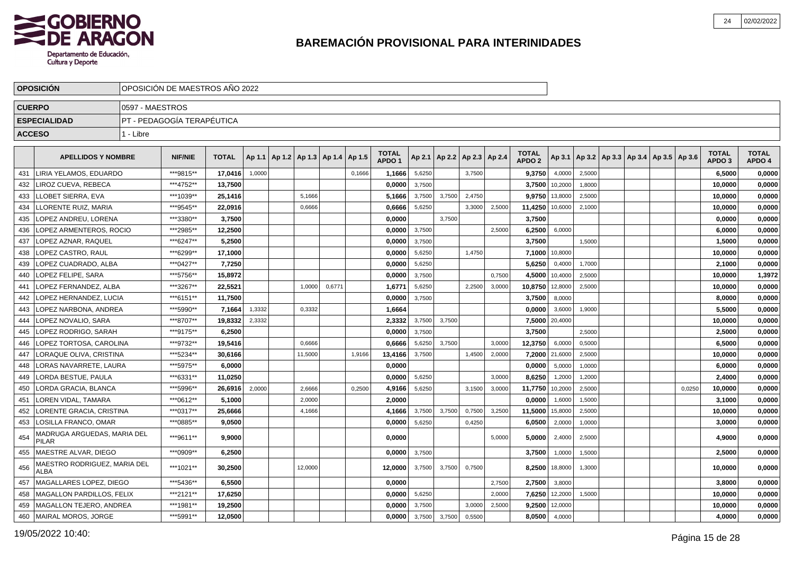

|               | <b>OPOSICION</b>                            |                 | OPOSICIÓN DE MAESTROS AÑO 2022 |              |        |                          |        |        |                                   |        |        |                          |        |                                   |                |                                                     |  |        |                                   |                        |
|---------------|---------------------------------------------|-----------------|--------------------------------|--------------|--------|--------------------------|--------|--------|-----------------------------------|--------|--------|--------------------------|--------|-----------------------------------|----------------|-----------------------------------------------------|--|--------|-----------------------------------|------------------------|
| <b>CUERPO</b> |                                             | 0597 - MAESTROS |                                |              |        |                          |        |        |                                   |        |        |                          |        |                                   |                |                                                     |  |        |                                   |                        |
|               | <b>ESPECIALIDAD</b>                         |                 | PT - PEDAGOGÍA TERAPÉUTICA     |              |        |                          |        |        |                                   |        |        |                          |        |                                   |                |                                                     |  |        |                                   |                        |
| <b>ACCESO</b> |                                             | 1 - Libre       |                                |              |        |                          |        |        |                                   |        |        |                          |        |                                   |                |                                                     |  |        |                                   |                        |
|               |                                             |                 |                                |              |        |                          |        |        |                                   |        |        |                          |        |                                   |                |                                                     |  |        |                                   |                        |
|               | <b>APELLIDOS Y NOMBRE</b>                   |                 | <b>NIF/NIE</b>                 | <b>TOTAL</b> | Ap 1.1 | Ap 1.2   Ap 1.3   Ap 1.4 |        | Ap 1.5 | <b>TOTAL</b><br>APDO <sub>1</sub> | Ap 2.1 |        | Ap 2.2   Ap 2.3   Ap 2.4 |        | <b>TOTAL</b><br>APDO <sub>2</sub> |                | Ap 3.1   Ap 3.2   Ap 3.3   Ap 3.4   Ap 3.5   Ap 3.6 |  |        | <b>TOTAL</b><br>APDO <sub>3</sub> | <b>TOTAL</b><br>APDO 4 |
| 431           | LIRIA YELAMOS, EDUARDO                      |                 | ***9815**                      | 17,0416      | 1,0000 |                          |        | 0,1666 | 1,1666                            | 5,6250 |        | 3,7500                   |        | 9,3750                            | 4,0000         | 2,5000                                              |  |        | 6,5000                            | 0,0000                 |
| 432           | LIROZ CUEVA, REBECA                         |                 | ***4752**                      | 13,7500      |        |                          |        |        | 0,0000                            | 3,7500 |        |                          |        | 3,7500                            | 10,2000        | 1,8000                                              |  |        | 10,0000                           | 0,0000                 |
| 433           | LLOBET SIERRA, EVA                          |                 | ***1039**                      | 25,1416      |        | 5,1666                   |        |        | 5,1666                            | 3,7500 | 3,7500 | 2,4750                   |        | 9,9750                            | 13,8000        | 2,5000                                              |  |        | 10,0000                           | 0,0000                 |
| 434           | LLORENTE RUIZ, MARIA                        |                 | ***9545**                      | 22,0916      |        | 0,6666                   |        |        | 0,6666                            | 5,6250 |        | 3,3000                   | 2,5000 | 11,4250                           | 10,6000        | 2,1000                                              |  |        | 10,0000                           | 0,0000                 |
| 435           | <b>LOPEZ ANDREU, LORENA</b>                 |                 | ***3380**                      | 3,7500       |        |                          |        |        | 0,0000                            |        | 3,7500 |                          |        | 3,7500                            |                |                                                     |  |        | 0,0000                            | 0,0000                 |
| 436           | LOPEZ ARMENTEROS, ROCIO                     |                 | ***2985**                      | 12,2500      |        |                          |        |        | 0,0000                            | 3,7500 |        |                          | 2,5000 | 6,2500                            | 6,0000         |                                                     |  |        | 6.0000                            | 0,0000                 |
| 437           | LOPEZ AZNAR, RAQUEL                         |                 | ***6247**                      | 5,2500       |        |                          |        |        | 0,0000                            | 3,7500 |        |                          |        | 3,7500                            |                | 1.5000                                              |  |        | 1,5000                            | 0,0000                 |
| 438           | LOPEZ CASTRO, RAUL                          |                 | ***6299**                      | 17,1000      |        |                          |        |        | 0,0000                            | 5,6250 |        | 1,4750                   |        | 7,1000                            | 10,8000        |                                                     |  |        | 10,0000                           | 0,0000                 |
| 439           | LOPEZ CUADRADO, ALBA                        |                 | ***0427**                      | 7,7250       |        |                          |        |        | 0,0000                            | 5,6250 |        |                          |        | 5,6250                            | 0,4000         | 1,7000                                              |  |        | 2,1000                            | 0,0000                 |
| 440           | LOPEZ FELIPE, SARA                          |                 | ***5756**                      | 15,8972      |        |                          |        |        | 0,0000                            | 3,7500 |        |                          | 0,7500 | 4,5000                            | 10,4000        | 2,5000                                              |  |        | 10,0000                           | 1,3972                 |
| 441           | LOPEZ FERNANDEZ. ALBA                       |                 | ***3267**                      | 22,5521      |        | 1,0000                   | 0,6771 |        | 1,677'                            | 5,6250 |        | 2,2500                   | 3,0000 | 10,8750                           | 12,8000        | 2,5000                                              |  |        | 10,0000                           | 0,0000                 |
| 442           | LOPEZ HERNANDEZ. LUCIA                      |                 | ***6151**                      | 11,7500      |        |                          |        |        | 0,0000                            | 3,7500 |        |                          |        | 3,7500                            | 8,0000         |                                                     |  |        | 8,0000                            | 0,0000                 |
| 443           | LOPEZ NARBONA, ANDREA                       |                 | ***5990**                      | 7,1664       | 1,3332 | 0,3332                   |        |        | 1,6664                            |        |        |                          |        | 0,0000                            | 3,6000         | 1,9000                                              |  |        | 5,5000                            | 0,0000                 |
| 444           | LOPEZ NOVALIO. SARA                         |                 | ***8707**                      | 19.8332      | 2,3332 |                          |        |        | 2.3332                            | 3,7500 | 3.7500 |                          |        | 7,5000                            | 20,4000        |                                                     |  |        | 10.0000                           | 0,0000                 |
| 445           | LOPEZ RODRIGO, SARAH                        |                 | ***9175**                      | 6,2500       |        |                          |        |        | 0,0000                            | 3,7500 |        |                          |        | 3,7500                            |                | 2,5000                                              |  |        | 2,5000                            | 0,0000                 |
| 446           | LOPEZ TORTOSA, CAROLINA                     |                 | ***9732**                      | 19,5416      |        | 0,6666                   |        |        | 0,6666                            | 5,6250 | 3,7500 |                          | 3,0000 | 12,3750                           | 6,0000         | 0,5000                                              |  |        | 6,5000                            | 0,0000                 |
| 447           | LORAQUE OLIVA, CRISTINA                     |                 | ***5234**                      | 30,6166      |        | 11,5000                  |        | 1,9166 | 13,4166                           | 3,7500 |        | 1,4500                   | 2,0000 |                                   | 7,2000 21,6000 | 2,5000                                              |  |        | 10,0000                           | 0,0000                 |
| 448           | LORAS NAVARRETE, LAURA                      |                 | ***5975**                      | 6,0000       |        |                          |        |        | 0,0000                            |        |        |                          |        | 0,0000                            | 5,0000         | 1,0000                                              |  |        | 6,0000                            | 0,0000                 |
| 449           | <b>LORDA BESTUE, PAULA</b>                  |                 | ***6331**                      | 11,0250      |        |                          |        |        | 0.0000                            | 5,6250 |        |                          | 3,0000 | 8,6250                            | 1,2000         | 1,2000                                              |  |        | 2,4000                            | 0,0000                 |
| 450           | LORDA GRACIA, BLANCA                        |                 | ***5996**                      | 26,6916      | 2,0000 | 2,6666                   |        | 0,2500 | 4,9166                            | 5,6250 |        | 3,1500                   | 3,0000 | 11,7750                           | 10,2000        | 2,5000                                              |  | 0,0250 | 10,0000                           | 0,0000                 |
| 451           | LOREN VIDAL, TAMARA                         |                 | ***0612**                      | 5,1000       |        | 2,0000                   |        |        | 2.0000                            |        |        |                          |        | 0,0000                            | 1,6000         | 1,5000                                              |  |        | 3,1000                            | 0,0000                 |
| 452           | LORENTE GRACIA, CRISTINA                    |                 | ***0317**                      | 25,6666      |        | 4,1666                   |        |        | 4,1666                            | 3,7500 | 3,7500 | 0,7500                   | 3,2500 | 11,5000                           | 15,8000        | 2,5000                                              |  |        | 10,0000                           | 0,0000                 |
| 453           | LOSILLA FRANCO, OMAR                        |                 | ***0885**                      | 9,0500       |        |                          |        |        | 0,0000                            | 5,6250 |        | 0,4250                   |        | 6,0500                            | 2,0000         | 1,0000                                              |  |        | 3,0000                            | 0,0000                 |
| 454           | MADRUGA ARGUEDAS, MARIA DEL<br><b>PILAR</b> |                 | ***9611**                      | 9,9000       |        |                          |        |        | 0,0000                            |        |        |                          | 5.0000 | 5,0000                            | 2,4000         | 2,5000                                              |  |        | 4,9000                            | 0,0000                 |
| 455           | MAESTRE ALVAR, DIEGO                        |                 | ***0909**                      | 6,2500       |        |                          |        |        | 0,0000                            | 3,7500 |        |                          |        | 3,7500                            | 1,0000         | 1,5000                                              |  |        | 2,5000                            | 0,0000                 |
| 456           | MAESTRO RODRIGUEZ, MARIA DEL<br>ALBA        |                 | ***1021**                      | 30,2500      |        | 12,0000                  |        |        | 12,0000                           | 3,7500 | 3,7500 | 0,7500                   |        | 8,2500                            | 18,8000        | 1,3000                                              |  |        | 10,0000                           | 0,0000                 |
| 457           | MAGALLARES LOPEZ, DIEGO                     |                 | ***5436**                      | 6,5500       |        |                          |        |        | 0,0000                            |        |        |                          | 2,7500 | 2,7500                            | 3,8000         |                                                     |  |        | 3,8000                            | 0,0000                 |
| 458           | MAGALLON PARDILLOS, FELIX                   |                 | ***2121**                      | 17,6250      |        |                          |        |        | 0,0000                            | 5,6250 |        |                          | 2,0000 | 7,6250                            | 12,2000        | 1,5000                                              |  |        | 10,0000                           | 0,0000                 |
| 459           | MAGALLON TEJERO, ANDREA                     |                 | ***1981**                      | 19,2500      |        |                          |        |        | 0,0000                            | 3,7500 |        | 3,0000                   | 2,5000 | 9,2500                            | 12,0000        |                                                     |  |        | 10,0000                           | 0,0000                 |
| 460           | MAIRAL MOROS, JORGE                         |                 | ***5991**                      | 12,0500      |        |                          |        |        | 0,0000                            | 3,7500 | 3,7500 | 0,5500                   |        | 8,0500                            | 4,0000         |                                                     |  |        | 4,0000                            | 0,0000                 |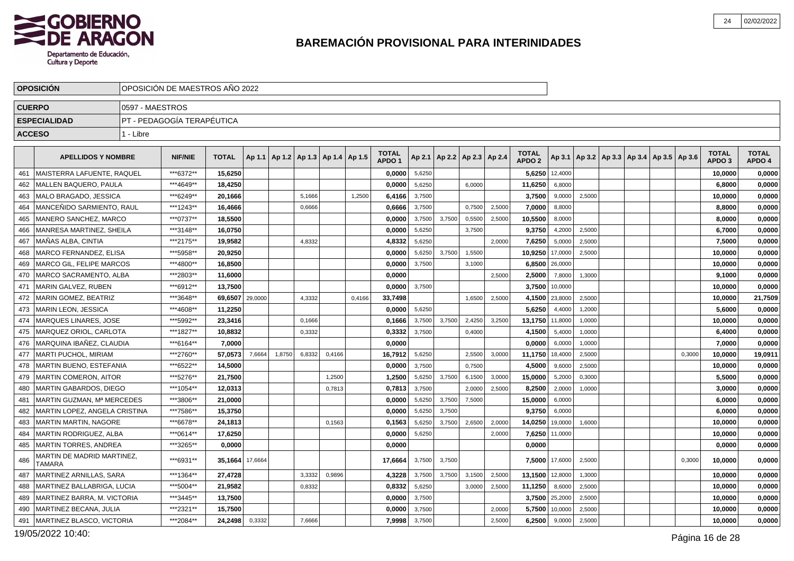

|               | <b>OPOSICION</b>                     | OPOSICION DE MAESTROS ANO 2022 |                            |              |         |        |                                            |        |        |                                   |        |        |                                   |        |                                   |         |        |                                                     |        |                                   |                        |
|---------------|--------------------------------------|--------------------------------|----------------------------|--------------|---------|--------|--------------------------------------------|--------|--------|-----------------------------------|--------|--------|-----------------------------------|--------|-----------------------------------|---------|--------|-----------------------------------------------------|--------|-----------------------------------|------------------------|
| <b>CUERPO</b> |                                      | 0597 - MAESTROS                |                            |              |         |        |                                            |        |        |                                   |        |        |                                   |        |                                   |         |        |                                                     |        |                                   |                        |
|               | <b>ESPECIALIDAD</b>                  |                                | PT - PEDAGOGÍA TERAPÉUTICA |              |         |        |                                            |        |        |                                   |        |        |                                   |        |                                   |         |        |                                                     |        |                                   |                        |
| <b>ACCESO</b> |                                      | 1 - Libre                      |                            |              |         |        |                                            |        |        |                                   |        |        |                                   |        |                                   |         |        |                                                     |        |                                   |                        |
|               |                                      |                                |                            |              |         |        |                                            |        |        |                                   |        |        |                                   |        |                                   |         |        |                                                     |        |                                   |                        |
|               | <b>APELLIDOS Y NOMBRE</b>            |                                | <b>NIF/NIE</b>             | <b>TOTAL</b> |         |        | Ap 1.1   Ap 1.2   Ap 1.3   Ap 1.4   Ap 1.5 |        |        | <b>TOTAL</b><br>APDO <sub>1</sub> |        |        | Ap 2.1   Ap 2.2   Ap 2.3   Ap 2.4 |        | <b>TOTAL</b><br>APDO <sub>2</sub> |         |        | Ap 3.1   Ap 3.2   Ap 3.3   Ap 3.4   Ap 3.5   Ap 3.6 |        | <b>TOTAL</b><br>APDO <sub>3</sub> | <b>TOTAL</b><br>APDO 4 |
| 461           | MAISTERRA LAFUENTE, RAQUEL           |                                | ***6372**                  | 15,6250      |         |        |                                            |        |        | 0,0000                            | 5,6250 |        |                                   |        | 5,6250                            | 12,4000 |        |                                                     |        | 10,0000                           | 0,0000                 |
| 462           | MALLEN BAQUERO. PAULA                |                                | ***4649**                  | 18.4250      |         |        |                                            |        |        | 0.0000                            | 5,6250 |        | 6,0000                            |        | 11,6250                           | 6,8000  |        |                                                     |        | 6,8000                            | 0,0000                 |
| 463           | MALO BRAGADO, JESSICA                |                                | ***6249**                  | 20,1666      |         |        | 5,1666                                     |        | 1,2500 | 6,4166                            | 3,7500 |        |                                   |        | 3,7500                            | 9,0000  | 2,5000 |                                                     |        | 10,0000                           | 0,0000                 |
| 464           | MANCEÑIDO SARMIENTO, RAUL            |                                | ***1243**                  | 16,4666      |         |        | 0,6666                                     |        |        | 0,6666                            | 3,7500 |        | 0,7500                            | 2,5000 | 7,0000                            | 8,8000  |        |                                                     |        | 8,8000                            | 0,0000                 |
| 465           | MANERO SANCHEZ, MARCO                |                                | ***0737**                  | 18,5500      |         |        |                                            |        |        | 0,0000                            | 3,7500 | 3,7500 | 0,5500                            | 2,5000 | 10,5500                           | 8,0000  |        |                                                     |        | 8,0000                            | 0,0000                 |
| 466           | MANRESA MARTINEZ, SHEILA             |                                | ***3148**                  | 16,0750      |         |        |                                            |        |        | 0,0000                            | 5,6250 |        | 3,7500                            |        | 9,3750                            | 4,2000  | 2,5000 |                                                     |        | 6,7000                            | 0,0000                 |
| 467           | MAÑAS ALBA, CINTIA                   |                                | ***2175**                  | 19.9582      |         |        | 4,8332                                     |        |        | 4,8332                            | 5,6250 |        |                                   | 2.0000 | 7,6250                            | 5,0000  | 2,5000 |                                                     |        | 7,5000                            | 0,0000                 |
| 468           | <b>MARCO FERNANDEZ, ELISA</b>        |                                | ***5958**                  | 20,9250      |         |        |                                            |        |        | 0,0000                            | 5,6250 | 3,7500 | 1,5500                            |        | 10,9250                           | 17,0000 | 2,5000 |                                                     |        | 10,0000                           | 0,0000                 |
| 469           | <b>MARCO GIL. FELIPE MARCOS</b>      |                                | ***4800**                  | 16.8500      |         |        |                                            |        |        | 0.0000                            | 3,7500 |        | 3,1000                            |        | 6,8500                            | 26,0000 |        |                                                     |        | 10,0000                           | 0,0000                 |
| 470           | MARCO SACRAMENTO, ALBA               |                                | ***2803**                  | 11,6000      |         |        |                                            |        |        | 0,0000                            |        |        |                                   | 2,5000 | 2,5000                            | 7,8000  | 1,3000 |                                                     |        | 9,1000                            | 0,0000                 |
| 471           | MARIN GALVEZ, RUBEN                  |                                | ***6912**                  | 13,7500      |         |        |                                            |        |        | 0.0000                            | 3,7500 |        |                                   |        | 3,7500                            | 10,0000 |        |                                                     |        | 10,0000                           | 0,0000                 |
| 472           | <b>MARIN GOMEZ, BEATRIZ</b>          |                                | ***3648**                  | 69.6507      | 29,0000 |        | 4,3332                                     |        | 0,4166 | 33,7498                           |        |        | 1,6500                            | 2,5000 | 4,1500                            | 23,8000 | 2,5000 |                                                     |        | 10,0000                           | 21,7509                |
| 473           | MARIN LEON, JESSICA                  |                                | ***4608**                  | 11,2250      |         |        |                                            |        |        | 0,0000                            | 5,6250 |        |                                   |        | 5,6250                            | 4,4000  | 1,2000 |                                                     |        | 5,6000                            | 0,0000                 |
| 474           | MARQUES LINARES, JOSE                |                                | ***5992**                  | 23,3416      |         |        | 0,1666                                     |        |        | 0.1666                            | 3,7500 | 3,7500 | 2,4250                            | 3,2500 | 13,1750                           | 11,8000 | 1,0000 |                                                     |        | 10,0000                           | 0,0000                 |
| 475           | MARQUEZ ORIOL, CARLOTA               |                                | ***1827**                  | 10,8832      |         |        | 0,3332                                     |        |        | 0,3332                            | 3,7500 |        | 0,4000                            |        | 4,1500                            | 5,4000  | 1,0000 |                                                     |        | 6,4000                            | 0,0000                 |
| 476           | MARQUINA IBAÑEZ, CLAUDIA             |                                | ***6164**                  | 7,0000       |         |        |                                            |        |        | 0,0000                            |        |        |                                   |        | 0,0000                            | 6,0000  | 1,0000 |                                                     |        | 7,0000                            | 0,0000                 |
| 477           | <b>MARTI PUCHOL, MIRIAM</b>          |                                | ***2760**                  | 57.0573      | 7,6664  | 1,8750 | 6.8332                                     | 0.4166 |        | 16,7912                           | 5,6250 |        | 2,5500                            | 3,0000 | 11,1750                           | 18,4000 | 2,5000 |                                                     | 0.3000 | 10,0000                           | 19,0911                |
| 478           | MARTIN BUENO, ESTEFANIA              |                                | ***6522**                  | 14,5000      |         |        |                                            |        |        | 0,0000                            | 3,7500 |        | 0,7500                            |        | 4,5000                            | 9,6000  | 2,5000 |                                                     |        | 10,0000                           | 0,0000                 |
| 479           | <b>MARTIN COMERON, AITOR</b>         |                                | ***5276**                  | 21,7500      |         |        |                                            | 1,2500 |        | 1,2500                            | 5,6250 | 3,7500 | 6,1500                            | 3,0000 | 15,0000                           | 5,2000  | 0,3000 |                                                     |        | 5,5000                            | 0,0000                 |
| 480           | MARTIN GABARDOS, DIEGO               |                                | ***1054**                  | 12,0313      |         |        |                                            | 0,7813 |        | 0,7813                            | 3,7500 |        | 2,0000                            | 2,5000 | 8,2500                            | 2,0000  | 1,0000 |                                                     |        | 3,0000                            | 0,0000                 |
| 481           | MARTIN GUZMAN, Mª MERCEDES           |                                | ***3806**                  | 21,0000      |         |        |                                            |        |        | 0,0000                            | 5,6250 | 3,7500 | 7,5000                            |        | 15,0000                           | 6,0000  |        |                                                     |        | 6,0000                            | 0,0000                 |
| 482           | MARTIN LOPEZ, ANGELA CRISTINA        |                                | ***7586**                  | 15,3750      |         |        |                                            |        |        | 0.0000                            | 5,6250 | 3.7500 |                                   |        | 9,3750                            | 6.0000  |        |                                                     |        | 6.0000                            | 0,0000                 |
| 483           | <b>MARTIN MARTIN, NAGORE</b>         |                                | ***6678**                  | 24,1813      |         |        |                                            | 0,1563 |        | 0,1563                            | 5,6250 | 3,7500 | 2,6500                            | 2,0000 | 14,0250                           | 19,0000 | 1,6000 |                                                     |        | 10,0000                           | 0,0000                 |
| 484           | MARTIN RODRIGUEZ, ALBA               |                                | ***0614**                  | 17.6250      |         |        |                                            |        |        | 0,0000                            | 5,6250 |        |                                   | 2,0000 | 7,6250                            | 11,0000 |        |                                                     |        | 10,0000                           | 0,0000                 |
| 485           | <b>MARTIN TORRES, ANDREA</b>         |                                | ***3265**                  | 0,0000       |         |        |                                            |        |        | 0,0000                            |        |        |                                   |        | 0,0000                            |         |        |                                                     |        | 0,0000                            | 0,0000                 |
| 486           | MARTIN DE MADRID MARTINEZ,<br>TAMARA |                                | ***6931**                  | 35.1664      | 17,6664 |        |                                            |        |        | 17.6664                           | 3,7500 | 3,7500 |                                   |        | 7.5000                            | 17,6000 | 2,5000 |                                                     | 0,3000 | 10.0000                           | 0,0000                 |
| 487           | MARTINEZ ARNILLAS, SARA              |                                | ***1364**                  | 27.4728      |         |        | 3,3332                                     | 0,9896 |        | 4.3228                            | 3,7500 | 3,7500 | 3,1500                            | 2,5000 | 13,1500                           | 12,8000 | 1,3000 |                                                     |        | 10,0000                           | 0,0000                 |
| 488           | MARTINEZ BALLABRIGA, LUCIA           |                                | ***5004**                  | 21,9582      |         |        | 0,8332                                     |        |        | 0,8332                            | 5,6250 |        | 3,0000                            | 2,5000 | 11,1250                           | 8,6000  | 2,5000 |                                                     |        | 10,0000                           | 0,0000                 |
| 489           | MARTINEZ BARRA, M. VICTORIA          |                                | ***3445**                  | 13,7500      |         |        |                                            |        |        | 0,0000                            | 3,7500 |        |                                   |        | 3,7500                            | 25,2000 | 2,5000 |                                                     |        | 10,0000                           | 0,0000                 |
| 490           | MARTINEZ BECANA, JULIA               |                                | ***2321**                  | 15,7500      |         |        |                                            |        |        | 0,0000                            | 3,7500 |        |                                   | 2.0000 | 5,7500                            | 10,0000 | 2,5000 |                                                     |        | 10,0000                           | 0,0000                 |
| 491           | <b>MARTINEZ BLASCO, VICTORIA</b>     |                                | ***2084**                  | 24,2498      | 0,3332  |        | 7,6666                                     |        |        | 7,9998                            | 3,7500 |        |                                   | 2,5000 | 6,2500                            | 9,0000  | 2,5000 |                                                     |        | 10,0000                           | 0,0000                 |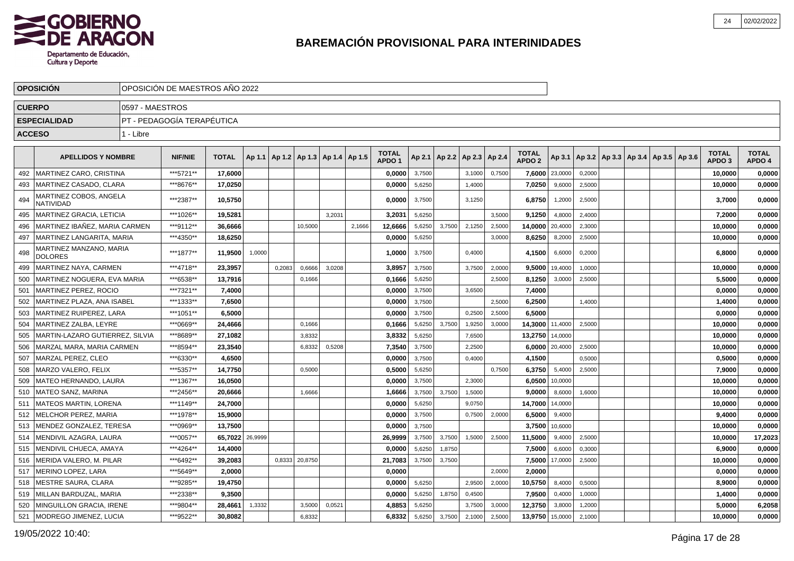

|     | <b>OPOSICION</b>                           |                 | OPOSICIÓN DE MAESTROS AÑO 2022 |                 |        |                                            |         |        |        |                                   |        |                                   |        |        |                                   |                |        |  |                                                     |                                   |                        |
|-----|--------------------------------------------|-----------------|--------------------------------|-----------------|--------|--------------------------------------------|---------|--------|--------|-----------------------------------|--------|-----------------------------------|--------|--------|-----------------------------------|----------------|--------|--|-----------------------------------------------------|-----------------------------------|------------------------|
|     | <b>CUERPO</b>                              | 0597 - MAESTROS |                                |                 |        |                                            |         |        |        |                                   |        |                                   |        |        |                                   |                |        |  |                                                     |                                   |                        |
|     | <b>ESPECIALIDAD</b>                        |                 | PT - PEDAGOGÍA TERAPÉUTICA     |                 |        |                                            |         |        |        |                                   |        |                                   |        |        |                                   |                |        |  |                                                     |                                   |                        |
|     | <b>ACCESO</b>                              | 1 - Libre       |                                |                 |        |                                            |         |        |        |                                   |        |                                   |        |        |                                   |                |        |  |                                                     |                                   |                        |
|     | <b>APELLIDOS Y NOMBRE</b>                  |                 | <b>NIF/NIE</b>                 | <b>TOTAL</b>    |        | Ap 1.1   Ap 1.2   Ap 1.3   Ap 1.4   Ap 1.5 |         |        |        | <b>TOTAL</b><br>APDO <sub>1</sub> |        | Ap 2.1   Ap 2.2   Ap 2.3   Ap 2.4 |        |        | <b>TOTAL</b><br>APDO <sub>2</sub> |                |        |  | Ap 3.1   Ap 3.2   Ap 3.3   Ap 3.4   Ap 3.5   Ap 3.6 | <b>TOTAL</b><br>APDO <sub>3</sub> | <b>TOTAL</b><br>APDO 4 |
| 492 | I MARTINEZ CARO. CRISTINA                  |                 | ***5721**                      | 17.6000         |        |                                            |         |        |        | 0.0000                            | 3,7500 |                                   | 3,1000 | 0,7500 |                                   | 7,6000 23,0000 | 0,2000 |  |                                                     | 10,0000                           | 0,0000                 |
| 493 | IMARTINEZ CASADO. CLARA                    |                 | ***8676**                      | 17.0250         |        |                                            |         |        |        | 0.0000                            | 5,6250 |                                   | 1,4000 |        | 7,0250                            | 9,6000         | 2,5000 |  |                                                     | 10.0000                           | 0.0000                 |
| 494 | MARTINEZ COBOS, ANGELA<br><b>NATIVIDAD</b> |                 | ***2387**                      | 10,5750         |        |                                            |         |        |        | 0,0000                            | 3,7500 |                                   | 3,1250 |        | 6,8750                            | 1,2000         | 2,5000 |  |                                                     | 3,7000                            | 0,0000                 |
| 495 | <b>IMARTINEZ GRACIA. LETICIA</b>           |                 | ***1026**                      | 19,5281         |        |                                            |         | 3.2031 |        | 3.2031                            | 5,6250 |                                   |        | 3,5000 | 9,1250                            | 4,8000         | 2,4000 |  |                                                     | 7,2000                            | 0,0000                 |
| 496 | MARTINEZ IBAÑEZ. MARIA CARMEN              |                 | ***9112**                      | 36.6666         |        |                                            | 10,5000 |        | 2,1666 | 12,6666                           | 5,6250 | 3,7500                            | 2,1250 | 2,5000 | 14.0000 20,4000                   |                | 2,3000 |  |                                                     | 10,0000                           | 0,0000                 |
| 497 | MARTINEZ LANGARITA, MARIA                  |                 | ***4350**                      | 18.6250         |        |                                            |         |        |        | 0.0000                            | 5,6250 |                                   |        | 3,0000 | 8,6250                            | 8,2000         | 2,5000 |  |                                                     | 10.0000                           | 0,0000                 |
| 498 | MARTINEZ MANZANO, MARIA<br><b>DOLORES</b>  |                 | ***1877**                      | 11,9500         | 1,0000 |                                            |         |        |        | 1,0000                            | 3,7500 |                                   | 0,4000 |        | 4,1500                            | 6,6000         | 0,2000 |  |                                                     | 6,8000                            | 0,0000                 |
| 499 | MARTINEZ NAYA, CARMEN                      |                 | ***4718**                      | 23.3957         |        | 0.2083                                     | 0,6666  | 3,0208 |        | 3,8957                            | 3,7500 |                                   | 3,7500 | 2.0000 | 9.5000                            | 19,4000        | 1,0000 |  |                                                     | 10,0000                           | 0,0000                 |
| 500 | MARTINEZ NOGUERA, EVA MARIA                |                 | ***6538**                      | 13,7916         |        |                                            | 0,1666  |        |        | 0.1666                            | 5,6250 |                                   |        | 2.5000 | 8,1250                            | 3,0000         | 2,5000 |  |                                                     | 5,5000                            | 0,0000                 |
| 501 | <b>MARTINEZ PEREZ. ROCIO</b>               |                 | ***7321**                      | 7.4000          |        |                                            |         |        |        | 0.0000                            | 3,7500 |                                   | 3,6500 |        | 7.4000                            |                |        |  |                                                     | 0.0000                            | 0.0000                 |
| 502 | MARTINEZ PLAZA, ANA ISABEL                 |                 | ***1333**                      | 7,6500          |        |                                            |         |        |        | 0,0000                            | 3,7500 |                                   |        | 2,5000 | 6,2500                            |                | 1,4000 |  |                                                     | 1,4000                            | 0,0000                 |
| 503 | MARTINEZ RUIPEREZ, LARA                    |                 | ***1051**                      | 6,5000          |        |                                            |         |        |        | 0,0000                            | 3,7500 |                                   | 0,2500 | 2,5000 | 6,5000                            |                |        |  |                                                     | 0,0000                            | 0,0000                 |
| 504 | MARTINEZ ZALBA, LEYRE                      |                 | ***0669**                      | 24,4666         |        |                                            | 0,1666  |        |        | 0,1666                            | 5,6250 | 3,7500                            | 1,9250 | 3,0000 | 14,3000 11,4000                   |                | 2,5000 |  |                                                     | 10,0000                           | 0,0000                 |
| 505 | MARTIN-LAZARO GUTIERREZ, SILVIA            |                 | ***8689**                      | 27,1082         |        |                                            | 3,8332  |        |        | 3,8332                            | 5,6250 |                                   | 7,6500 |        | 13,2750 14,0000                   |                |        |  |                                                     | 10,0000                           | 0,0000                 |
| 506 | MARZAL MARA, MARIA CARMEN                  |                 | ***8594**                      | 23,3540         |        |                                            | 6,8332  | 0,5208 |        | 7,3540                            | 3,7500 |                                   | 2,2500 |        |                                   | 6,0000 20,4000 | 2,5000 |  |                                                     | 10,0000                           | 0,0000                 |
| 507 | MARZAL PEREZ, CLEO                         |                 | ***6330**                      | 4,6500          |        |                                            |         |        |        | 0,0000                            | 3,7500 |                                   | 0,4000 |        | 4,1500                            |                | 0,5000 |  |                                                     | 0,5000                            | 0,0000                 |
| 508 | lMARZO VALERO. FELIX                       |                 | ***5357**                      | 14,7750         |        |                                            | 0,5000  |        |        | 0,5000                            | 5,6250 |                                   |        | 0.7500 | 6,3750                            | 5,4000         | 2,5000 |  |                                                     | 7,9000                            | 0,0000                 |
| 509 | IMATEO HERNANDO. LAURA                     |                 | ***1367**                      | 16.0500         |        |                                            |         |        |        | 0.0000                            | 3,7500 |                                   | 2,3000 |        | 6,0500                            | 10,0000        |        |  |                                                     | 10,0000                           | 0,0000                 |
| 510 | <b>IMATEO SANZ. MARINA</b>                 |                 | ***2456**                      | 20.6666         |        |                                            | 1,6666  |        |        | 1.6666                            | 3,7500 | 3,7500                            | 1,5000 |        | 9.0000                            | 8,6000         | 1,6000 |  |                                                     | 10.0000                           | 0,0000                 |
| 511 | <b>IMATEOS MARTIN. LORENA</b>              |                 | ***1149**                      | 24.7000         |        |                                            |         |        |        | 0,0000                            | 5,6250 |                                   | 9,0750 |        | 14,7000                           | 14,0000        |        |  |                                                     | 10,0000                           | 0,0000                 |
| 512 | <b>MELCHOR PEREZ, MARIA</b>                |                 | ***1978**                      | 15.9000         |        |                                            |         |        |        | 0.0000                            | 3,7500 |                                   | 0.7500 | 2.0000 | 6,5000                            | 9,4000         |        |  |                                                     | 9,4000                            | 0,0000                 |
| 513 | MENDEZ GONZALEZ. TERESA                    |                 | ***0969**                      | 13.7500         |        |                                            |         |        |        | 0.0000                            | 3,7500 |                                   |        |        | 3,7500                            | 10,6000        |        |  |                                                     | 10.0000                           | 0,0000                 |
| 514 | MENDIVIL AZAGRA, LAURA                     |                 | ***0057**                      | 65,7022 26,9999 |        |                                            |         |        |        | 26,9999                           | 3,7500 | 3,7500                            | 1,5000 | 2,5000 | 11,5000                           | 9,4000         | 2,5000 |  |                                                     | 10,0000                           | 17,2023                |
| 515 | MENDIVIL CHUECA, AMAYA                     |                 | ***4264**                      | 14,4000         |        |                                            |         |        |        | 0,0000                            | 5,6250 | 1,8750                            |        |        | 7,5000                            | 6,6000         | 0,3000 |  |                                                     | 6,9000                            | 0,0000                 |
| 516 | MERIDA VALERO, M. PILAR                    |                 | ***6492**                      | 39,2083         |        | 0,8333                                     | 20,8750 |        |        | 21,7083                           | 3,7500 | 3,7500                            |        |        | 7,5000                            | 17,0000        | 2,5000 |  |                                                     | 10,0000                           | 0,0000                 |
| 517 | MERINO LOPEZ, LARA                         |                 | ***5649**                      | 2,0000          |        |                                            |         |        |        | 0,0000                            |        |                                   |        | 2,0000 | 2,0000                            |                |        |  |                                                     | 0,0000                            | 0,0000                 |
| 518 | MESTRE SAURA, CLARA                        |                 | ***9285**                      | 19,4750         |        |                                            |         |        |        | 0,0000                            | 5,6250 |                                   | 2,9500 | 2,0000 | 10,5750                           | 8,4000         | 0,5000 |  |                                                     | 8,9000                            | 0,0000                 |
| 519 | MILLAN BARDUZAL, MARIA                     |                 | ***2338**                      | 9,3500          |        |                                            |         |        |        | 0,0000                            | 5,6250 | 1,8750                            | 0,4500 |        | 7,9500                            | 0,4000         | 1,0000 |  |                                                     | 1,4000                            | 0,0000                 |
| 520 | MINGUILLON GRACIA. IRENE                   |                 | ***9804**                      | 28,4661         | 1,3332 |                                            | 3,5000  | 0,0521 |        | 4,8853                            | 5,6250 |                                   | 3,7500 | 3,0000 | 12,3750                           | 3,8000         | 1,2000 |  |                                                     | 5,0000                            | 6,2058                 |
| 521 | MODREGO JIMENEZ, LUCIA                     |                 | ***9522**                      | 30,8082         |        |                                            | 6,8332  |        |        | 6,8332                            | 5,6250 | 3,7500                            | 2,1000 | 2,5000 | 13,9750                           | 15,0000        | 2,1000 |  |                                                     | 10,0000                           | 0,0000                 |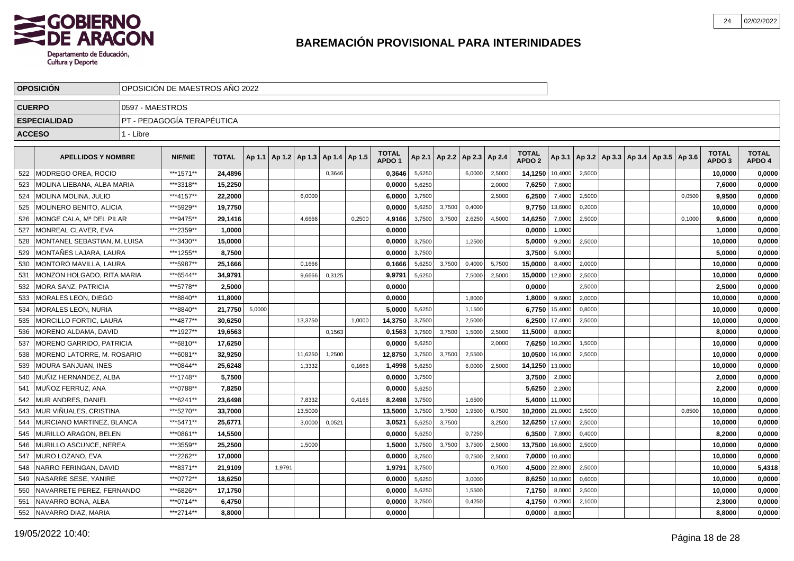

|               | <b>OPOSICION</b>              |                 | OPOSICIÓN DE MAESTROS AÑO 2022 |              |        |        |                                   |        |        |                                   |        |        |                          |        |                                   |         |        |  |                                            |        |                                   |                        |
|---------------|-------------------------------|-----------------|--------------------------------|--------------|--------|--------|-----------------------------------|--------|--------|-----------------------------------|--------|--------|--------------------------|--------|-----------------------------------|---------|--------|--|--------------------------------------------|--------|-----------------------------------|------------------------|
| <b>CUERPO</b> |                               | 0597 - MAESTROS |                                |              |        |        |                                   |        |        |                                   |        |        |                          |        |                                   |         |        |  |                                            |        |                                   |                        |
|               | <b>ESPECIALIDAD</b>           |                 | PT - PEDAGOGÍA TERAPÉUTICA     |              |        |        |                                   |        |        |                                   |        |        |                          |        |                                   |         |        |  |                                            |        |                                   |                        |
| <b>ACCESO</b> |                               | 1 - Libre       |                                |              |        |        |                                   |        |        |                                   |        |        |                          |        |                                   |         |        |  |                                            |        |                                   |                        |
|               |                               |                 |                                |              |        |        |                                   |        |        |                                   |        |        |                          |        |                                   |         |        |  |                                            |        |                                   |                        |
|               | <b>APELLIDOS Y NOMBRE</b>     |                 | <b>NIF/NIE</b>                 | <b>TOTAL</b> | Ap 1.1 |        | Ap 1.2   Ap 1.3   Ap 1.4   Ap 1.5 |        |        | <b>TOTAL</b><br>APDO <sub>1</sub> | Ap 2.1 |        | Ap 2.2   Ap 2.3   Ap 2.4 |        | <b>TOTAL</b><br>APDO <sub>2</sub> | Ap 3.1  |        |  | Ap 3.2   Ap 3.3   Ap 3.4   Ap 3.5   Ap 3.6 |        | <b>TOTAL</b><br>APDO <sub>3</sub> | <b>TOTAL</b><br>APDO 4 |
| 522           | <b>MODREGO OREA, ROCIO</b>    |                 | ***1571**                      | 24,4896      |        |        |                                   | 0.3646 |        | 0,3646                            | 5,6250 |        | 6,0000                   | 2,5000 | 14,1250                           | 10,4000 | 2,5000 |  |                                            |        | 10,0000                           | 0,0000                 |
| 523           | MOLINA LIEBANA. ALBA MARIA    |                 | ***3318**                      | 15,2250      |        |        |                                   |        |        | 0.0000                            | 5,6250 |        |                          | 2,0000 | 7,6250                            | 7,6000  |        |  |                                            |        | 7,6000                            | 0,0000                 |
| 524           | MOLINA MOLINA, JULIO          |                 | ***4157**                      | 22,2000      |        |        | 6,0000                            |        |        | 6,0000                            | 3,7500 |        |                          | 2,5000 | 6,2500                            | 7,4000  | 2,5000 |  |                                            | 0,0500 | 9,9500                            | 0,0000                 |
| 525           | MOLINERO BENITO, ALICIA       |                 | ***5929**                      | 19,7750      |        |        |                                   |        |        | 0,0000                            | 5,6250 | 3,7500 | 0,4000                   |        | 9,7750                            | 13,6000 | 0,2000 |  |                                            |        | 10,0000                           | 0,0000                 |
| 526           | MONGE CALA, Mª DEL PILAR      |                 | ***9475**                      | 29,1416      |        |        | 4,6666                            |        | 0,2500 | 4,9166                            | 3,7500 | 3,7500 | 2,6250                   | 4,5000 | 14,6250                           | 7,0000  | 2,5000 |  |                                            | 0,1000 | 9,6000                            | 0,0000                 |
| 527           | MONREAL CLAVER, EVA           |                 | ***2359**                      | 1,0000       |        |        |                                   |        |        | 0,0000                            |        |        |                          |        | 0,0000                            | 1,0000  |        |  |                                            |        | 1,0000                            | 0,0000                 |
| 528           | MONTANEL SEBASTIAN, M. LUISA  |                 | ***3430**                      | 15,0000      |        |        |                                   |        |        | 0,0000                            | 3,7500 |        | 1,2500                   |        | 5,0000                            | 9,2000  | 2,5000 |  |                                            |        | 10,0000                           | 0,0000                 |
| 529           | MONTAÑES LAJARA, LAURA        |                 | ***1255**                      | 8,7500       |        |        |                                   |        |        | 0,0000                            | 3,7500 |        |                          |        | 3,7500                            | 5,0000  |        |  |                                            |        | 5,0000                            | 0,0000                 |
| 530           | MONTORO MAVILLA, LAURA        |                 | ***5987**                      | 25,1666      |        |        | 0,1666                            |        |        | 0,1666                            | 5,6250 | 3,7500 | 0,4000                   | 5,7500 | 15,0000                           | 8,4000  | 2,0000 |  |                                            |        | 10,0000                           | 0,0000                 |
| 531           | MONZON HOLGADO, RITA MARIA    |                 | ***6544**                      | 34,9791      |        |        | 9,6666                            | 0,3125 |        | 9,9791                            | 5,6250 |        | 7,5000                   | 2,5000 | 15,0000                           | 12,8000 | 2,5000 |  |                                            |        | 10,0000                           | 0,0000                 |
| 532           | <b>MORA SANZ, PATRICIA</b>    |                 | ***5778**                      | 2,5000       |        |        |                                   |        |        | 0,0000                            |        |        |                          |        | 0,0000                            |         | 2.5000 |  |                                            |        | 2.5000                            | 0,0000                 |
| 533           | <b>MORALES LEON, DIEGO</b>    |                 | ***8840**                      | 11.8000      |        |        |                                   |        |        | 0.0000                            |        |        | 1,8000                   |        | 1.8000                            | 9.6000  | 2,0000 |  |                                            |        | 10.0000                           | 0,0000                 |
| 534           | <b>MORALES LEON, NURIA</b>    |                 | ***8840**                      | 21,7750      | 5,0000 |        |                                   |        |        | 5,0000                            | 5,6250 |        | 1,1500                   |        | 6,7750                            | 15,4000 | 0,8000 |  |                                            |        | 10,0000                           | 0,0000                 |
| 535           | <b>MORCILLO FORTIC, LAURA</b> |                 | ***4877**                      | 30.6250      |        |        | 13.3750                           |        | 1.0000 | 14,3750                           | 3,7500 |        | 2,5000                   |        | 6,2500                            | 17,4000 | 2,5000 |  |                                            |        | 10,0000                           | 0,0000                 |
| 536           | MORENO ALDAMA, DAVID          |                 | ***1927**                      | 19.6563      |        |        |                                   | 0,1563 |        | 0,1563                            | 3,7500 | 3,7500 | 1,5000                   | 2,5000 | 11,5000                           | 8,0000  |        |  |                                            |        | 8.0000                            | 0,0000                 |
| 537           | MORENO GARRIDO, PATRICIA      |                 | ***6810**                      | 17.6250      |        |        |                                   |        |        | 0,0000                            | 5,6250 |        |                          | 2.0000 | 7,6250                            | 10,2000 | 1,5000 |  |                                            |        | 10,0000                           | 0,0000                 |
| 538           | MORENO LATORRE, M. ROSARIO    |                 | ***6081**                      | 32,9250      |        |        | 11,6250                           | 1.2500 |        | 12,8750                           | 3,7500 | 3,7500 | 2,5500                   |        | 10,0500                           | 16,0000 | 2,5000 |  |                                            |        | 10,0000                           | 0,0000                 |
| 539           | <b>MOURA SANJUAN. INES</b>    |                 | ***0844**                      | 25,6248      |        |        | 1,3332                            |        | 0,1666 | 1,4998                            | 5,6250 |        | 6,0000                   | 2,5000 | 14,1250                           | 13,0000 |        |  |                                            |        | 10,0000                           | 0,0000                 |
| 540           | MUÑIZ HERNANDEZ. ALBA         |                 | ***1748**                      | 5,7500       |        |        |                                   |        |        | 0,0000                            | 3,7500 |        |                          |        | 3,7500                            | 2,0000  |        |  |                                            |        | 2,0000                            | 0,0000                 |
| 541           | MUÑOZ FERRUZ, ANA             |                 | ***0788**                      | 7,8250       |        |        |                                   |        |        | 0,0000                            | 5,6250 |        |                          |        | 5,6250                            | 2,2000  |        |  |                                            |        | 2,2000                            | 0,0000                 |
| 542           | MUR ANDRES, DANIEL            |                 | ***6241**                      | 23,6498      |        |        | 7,8332                            |        | 0,4166 | 8,2498                            | 3,7500 |        | 1,6500                   |        | 5,4000                            | 11,0000 |        |  |                                            |        | 10,0000                           | 0,0000                 |
| 543           | MUR VIÑUALES, CRISTINA        |                 | ***5270**                      | 33,7000      |        |        | 13,5000                           |        |        | 13,5000                           | 3,7500 | 3,7500 | 1,9500                   | 0,7500 | 10,2000                           | 21,0000 | 2,5000 |  |                                            | 0,8500 | 10,0000                           | 0,0000                 |
| 544           | MURCIANO MARTINEZ, BLANCA     |                 | ***5471**                      | 25,6771      |        |        | 3,0000                            | 0,0521 |        | 3,0521                            | 5,6250 | 3,7500 |                          | 3,2500 | 12,6250                           | 17,6000 | 2,5000 |  |                                            |        | 10,0000                           | 0,0000                 |
| 545           | MURILLO ARAGON, BELEN         |                 | ***0861**                      | 14,5500      |        |        |                                   |        |        | 0,0000                            | 5,6250 |        | 0,7250                   |        | 6,3500                            | 7,8000  | 0,4000 |  |                                            |        | 8,2000                            | 0,0000                 |
| 546           | MURILLO ASCUNCE, NEREA        |                 | ***3559**                      | 25,2500      |        |        | 1,5000                            |        |        | 1,5000                            | 3,7500 | 3,7500 | 3,7500                   | 2,5000 | 13,7500                           | 16,6000 | 2,5000 |  |                                            |        | 10,0000                           | 0,0000                 |
| 547           | <b>MURO LOZANO, EVA</b>       |                 | ***2262**                      | 17.0000      |        |        |                                   |        |        | 0,0000                            | 3,7500 |        | 0,7500                   | 2,5000 | 7,0000                            | 10,4000 |        |  |                                            |        | 10.0000                           | 0,0000                 |
| 548           | NARRO FERINGAN, DAVID         |                 | ***8371**                      | 21.9109      |        | 1.9791 |                                   |        |        | 1,9791                            | 3,7500 |        |                          | 0.7500 | 4,5000                            | 22,8000 | 2,5000 |  |                                            |        | 10.0000                           | 5,4318                 |
| 549           | NASARRE SESE, YANIRE          |                 | ***0772**                      | 18,6250      |        |        |                                   |        |        | 0,0000                            | 5,6250 |        | 3,0000                   |        | 8,6250                            | 10,0000 | 0,6000 |  |                                            |        | 10.0000                           | 0,0000                 |
| 550           | NAVARRETE PEREZ, FERNANDO     |                 | ***6826**                      | 17,1750      |        |        |                                   |        |        | 0,0000                            | 5,6250 |        | 1,5500                   |        | 7,1750                            | 8,0000  | 2,5000 |  |                                            |        | 10,0000                           | 0,0000                 |
| 551           | NAVARRO BONA, ALBA            |                 | ***0714**                      | 6,4750       |        |        |                                   |        |        | 0,0000                            | 3,7500 |        | 0,4250                   |        | 4,1750                            | 0,2000  | 2,1000 |  |                                            |        | 2,3000                            | 0,0000                 |
| 552           | NAVARRO DIAZ, MARIA           |                 | ***2714**                      | 8,8000       |        |        |                                   |        |        | 0,0000                            |        |        |                          |        | 0,0000                            | 8,8000  |        |  |                                            |        | 8.8000                            | 0,0000                 |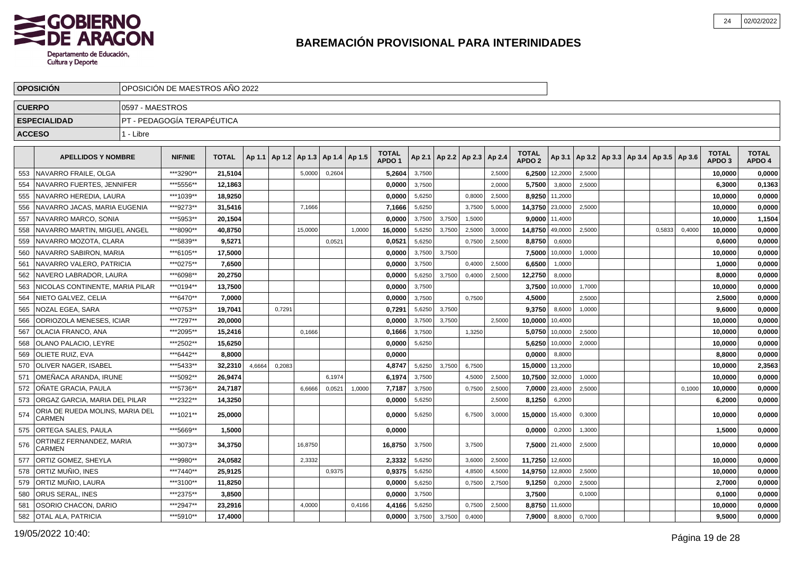

|               | <b>OPOSICION</b>                          | OPOSICIÓN DE MAESTROS AÑO 2022 |                            |              |        |            |                          |        |        |                   |        |        |                          |        |                                   |                |        |                                                     |        |        |                   |              |
|---------------|-------------------------------------------|--------------------------------|----------------------------|--------------|--------|------------|--------------------------|--------|--------|-------------------|--------|--------|--------------------------|--------|-----------------------------------|----------------|--------|-----------------------------------------------------|--------|--------|-------------------|--------------|
| <b>CUERPO</b> |                                           | 0597 - MAESTROS                |                            |              |        |            |                          |        |        |                   |        |        |                          |        |                                   |                |        |                                                     |        |        |                   |              |
|               | <b>ESPECIALIDAD</b>                       |                                | PT - PEDAGOGÍA TERAPÉUTICA |              |        |            |                          |        |        |                   |        |        |                          |        |                                   |                |        |                                                     |        |        |                   |              |
| <b>ACCESO</b> |                                           | 1 - Libre                      |                            |              |        |            |                          |        |        |                   |        |        |                          |        |                                   |                |        |                                                     |        |        |                   |              |
|               |                                           |                                |                            |              |        |            |                          |        |        | <b>TOTAL</b>      |        |        |                          |        |                                   |                |        |                                                     |        |        | <b>TOTAL</b>      | <b>TOTAL</b> |
|               | <b>APELLIDOS Y NOMBRE</b>                 |                                | <b>NIF/NIE</b>             | <b>TOTAL</b> | Ap 1.1 | $ $ Ap 1.2 | Ap 1.3   Ap 1.4   Ap 1.5 |        |        | APDO <sub>1</sub> | Ap 2.1 |        | Ap 2.2   Ap 2.3   Ap 2.4 |        | <b>TOTAL</b><br>APDO <sub>2</sub> |                |        | Ap 3.1   Ap 3.2   Ap 3.3   Ap 3.4   Ap 3.5   Ap 3.6 |        |        | APDO <sub>3</sub> | APDO 4       |
| 553           | NAVARRO FRAILE, OLGA                      |                                | ***3290**                  | 21.5104      |        |            | 5,0000                   | 0,2604 |        | 5.2604            | 3,7500 |        |                          | 2,5000 | 6,2500                            | 12,2000        | 2,5000 |                                                     |        |        | 10,0000           | 0,0000       |
| 554           | NAVARRO FUERTES, JENNIFER                 |                                | ***5556**                  | 12.1863      |        |            |                          |        |        | 0.0000            | 3,7500 |        |                          | 2,0000 | 5,7500                            | 3,8000         | 2,5000 |                                                     |        |        | 6.3000            | 0,1363       |
| 555           | NAVARRO HEREDIA, LAURA                    |                                | ***1039**                  | 18.9250      |        |            |                          |        |        | 0.0000            | 5,6250 |        | 0,8000                   | 2.5000 | 8.9250                            | 11,2000        |        |                                                     |        |        | 10.0000           | 0,0000       |
| 556           | NAVARRO JACAS, MARIA EUGENIA              |                                | ***9273**                  | 31,5416      |        |            | 7,1666                   |        |        | 7,1666            | 5,6250 |        | 3,7500                   | 5,0000 | 14,3750                           | 23,0000        | 2,5000 |                                                     |        |        | 10,0000           | 0,0000       |
| 557           | NAVARRO MARCO, SONIA                      |                                | ***5953**                  | 20,1504      |        |            |                          |        |        | 0,0000            | 3,7500 | 3,7500 | 1,5000                   |        | 9,0000                            | 11,4000        |        |                                                     |        |        | 10,0000           | 1,1504       |
| 558           | NAVARRO MARTIN, MIGUEL ANGEL              |                                | ***8090**                  | 40,8750      |        |            | 15,0000                  |        | 1,0000 | 16,0000           | 5,6250 | 3,7500 | 2,5000                   | 3,0000 | 14,8750                           | 49,0000        | 2,5000 |                                                     | 0,5833 | 0,4000 | 10,0000           | 0,0000       |
| 559           | NAVARRO MOZOTA, CLARA                     |                                | ***5839**                  | 9,5271       |        |            |                          | 0,0521 |        | 0,0521            | 5,6250 |        | 0,7500                   | 2,5000 | 8,8750                            | 0,6000         |        |                                                     |        |        | 0,6000            | 0,0000       |
| 560           | NAVARRO SABIRON, MARIA                    |                                | ***6105**                  | 17,5000      |        |            |                          |        |        | 0,0000            | 3,7500 | 3,7500 |                          |        | 7,5000                            | 10,0000        | 1,0000 |                                                     |        |        | 10,0000           | 0,0000       |
| 561           | NAVARRO VALERO, PATRICIA                  |                                | ***0275**                  | 7.6500       |        |            |                          |        |        | 0,0000            | 3,7500 |        | 0,4000                   | 2,5000 | 6,6500                            | 1,0000         |        |                                                     |        |        | 1,0000            | 0,0000       |
| 562           | NAVERO LABRADOR, LAURA                    |                                | ***6098**                  | 20,2750      |        |            |                          |        |        | 0,0000            | 5,6250 | 3,7500 | 0,4000                   | 2,5000 | 12,2750                           | 8,0000         |        |                                                     |        |        | 8,0000            | 0,0000       |
| 563           | NICOLAS CONTINENTE. MARIA PILAR           |                                | ***0194**                  | 13,7500      |        |            |                          |        |        | 0,0000            | 3,7500 |        |                          |        | 3,7500                            | 10,0000        | 1,7000 |                                                     |        |        | 10,0000           | 0,0000       |
| 564           | NIETO GALVEZ. CELIA                       |                                | ***6470**                  | 7,0000       |        |            |                          |        |        | 0,0000            | 3,7500 |        | 0.7500                   |        | 4,5000                            |                | 2,5000 |                                                     |        |        | 2,5000            | 0,0000       |
| 565           | NOZAL EGEA, SARA                          |                                | ***0753**                  | 19.7041      |        | 0.7291     |                          |        |        | 0,7291            | 5,6250 | 3,7500 |                          |        | 9.3750                            | 8,6000         | 1,0000 |                                                     |        |        | 9,6000            | 0,0000       |
| 566           | <b>ODRIOZOLA MENESES. ICIAR</b>           |                                | ***7297**                  | 20,0000      |        |            |                          |        |        | 0.0000            | 3,7500 | 3.7500 |                          | 2.5000 | 10,0000                           | 10,4000        |        |                                                     |        |        | 10.0000           | 0.0000       |
| 567           | OLACIA FRANCO, ANA                        |                                | ***2095**                  | 15,2416      |        |            | 0.1666                   |        |        | 0.1666            | 3,7500 |        | 1,3250                   |        | 5,0750                            | 10.0000        | 2.5000 |                                                     |        |        | 10,0000           | 0,0000       |
| 568           | OLANO PALACIO, LEYRE                      |                                | ***2502**                  | 15,6250      |        |            |                          |        |        | 0,0000            | 5,6250 |        |                          |        | 5,6250                            | 10,0000        | 2,0000 |                                                     |        |        | 10,0000           | 0,0000       |
| 569           | <b>OLIETE RUIZ, EVA</b>                   |                                | ***6442**                  | 8,8000       |        |            |                          |        |        | 0,0000            |        |        |                          |        | 0,0000                            | 8,8000         |        |                                                     |        |        | 8,8000            | 0,0000       |
| 570           | <b>OLIVER NAGER, ISABEL</b>               |                                | ***5433**                  | 32,2310      | 4,6664 | 0,2083     |                          |        |        | 4,8747            | 5,6250 | 3,7500 | 6,7500                   |        | 15,0000                           | 13,2000        |        |                                                     |        |        | 10,0000           | 2,3563       |
| 571           | OMEÑACA ARANDA, IRUNE                     |                                | ***5092**                  | 26,9474      |        |            |                          | 6.1974 |        | 6,1974            | 3,7500 |        | 4,5000                   | 2,5000 | 10,7500                           | 32,0000        | 1,0000 |                                                     |        |        | 10,0000           | 0,0000       |
| 572           | IOÑATE GRACIA. PAULA                      |                                | ***5736**                  | 24,7187      |        |            | 6,6666                   | 0,0521 | 1,0000 | 7,7187            | 3,7500 |        | 0,7500                   | 2,5000 | 7,0000                            | 23,4000        | 2,5000 |                                                     |        | 0,1000 | 10,0000           | 0,0000       |
| 573           | ORGAZ GARCIA, MARIA DEL PILAR             |                                | ***2322**                  | 14,3250      |        |            |                          |        |        | 0,0000            | 5,6250 |        |                          | 2,5000 | 8,1250                            | 6,2000         |        |                                                     |        |        | 6,2000            | 0,0000       |
| 574           | ORIA DE RUEDA MOLINS, MARIA DEL<br>CARMEN |                                | ***1021**                  | 25.0000      |        |            |                          |        |        | 0.0000            | 5,6250 |        | 6,7500                   | 3,0000 | 15,0000                           | 15,4000        | 0,3000 |                                                     |        |        | 10,0000           | 0,0000       |
| 575           | <b>ORTEGA SALES, PAULA</b>                |                                | ***5669**                  | 1,5000       |        |            |                          |        |        | 0,0000            |        |        |                          |        | 0,0000                            | 0,2000         | 1,3000 |                                                     |        |        | 1,5000            | 0,0000       |
| 576           | ORTINEZ FERNANDEZ, MARIA<br>CARMEN        |                                | ***3073**                  | 34,3750      |        |            | 16,8750                  |        |        | 16,8750           | 3,7500 |        | 3,7500                   |        |                                   | 7,5000 21,4000 | 2,5000 |                                                     |        |        | 10,0000           | 0,0000       |
| 577           | ORTIZ GOMEZ, SHEYLA                       |                                | ***9980**                  | 24,0582      |        |            | 2,3332                   |        |        | 2,3332            | 5,6250 |        | 3,6000                   | 2,5000 | 11,7250 12,6000                   |                |        |                                                     |        |        | 10,0000           | 0,0000       |
| 578           | ORTIZ MUÑIO, INES                         |                                | ***7440**                  | 25,9125      |        |            |                          | 0,9375 |        | 0,9375            | 5,6250 |        | 4,8500                   | 4,5000 | 14,9750                           | 12,8000        | 2,5000 |                                                     |        |        | 10,0000           | 0,0000       |
| 579           | ORTIZ MUÑIO, LAURA                        |                                | ***3100**                  | 11,8250      |        |            |                          |        |        | 0,0000            | 5,6250 |        | 0,7500                   | 2,7500 | 9,1250                            | 0,2000         | 2,5000 |                                                     |        |        | 2,7000            | 0,0000       |
| 580           | ORUS SERAL. INES                          |                                | ***2375**                  | 3,8500       |        |            |                          |        |        | 0,0000            | 3,7500 |        |                          |        | 3,7500                            |                | 0,1000 |                                                     |        |        | 0,1000            | 0,0000       |
| 581           | OSORIO CHACON, DARIO                      |                                | ***2947**                  | 23,2916      |        |            | 4,0000                   |        | 0,4166 | 4,4166            | 5,6250 |        | 0,7500                   | 2,5000 | 8,8750                            | 11,6000        |        |                                                     |        |        | 10,0000           | 0,0000       |
| 582           | <b>OTAL ALA, PATRICIA</b>                 |                                | ***5910**                  | 17,4000      |        |            |                          |        |        | 0,0000            | 3,7500 | 3,7500 | 0,4000                   |        | 7,9000                            | 8,8000         | 0,7000 |                                                     |        |        | 9.5000            | 0,0000       |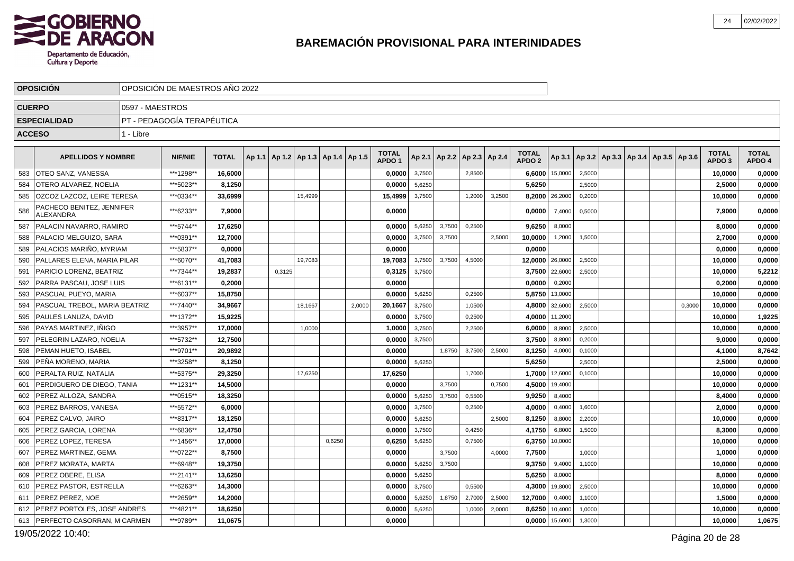

|               | <b>OPOSICION</b>                              |                 | OPOSICION DE MAESTROS ANO 2022 |              |        |                                            |        |        |                                   |        |                 |                 |        |                                   |         |        |                                                |        |                                   |                        |
|---------------|-----------------------------------------------|-----------------|--------------------------------|--------------|--------|--------------------------------------------|--------|--------|-----------------------------------|--------|-----------------|-----------------|--------|-----------------------------------|---------|--------|------------------------------------------------|--------|-----------------------------------|------------------------|
| <b>CUERPO</b> |                                               | 0597 - MAESTROS |                                |              |        |                                            |        |        |                                   |        |                 |                 |        |                                   |         |        |                                                |        |                                   |                        |
|               | <b>ESPECIALIDAD</b>                           |                 | PT - PEDAGOGÍA TERAPÉUTICA     |              |        |                                            |        |        |                                   |        |                 |                 |        |                                   |         |        |                                                |        |                                   |                        |
| <b>ACCESO</b> |                                               | 1 - Libre       |                                |              |        |                                            |        |        |                                   |        |                 |                 |        |                                   |         |        |                                                |        |                                   |                        |
|               | <b>APELLIDOS Y NOMBRE</b>                     |                 | <b>NIF/NIE</b>                 | <b>TOTAL</b> |        | Ap 1.1   Ap 1.2   Ap 1.3   Ap 1.4   Ap 1.5 |        |        | <b>TOTAL</b><br>APDO <sub>1</sub> |        | Ap 2.1   Ap 2.2 | Ap 2.3   Ap 2.4 |        | <b>TOTAL</b><br>APDO <sub>2</sub> | Ap 3.1  |        | $ $ Ap 3.2   Ap 3.3   Ap 3.4   Ap 3.5   Ap 3.6 |        | <b>TOTAL</b><br>APDO <sub>3</sub> | <b>TOTAL</b><br>APDO 4 |
| 583           | I OTEO SANZ. VANESSA                          |                 | ***1298**                      | 16.6000      |        |                                            |        |        | 0.0000                            | 3,7500 |                 | 2,8500          |        | 6,6000                            | 15,0000 | 2,5000 |                                                |        | 10,0000                           | 0,0000                 |
| 584           | OTERO ALVAREZ, NOELIA                         |                 | ***5023**                      | 8,1250       |        |                                            |        |        | 0,0000                            | 5,6250 |                 |                 |        | 5,6250                            |         | 2,5000 |                                                |        | 2,5000                            | 0,0000                 |
| 585           | OZCOZ LAZCOZ, LEIRE TERESA                    |                 | ***0334**                      | 33,6999      |        | 15.4999                                    |        |        | 15,4999                           | 3,7500 |                 | 1,2000          | 3,2500 | 8,2000                            | 26,2000 | 0,2000 |                                                |        | 10.0000                           | 0,0000                 |
| 586           | PACHECO BENITEZ, JENNIFER<br><b>ALEXANDRA</b> |                 | ***6233**                      | 7,9000       |        |                                            |        |        | 0,0000                            |        |                 |                 |        | 0,0000                            | 7,4000  | 0,5000 |                                                |        | 7,9000                            | 0,0000                 |
| 587           | PALACIN NAVARRO, RAMIRO                       |                 | ***5744**                      | 17,6250      |        |                                            |        |        | 0,0000                            | 5,6250 | 3,7500          | 0,2500          |        | 9,6250                            | 8,0000  |        |                                                |        | 8,0000                            | 0,0000                 |
| 588           | PALACIO MELGUIZO, SARA                        |                 | ***0391**                      | 12,7000      |        |                                            |        |        | 0,0000                            | 3,7500 | 3,7500          |                 | 2,5000 | 10,0000                           | 1,2000  | 1,5000 |                                                |        | 2,7000                            | 0,0000                 |
| 589           | PALACIOS MARIÑO, MYRIAM                       |                 | ***5837**                      | 0,0000       |        |                                            |        |        | 0,0000                            |        |                 |                 |        | 0,0000                            |         |        |                                                |        | 0,0000                            | 0,0000                 |
| 590           | PALLARES ELENA. MARIA PILAR                   |                 | ***6070**                      | 41,7083      |        | 19.7083                                    |        |        | 19,7083                           | 3,7500 | 3.7500          | 4,5000          |        | 12,0000                           | 26,0000 | 2.5000 |                                                |        | 10,0000                           | 0,0000                 |
| 591           | PARICIO LORENZ, BEATRIZ                       |                 | ***7344**                      | 19,2837      | 0,3125 |                                            |        |        | 0,3125                            | 3,7500 |                 |                 |        | 3,7500                            | 22,6000 | 2,5000 |                                                |        | 10,0000                           | 5,2212                 |
| 592           | PARRA PASCAU, JOSE LUIS                       |                 | ***6131**                      | 0.2000       |        |                                            |        |        | 0.0000                            |        |                 |                 |        | 0,0000                            | 0,2000  |        |                                                |        | 0,2000                            | 0,0000                 |
| 593           | PASCUAL PUEYO, MARIA                          |                 | ***6037**                      | 15,8750      |        |                                            |        |        | 0,0000                            | 5,6250 |                 | 0,2500          |        | 5,8750                            | 13,0000 |        |                                                |        | 10,0000                           | 0,0000                 |
| 594           | PASCUAL TREBOL. MARIA BEATRIZ                 |                 | ***7440**                      | 34.9667      |        | 18,1667                                    |        | 2,0000 | 20,1667                           | 3,7500 |                 | 1,0500          |        | 4,8000                            | 32,6000 | 2,5000 |                                                | 0,3000 | 10,0000                           | 0,0000                 |
| 595           | PAULES LANUZA, DAVID                          |                 | ***1372**                      | 15,9225      |        |                                            |        |        | 0,0000                            | 3,7500 |                 | 0,2500          |        | 4,0000                            | 11,2000 |        |                                                |        | 10,0000                           | 1,9225                 |
| 596           | PAYAS MARTINEZ. IÑIGO                         |                 | ***3957**                      | 17,0000      |        | 1,0000                                     |        |        | 1,0000                            | 3,7500 |                 | 2,2500          |        | 6,0000                            | 8,8000  | 2,5000 |                                                |        | 10,0000                           | 0,0000                 |
| 597           | PELEGRIN LAZARO, NOELIA                       |                 | ***5732**                      | 12,7500      |        |                                            |        |        | 0,0000                            | 3,7500 |                 |                 |        | 3,7500                            | 8,8000  | 0,2000 |                                                |        | 9,0000                            | 0,0000                 |
| 598           | PEMAN HUETO. ISABEL                           |                 | ***9701**                      | 20.9892      |        |                                            |        |        | 0,0000                            |        | 1,8750          | 3,7500          | 2,5000 | 8,1250                            | 4,0000  | 0,1000 |                                                |        | 4,1000                            | 8,7642                 |
| 599           | PEÑA MORENO, MARIA                            |                 | ***3258**                      | 8,1250       |        |                                            |        |        | 0,0000                            | 5,6250 |                 |                 |        | 5,6250                            |         | 2,5000 |                                                |        | 2,5000                            | 0,0000                 |
| 600           | PERALTA RUIZ, NATALIA                         |                 | ***5375**                      | 29,3250      |        | 17,6250                                    |        |        | 17,6250                           |        |                 | 1,7000          |        | 1,7000                            | 12,6000 | 0,1000 |                                                |        | 10,0000                           | 0,0000                 |
| 601           | PERDIGUERO DE DIEGO. TANIA                    |                 | ***1231**                      | 14,5000      |        |                                            |        |        | 0.0000                            |        | 3.7500          |                 | 0.7500 | 4,5000                            | 19,4000 |        |                                                |        | 10,0000                           | 0,0000                 |
| 602           | PEREZ ALLOZA, SANDRA                          |                 | ***0515**                      | 18,3250      |        |                                            |        |        | 0,0000                            | 5,6250 | 3,7500          | 0,5500          |        | 9,9250                            | 8,4000  |        |                                                |        | 8,4000                            | 0,0000                 |
| 603           | PEREZ BARROS, VANESA                          |                 | ***5572**                      | 6.0000       |        |                                            |        |        | 0.0000                            | 3,7500 |                 | 0,2500          |        | 4,0000                            | 0,4000  | 1,6000 |                                                |        | 2.0000                            | 0,0000                 |
| 604           | PEREZ CALVO, JAIRO                            |                 | ***8317**                      | 18,1250      |        |                                            |        |        | 0,0000                            | 5,6250 |                 |                 | 2,5000 | 8,1250                            | 8,8000  | 2,2000 |                                                |        | 10,0000                           | 0,0000                 |
| 605           | PEREZ GARCIA, LORENA                          |                 | ***6836**                      | 12,4750      |        |                                            |        |        | 0.0000                            | 3,7500 |                 | 0,4250          |        | 4,1750                            | 6,8000  | 1,5000 |                                                |        | 8,3000                            | 0,0000                 |
| 606           | PEREZ LOPEZ, TERESA                           |                 | ***1456**                      | 17,0000      |        |                                            | 0,6250 |        | 0,6250                            | 5,6250 |                 | 0,7500          |        | 6,3750                            | 10,0000 |        |                                                |        | 10,0000                           | 0,0000                 |
| 607           | PEREZ MARTINEZ, GEMA                          |                 | ***0722**                      | 8,7500       |        |                                            |        |        | 0.0000                            |        | 3,7500          |                 | 4,0000 | 7,7500                            |         | 1,0000 |                                                |        | 1,0000                            | 0,0000                 |
| 608           | PEREZ MORATA, MARTA                           |                 | ***6948**                      | 19,3750      |        |                                            |        |        | 0,0000                            | 5,6250 | 3,7500          |                 |        | 9,3750                            | 9,4000  | 1,1000 |                                                |        | 10,0000                           | 0,0000                 |
| 609           | PEREZ OBERE. ELISA                            |                 | ***2141**                      | 13,6250      |        |                                            |        |        | 0,0000                            | 5,6250 |                 |                 |        | 5,6250                            | 8,0000  |        |                                                |        | 8,0000                            | 0,0000                 |
| 610           | <b>PEREZ PASTOR, ESTRELLA</b>                 |                 | ***6263**                      | 14,3000      |        |                                            |        |        | 0,0000                            | 3,7500 |                 | 0,5500          |        | 4,3000                            | 19,8000 | 2,5000 |                                                |        | 10,0000                           | 0,0000                 |
| 611           | <b>PEREZ PEREZ, NOE</b>                       |                 | ***2659**                      | 14,2000      |        |                                            |        |        | 0,0000                            | 5,6250 | 1,8750          | 2,7000          | 2,5000 | 12,7000                           | 0,4000  | 1,1000 |                                                |        | 1,5000                            | 0,0000                 |
| 612           | PEREZ PORTOLES, JOSE ANDRES                   |                 | ***4821**                      | 18,6250      |        |                                            |        |        | 0,0000                            | 5,6250 |                 | 1,0000          | 2,0000 | 8,6250                            | 10,4000 | 1,0000 |                                                |        | 10,0000                           | 0,0000                 |
| 613           | PERFECTO CASORRAN, M CARMEN                   |                 | ***9789**                      | 11,0675      |        |                                            |        |        | 0,0000                            |        |                 |                 |        | 0,0000                            | 15,6000 | 1,3000 |                                                |        | 10,0000                           | 1,0675                 |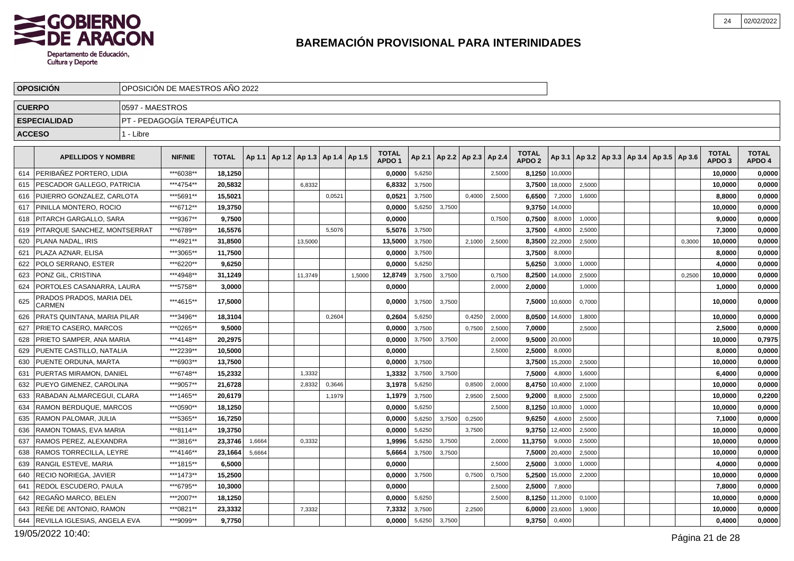

|               | <b>OPOSICION</b>                   |                 | OPOSICION DE MAESTROS ANO 2022 |              |        |                                            |        |        |                                   |        |        |                                   |        |                                   |         |                                                     |  |        |                                   |                        |
|---------------|------------------------------------|-----------------|--------------------------------|--------------|--------|--------------------------------------------|--------|--------|-----------------------------------|--------|--------|-----------------------------------|--------|-----------------------------------|---------|-----------------------------------------------------|--|--------|-----------------------------------|------------------------|
| <b>CUERPO</b> |                                    | 0597 - MAESTROS |                                |              |        |                                            |        |        |                                   |        |        |                                   |        |                                   |         |                                                     |  |        |                                   |                        |
|               | <b>ESPECIALIDAD</b>                |                 | PT - PEDAGOGÍA TERAPÉUTICA     |              |        |                                            |        |        |                                   |        |        |                                   |        |                                   |         |                                                     |  |        |                                   |                        |
| <b>ACCESO</b> |                                    | 1 - Libre       |                                |              |        |                                            |        |        |                                   |        |        |                                   |        |                                   |         |                                                     |  |        |                                   |                        |
|               |                                    |                 |                                |              |        |                                            |        |        |                                   |        |        |                                   |        |                                   |         |                                                     |  |        |                                   |                        |
|               | <b>APELLIDOS Y NOMBRE</b>          |                 | <b>NIF/NIE</b>                 | <b>TOTAL</b> |        | Ap 1.1   Ap 1.2   Ap 1.3   Ap 1.4   Ap 1.5 |        |        | <b>TOTAL</b><br>APDO <sub>1</sub> |        |        | Ap 2.1   Ap 2.2   Ap 2.3   Ap 2.4 |        | <b>TOTAL</b><br>APDO <sub>2</sub> |         | Ap 3.1   Ap 3.2   Ap 3.3   Ap 3.4   Ap 3.5   Ap 3.6 |  |        | <b>TOTAL</b><br>APDO <sub>3</sub> | <b>TOTAL</b><br>APDO 4 |
| 614           | PERIBAÑEZ PORTERO, LIDIA           |                 | ***6038**                      | 18,1250      |        |                                            |        |        | 0,0000                            | 5,6250 |        |                                   | 2,5000 | 8,1250                            | 10,0000 |                                                     |  |        | 10,0000                           | 0,0000                 |
| 615           | PESCADOR GALLEGO, PATRICIA         |                 | ***4754**                      | 20,5832      |        | 6,8332                                     |        |        | 6,8332                            | 3,7500 |        |                                   |        | 3,7500                            | 18,0000 | 2,5000                                              |  |        | 10,0000                           | 0,0000                 |
| 616           | PIJIERRO GONZALEZ, CARLOTA         |                 | ***5691**                      | 15.5021      |        |                                            | 0,0521 |        | 0,0521                            | 3,7500 |        | 0,4000                            | 2,5000 | 6,6500                            | 7,2000  | 1,6000                                              |  |        | 8,8000                            | 0,0000                 |
| 617           | PINILLA MONTERO. ROCIO             |                 | ***6712**                      | 19,3750      |        |                                            |        |        | 0,0000                            | 5,6250 | 3.7500 |                                   |        | 9,3750                            | 14.0000 |                                                     |  |        | 10.0000                           | 0,0000                 |
| 618           | I PITARCH GARGALLO. SARA           |                 | ***9367**                      | 9,7500       |        |                                            |        |        | 0,0000                            |        |        |                                   | 0,7500 | 0,7500                            | 8,0000  | 1,0000                                              |  |        | 9,0000                            | 0,0000                 |
| 619           | PITARQUE SANCHEZ, MONTSERRAT       |                 | ***6789**                      | 16.5576      |        |                                            | 5.5076 |        | 5,5076                            | 3,7500 |        |                                   |        | 3,7500                            | 4,8000  | 2,5000                                              |  |        | 7,3000                            | 0,0000                 |
| 620           | PLANA NADAL. IRIS                  |                 | ***4921**                      | 31,8500      |        | 13,5000                                    |        |        | 13,5000                           | 3,7500 |        | 2,1000                            | 2,5000 | 8,3500                            | 22,2000 | 2,5000                                              |  | 0,3000 | 10,0000                           | 0,0000                 |
| 621           | PLAZA AZNAR. ELISA                 |                 | ***3065**                      | 11,7500      |        |                                            |        |        | 0.0000                            | 3,7500 |        |                                   |        | 3,7500                            | 8,0000  |                                                     |  |        | 8,0000                            | 0,0000                 |
| 622           | POLO SERRANO, ESTER                |                 | ***6220**                      | 9,6250       |        |                                            |        |        | 0,0000                            | 5,6250 |        |                                   |        | 5,6250                            | 3,0000  | 1,0000                                              |  |        | 4,0000                            | 0,0000                 |
| 623           | PONZ GIL, CRISTINA                 |                 | ***4948**                      | 31,1249      |        | 11,3749                                    |        | 1.5000 | 12,8749                           | 3,7500 | 3,7500 |                                   | 0.7500 | 8,2500                            | 14,0000 | 2,5000                                              |  | 0,2500 | 10,0000                           | 0,0000                 |
| 624           | PORTOLES CASANARRA, LAURA          |                 | ***5758**                      | 3.0000       |        |                                            |        |        | 0.0000                            |        |        |                                   | 2,0000 | 2,0000                            |         | 1,0000                                              |  |        | 1.0000                            | 0,0000                 |
| 625           | PRADOS PRADOS, MARIA DEL<br>CARMEN |                 | ***4615**                      | 17,5000      |        |                                            |        |        | 0,0000                            | 3,7500 | 3,7500 |                                   |        | 7,5000                            | 10,6000 | 0,7000                                              |  |        | 10,0000                           | 0,0000                 |
| 626           | PRATS QUINTANA, MARIA PILAR        |                 | ***3496**                      | 18,3104      |        |                                            | 0,2604 |        | 0.2604                            | 5,6250 |        | 0,4250                            | 2,0000 | 8,0500                            | 14,6000 | 1,8000                                              |  |        | 10,0000                           | 0,0000                 |
| 627           | PRIETO CASERO, MARCOS              |                 | ***0265**                      | 9,5000       |        |                                            |        |        | 0,0000                            | 3,7500 |        | 0,7500                            | 2,5000 | 7,0000                            |         | 2,5000                                              |  |        | 2,5000                            | 0,0000                 |
| 628           | PRIETO SAMPER, ANA MARIA           |                 | ***4148**                      | 20,2975      |        |                                            |        |        | 0,0000                            | 3,7500 | 3,7500 |                                   | 2,0000 | 9,5000 20,0000                    |         |                                                     |  |        | 10,0000                           | 0,7975                 |
| 629           | PUENTE CASTILLO. NATALIA           |                 | ***2239**                      | 10.5000      |        |                                            |        |        | 0.0000                            |        |        |                                   | 2,5000 | 2,5000                            | 8,0000  |                                                     |  |        | 8.0000                            | 0,0000                 |
| 630           | <b>PUENTE ORDUNA, MARTA</b>        |                 | ***6903**                      | 13,7500      |        |                                            |        |        | 0,0000                            | 3,7500 |        |                                   |        | 3,7500                            | 15,2000 | 2,5000                                              |  |        | 10,0000                           | 0,0000                 |
| 631           | <b>PUERTAS MIRAMON, DANIEL</b>     |                 | ***6748**                      | 15,2332      |        | 1,3332                                     |        |        | 1,3332                            | 3,7500 | 3.7500 |                                   |        | 7,5000                            | 4,8000  | 1,6000                                              |  |        | 6,4000                            | 0,0000                 |
| 632           | PUEYO GIMENEZ, CAROLINA            |                 | ***9057**                      | 21,6728      |        | 2,8332                                     | 0,3646 |        | 3,1978                            | 5,6250 |        | 0,8500                            | 2,0000 | 8,4750                            | 10,4000 | 2,1000                                              |  |        | 10,0000                           | 0,0000                 |
| 633           | RABADAN ALMARCEGUI, CLARA          |                 | ***1465**                      | 20,6179      |        |                                            | 1,1979 |        | 1,1979                            | 3,7500 |        | 2,9500                            | 2,5000 | 9,2000                            | 8,8000  | 2,5000                                              |  |        | 10,0000                           | 0,2200                 |
| 634           | RAMON BERDUQUE, MARCOS             |                 | ***0590**                      | 18,1250      |        |                                            |        |        | 0,0000                            | 5,6250 |        |                                   | 2,5000 | 8,1250                            | 10,8000 | 1,0000                                              |  |        | 10,0000                           | 0,0000                 |
| 635           | <b>RAMON PALOMAR, JULIA</b>        |                 | ***5365**                      | 16,7250      |        |                                            |        |        | 0,0000                            | 5,6250 | 3,7500 | 0,2500                            |        | 9,6250                            | 4,6000  | 2,5000                                              |  |        | 7,1000                            | 0,0000                 |
| 636           | RAMON TOMAS, EVA MARIA             |                 | ***8114**                      | 19.3750      |        |                                            |        |        | 0.0000                            | 5,6250 |        | 3,7500                            |        | 9,3750                            | 12,4000 | 2,5000                                              |  |        | 10,0000                           | 0,0000                 |
| 637           | RAMOS PEREZ, ALEXANDRA             |                 | ***3816**                      | 23,3746      | 1,6664 | 0,3332                                     |        |        | 1,9996                            | 5,6250 | 3,7500 |                                   | 2,0000 | 11,3750                           | 9,0000  | 2,5000                                              |  |        | 10,0000                           | 0,0000                 |
| 638           | <b>RAMOS TORRECILLA, LEYRE</b>     |                 | ***4146**                      | 23,1664      | 5,6664 |                                            |        |        | 5.6664                            | 3,7500 | 3,7500 |                                   |        | 7,5000                            | 20,4000 | 2,5000                                              |  |        | 10,0000                           | 0,0000                 |
| 639           | <b>RANGIL ESTEVE, MARIA</b>        |                 | ***1815**                      | 6,5000       |        |                                            |        |        | 0,0000                            |        |        |                                   | 2,5000 | 2,5000                            | 3,0000  | 1,0000                                              |  |        | 4,0000                            | 0,0000                 |
| 640           | RECIO NORIEGA. JAVIER              |                 | ***1473**                      | 15,2500      |        |                                            |        |        | 0,0000                            | 3,7500 |        | 0,7500                            | 0,7500 | 5,2500                            | 15,0000 | 2,2000                                              |  |        | 10,0000                           | 0,0000                 |
| 641           | REDOL ESCUDERO, PAULA              |                 | ***6795**                      | 10,3000      |        |                                            |        |        | 0,0000                            |        |        |                                   | 2,5000 | 2,5000                            | 7,8000  |                                                     |  |        | 7,8000                            | 0,0000                 |
| 642           | REGAÑO MARCO, BELEN                |                 | ***2007**                      | 18,1250      |        |                                            |        |        | 0,0000                            | 5,6250 |        |                                   | 2,5000 | 8,1250                            | 11,2000 | 0,1000                                              |  |        | 10,0000                           | 0,0000                 |
| 643           | <b>RENE DE ANTONIO, RAMON</b>      |                 | ***0821**                      | 23,3332      |        | 7,3332                                     |        |        | 7.3332                            | 3,7500 |        | 2,2500                            |        | 6,0000                            | 23,6000 | 1,9000                                              |  |        | 10.0000                           | 0,0000                 |
| 644           | REVILLA IGLESIAS, ANGELA EVA       |                 | ***9099**                      | 9,7750       |        |                                            |        |        | 0,0000                            | 5,6250 | 3,7500 |                                   |        | 9,3750                            | 0,4000  |                                                     |  |        | 0,4000                            | 0,0000                 |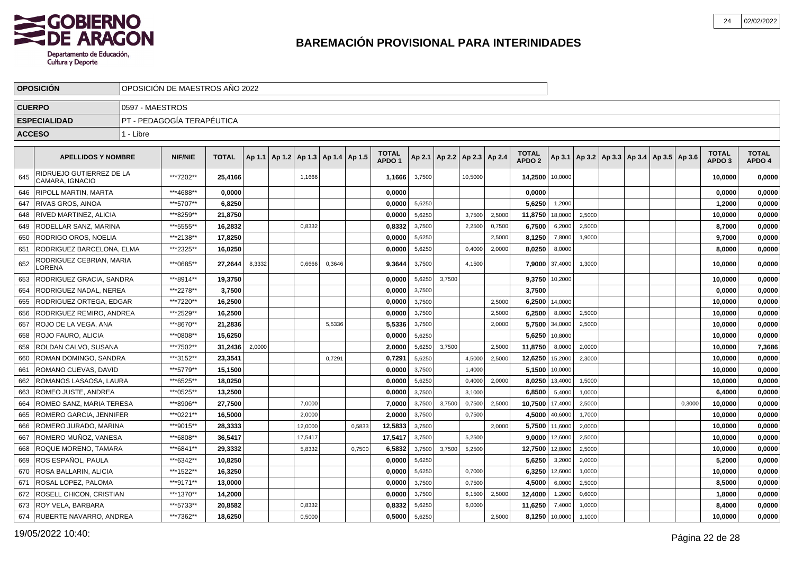

|               | <b>OPOSICION</b>                            |                 | OPOSICIÓN DE MAESTROS AÑO 2022 |              |        |                                   |        |        |                                   |        |        |                          |        |                                   |                |        |  |                                                     |        |                                   |                        |
|---------------|---------------------------------------------|-----------------|--------------------------------|--------------|--------|-----------------------------------|--------|--------|-----------------------------------|--------|--------|--------------------------|--------|-----------------------------------|----------------|--------|--|-----------------------------------------------------|--------|-----------------------------------|------------------------|
| <b>CUERPO</b> |                                             | 0597 - MAESTROS |                                |              |        |                                   |        |        |                                   |        |        |                          |        |                                   |                |        |  |                                                     |        |                                   |                        |
|               | <b>ESPECIALIDAD</b>                         |                 | PT - PEDAGOGÍA TERAPÉUTICA     |              |        |                                   |        |        |                                   |        |        |                          |        |                                   |                |        |  |                                                     |        |                                   |                        |
| <b>ACCESO</b> |                                             | 1 - Libre       |                                |              |        |                                   |        |        |                                   |        |        |                          |        |                                   |                |        |  |                                                     |        |                                   |                        |
|               |                                             |                 |                                |              |        |                                   |        |        |                                   |        |        |                          |        |                                   |                |        |  |                                                     |        |                                   |                        |
|               | <b>APELLIDOS Y NOMBRE</b>                   |                 | <b>NIF/NIE</b>                 | <b>TOTAL</b> | Ap 1.1 | Ap 1.2   Ap 1.3   Ap 1.4   Ap 1.5 |        |        | <b>TOTAL</b><br>APDO <sub>1</sub> | Ap 2.1 |        | Ap 2.2   Ap 2.3   Ap 2.4 |        | <b>TOTAL</b><br>APDO <sub>2</sub> |                |        |  | Ap 3.1   Ap 3.2   Ap 3.3   Ap 3.4   Ap 3.5   Ap 3.6 |        | <b>TOTAL</b><br>APDO <sub>3</sub> | <b>TOTAL</b><br>APDO 4 |
| 645           | RIDRUEJO GUTIERREZ DE LA<br>CAMARA, IGNACIO |                 | ***7202**                      | 25,4166      |        | 1,1666                            |        |        | 1,1666                            | 3,7500 |        | 10,5000                  |        | 14,2500                           | 10,0000        |        |  |                                                     |        | 10,0000                           | 0,0000                 |
| 646           | <b>RIPOLL MARTIN, MARTA</b>                 |                 | ***4688**                      | 0,0000       |        |                                   |        |        | 0,0000                            |        |        |                          |        | 0,0000                            |                |        |  |                                                     |        | 0,0000                            | 0,0000                 |
| 647           | RIVAS GROS, AINOA                           |                 | ***5707**                      | 6,8250       |        |                                   |        |        | 0,0000                            | 5,6250 |        |                          |        | 5,6250                            | 1,2000         |        |  |                                                     |        | 1,2000                            | 0,0000                 |
| 648           | RIVED MARTINEZ, ALICIA                      |                 | ***8259**                      | 21.8750      |        |                                   |        |        | 0.0000                            | 5,6250 |        | 3,7500                   | 2,5000 | 11,8750                           | 18,0000        | 2,5000 |  |                                                     |        | 10,0000                           | 0,0000                 |
| 649           | RODELLAR SANZ, MARINA                       |                 | ***5555**                      | 16.2832      |        | 0,8332                            |        |        | 0.8332                            | 3,7500 |        | 2,2500                   | 0.7500 | 6,7500                            | 6,2000         | 2,5000 |  |                                                     |        | 8.7000                            | 0,0000                 |
| 650           | RODRIGO OROS, NOELIA                        |                 | ***2138**                      | 17,8250      |        |                                   |        |        | 0,0000                            | 5,6250 |        |                          | 2,5000 | 8,1250                            | 7,8000         | 1,9000 |  |                                                     |        | 9,7000                            | 0,0000                 |
| 651           | RODRIGUEZ BARCELONA, ELMA                   |                 | ***2325**                      | 16,0250      |        |                                   |        |        | 0,0000                            | 5,6250 |        | 0,4000                   | 2,0000 | 8,0250                            | 8,0000         |        |  |                                                     |        | 8,0000                            | 0,0000                 |
| 652           | RODRIGUEZ CEBRIAN, MARIA<br>LORENA          |                 | ***0685**                      | 27,2644      | 8,3332 | 0,6666                            | 0,3646 |        | 9,3644                            | 3,7500 |        | 4,1500                   |        |                                   | 7,9000 37,4000 | 1,3000 |  |                                                     |        | 10,0000                           | 0,0000                 |
| 653           | RODRIGUEZ GRACIA, SANDRA                    |                 | ***8914**                      | 19,3750      |        |                                   |        |        | 0,0000                            | 5,6250 | 3,7500 |                          |        | 9,3750                            | 10,2000        |        |  |                                                     |        | 10,0000                           | 0,0000                 |
| 654           | RODRIGUEZ NADAL, NEREA                      |                 | ***2278**                      | 3,7500       |        |                                   |        |        | 0,0000                            | 3,7500 |        |                          |        | 3,7500                            |                |        |  |                                                     |        | 0,0000                            | 0,0000                 |
| 655           | RODRIGUEZ ORTEGA, EDGAR                     |                 | ***7220**                      | 16,2500      |        |                                   |        |        | 0.0000                            | 3,7500 |        |                          | 2,5000 | 6,2500                            | 14,0000        |        |  |                                                     |        | 10,0000                           | 0,0000                 |
| 656           | RODRIGUEZ REMIRO, ANDREA                    |                 | ***2529**                      | 16,2500      |        |                                   |        |        | 0.0000                            | 3,7500 |        |                          | 2,5000 | 6,2500                            | 8,0000         | 2,5000 |  |                                                     |        | 10,0000                           | 0,0000                 |
| 657           | ROJO DE LA VEGA, ANA                        |                 | ***8670**                      | 21.2836      |        |                                   | 5,5336 |        | 5.5336                            | 3,7500 |        |                          | 2,0000 |                                   | 5.7500 34,0000 | 2,5000 |  |                                                     |        | 10.0000                           | 0,0000                 |
| 658           | ROJO FAURO, ALICIA                          |                 | ***0808**                      | 15,6250      |        |                                   |        |        | 0,0000                            | 5,6250 |        |                          |        | 5,6250                            | 10,8000        |        |  |                                                     |        | 10,0000                           | 0,0000                 |
| 659           | ROLDAN CALVO, SUSANA                        |                 | ***7502**                      | 31,2436      | 2,0000 |                                   |        |        | 2,0000                            | 5,6250 | 3,7500 |                          | 2,5000 | 11,8750                           | 8,0000         | 2,0000 |  |                                                     |        | 10,0000                           | 7,3686                 |
| 660           | ROMAN DOMINGO, SANDRA                       |                 | ***3152**                      | 23,3541      |        |                                   | 0,7291 |        | 0,7291                            | 5,6250 |        | 4,5000                   | 2,5000 | 12,6250                           | 15,2000        | 2,3000 |  |                                                     |        | 10,0000                           | 0,0000                 |
| 661           | ROMANO CUEVAS, DAVID                        |                 | ***5779**                      | 15,1500      |        |                                   |        |        | 0,0000                            | 3,7500 |        | 1,4000                   |        | 5,1500                            | 10,0000        |        |  |                                                     |        | 10,0000                           | 0,0000                 |
| 662           | ROMANOS LASAOSA, LAURA                      |                 | ***6525**                      | 18,0250      |        |                                   |        |        | 0,0000                            | 5,6250 |        | 0,4000                   | 2,0000 | 8,0250                            | 13,4000        | 1,5000 |  |                                                     |        | 10,0000                           | 0,0000                 |
| 663           | ROMEO JUSTE, ANDREA                         |                 | ***0525**                      | 13.2500      |        |                                   |        |        | 0,0000                            | 3,7500 |        | 3,1000                   |        | 6,8500                            | 5,4000         | 1,0000 |  |                                                     |        | 6,4000                            | 0,0000                 |
| 664           | ROMEO SANZ, MARIA TERESA                    |                 | ***8906**                      | 27,7500      |        | 7,0000                            |        |        | 7,0000                            | 3,7500 | 3,7500 | 0,7500                   | 2,5000 | 10,7500                           | 17,4000        | 2,5000 |  |                                                     | 0,3000 | 10,0000                           | 0,0000                 |
| 665           | ROMERO GARCIA, JENNIFER                     |                 | ***0221**                      | 16,5000      |        | 2,0000                            |        |        | 2,0000                            | 3,7500 |        | 0,7500                   |        | 4,5000                            | 40,6000        | 1,7000 |  |                                                     |        | 10,0000                           | 0,0000                 |
| 666           | ROMERO JURADO, MARINA                       |                 | ***9015**                      | 28,3333      |        | 12,0000                           |        | 0,5833 | 12,5833                           | 3,7500 |        |                          | 2,0000 | 5,7500                            | 11,6000        | 2,0000 |  |                                                     |        | 10,0000                           | 0,0000                 |
| 667           | ROMERO MUÑOZ, VANESA                        |                 | ***6808**                      | 36,5417      |        | 17,5417                           |        |        | 17,5417                           | 3,7500 |        | 5,2500                   |        | 9,0000                            | 12,6000        | 2,5000 |  |                                                     |        | 10,0000                           | 0,0000                 |
| 668           | ROQUE MORENO, TAMARA                        |                 | ***6841**                      | 29,3332      |        | 5,8332                            |        | 0,7500 | 6,5832                            | 3,7500 | 3,7500 | 5,2500                   |        | 12,7500                           | 12,8000        | 2,5000 |  |                                                     |        | 10,0000                           | 0,0000                 |
| 669           | ROS ESPAÑOL. PAULA                          |                 | ***6342**                      | 10.8250      |        |                                   |        |        | 0.0000                            | 5,6250 |        |                          |        | 5,6250                            | 3,2000         | 2,0000 |  |                                                     |        | 5.2000                            | 0,0000                 |
| 670           | ROSA BALLARIN, ALICIA                       |                 | ***1522**                      | 16.3250      |        |                                   |        |        | 0.0000                            | 5,6250 |        | 0,7000                   |        | 6,3250                            | 12,6000        | 1,0000 |  |                                                     |        | 10,0000                           | 0,0000                 |
| 671           | ROSAL LOPEZ, PALOMA                         |                 | ***9171**                      | 13,0000      |        |                                   |        |        | 0,0000                            | 3,7500 |        | 0,7500                   |        | 4,5000                            | 6,0000         | 2,5000 |  |                                                     |        | 8,5000                            | 0,0000                 |
| 672           | ROSELL CHICON, CRISTIAN                     |                 | ***1370**                      | 14,2000      |        |                                   |        |        | 0,0000                            | 3,7500 |        | 6,1500                   | 2,5000 | 12,4000                           | 1,2000         | 0,6000 |  |                                                     |        | 1,8000                            | 0,0000                 |
| 673           | <b>ROY VELA, BARBARA</b>                    |                 | ***5733**                      | 20,8582      |        | 0,8332                            |        |        | 0,8332                            | 5,6250 |        | 6,0000                   |        | 11,6250                           | 7,4000         | 1,0000 |  |                                                     |        | 8,4000                            | 0,0000                 |
| 674           | <b>RUBERTE NAVARRO, ANDREA</b>              |                 | ***7362**                      | 18,6250      |        | 0,5000                            |        |        | 0,5000                            | 5,6250 |        |                          | 2,5000 | 8,1250                            | 10,0000        | 1,1000 |  |                                                     |        | 10,0000                           | 0,0000                 |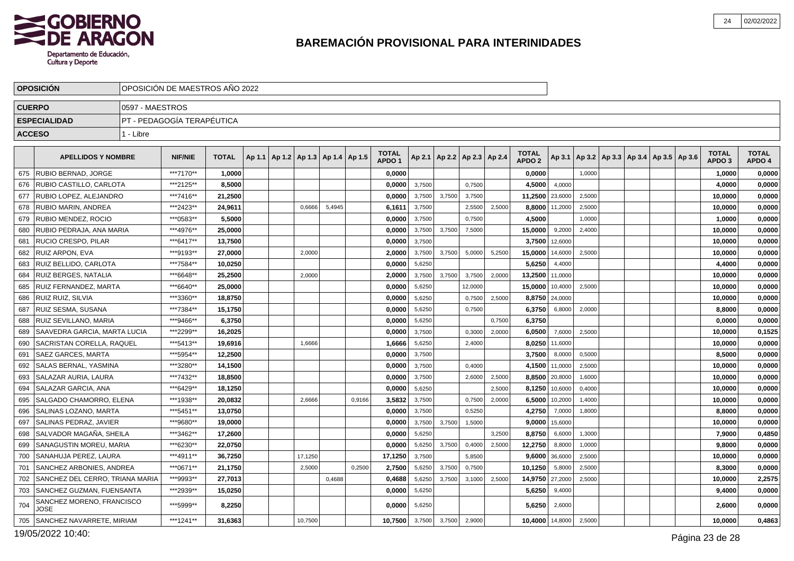

|               | <b>OPOSICION</b>                  |                 | OPOSICION DE MAESTROS ANO 2022 |              |  |                                            |        |        |                                   |        |        |                                   |        |                                   |         |        |                                                     |  |                                   |                        |
|---------------|-----------------------------------|-----------------|--------------------------------|--------------|--|--------------------------------------------|--------|--------|-----------------------------------|--------|--------|-----------------------------------|--------|-----------------------------------|---------|--------|-----------------------------------------------------|--|-----------------------------------|------------------------|
| <b>CUERPO</b> |                                   | 0597 - MAESTROS |                                |              |  |                                            |        |        |                                   |        |        |                                   |        |                                   |         |        |                                                     |  |                                   |                        |
|               | <b>ESPECIALIDAD</b>               |                 | PT - PEDAGOGIA TERAPÉUTICA     |              |  |                                            |        |        |                                   |        |        |                                   |        |                                   |         |        |                                                     |  |                                   |                        |
| <b>ACCESO</b> |                                   | 1 - Libre       |                                |              |  |                                            |        |        |                                   |        |        |                                   |        |                                   |         |        |                                                     |  |                                   |                        |
|               | <b>APELLIDOS Y NOMBRE</b>         |                 | <b>NIF/NIE</b>                 | <b>TOTAL</b> |  | Ap 1.1   Ap 1.2   Ap 1.3   Ap 1.4   Ap 1.5 |        |        | <b>TOTAL</b><br>APDO <sub>1</sub> |        |        | Ap 2.1   Ap 2.2   Ap 2.3   Ap 2.4 |        | <b>TOTAL</b><br>APDO <sub>2</sub> |         |        | Ap 3.1   Ap 3.2   Ap 3.3   Ap 3.4   Ap 3.5   Ap 3.6 |  | <b>TOTAL</b><br>APDO <sub>3</sub> | <b>TOTAL</b><br>APDO 4 |
| 675           | <b>RUBIO BERNAD, JORGE</b>        |                 | ***7170**                      | 1,0000       |  |                                            |        |        | 0,0000                            |        |        |                                   |        | 0,0000                            |         | 1,0000 |                                                     |  | 1,0000                            | 0,0000                 |
| 676           | RUBIO CASTILLO, CARLOTA           |                 | ***2125**                      | 8,5000       |  |                                            |        |        | 0,0000                            | 3,7500 |        | 0,7500                            |        | 4,5000                            | 4,0000  |        |                                                     |  | 4,0000                            | 0,0000                 |
| 677           | RUBIO LOPEZ, ALEJANDRO            |                 | ***7416**                      | 21,2500      |  |                                            |        |        | 0,0000                            | 3,7500 | 3,7500 | 3,7500                            |        | 11,2500                           | 23,6000 | 2,5000 |                                                     |  | 10,0000                           | 0,0000                 |
| 678           | RUBIO MARIN, ANDREA               |                 | ***2423**                      | 24,9611      |  | 0,6666                                     | 5.4945 |        | 6,1611                            | 3,7500 |        | 2,5500                            | 2,5000 | 8,8000                            | 11,2000 | 2,5000 |                                                     |  | 10,0000                           | 0,0000                 |
| 679           | RUBIO MENDEZ, ROCIO               |                 | ***0583**                      | 5,5000       |  |                                            |        |        | 0,0000                            | 3,7500 |        | 0,7500                            |        | 4,5000                            |         | 1,0000 |                                                     |  | 1,0000                            | 0,0000                 |
| 680           | RUBIO PEDRAJA, ANA MARIA          |                 | ***4976**                      | 25,0000      |  |                                            |        |        | 0,0000                            | 3,7500 | 3,7500 | 7,5000                            |        | 15,0000                           | 9,2000  | 2,4000 |                                                     |  | 10,0000                           | 0,0000                 |
| 681           | RUCIO CRESPO, PILAR               |                 | ***6417**                      | 13,7500      |  |                                            |        |        | 0,0000                            | 3,7500 |        |                                   |        | 3,7500                            | 12,6000 |        |                                                     |  | 10,0000                           | 0,0000                 |
| 682           | RUIZ ARPON, EVA                   |                 | ***9193**                      | 27,0000      |  | 2,0000                                     |        |        | 2,0000                            | 3,7500 | 3,7500 | 5,0000                            | 5,2500 | 15,0000                           | 14,6000 | 2,5000 |                                                     |  | 10,0000                           | 0,0000                 |
| 683           | RUIZ BELLIDO, CARLOTA             |                 | ***7584**                      | 10,0250      |  |                                            |        |        | 0,0000                            | 5,6250 |        |                                   |        | 5,6250                            | 4,4000  |        |                                                     |  | 4,4000                            | 0,0000                 |
| 684           | RUIZ BERGES, NATALIA              |                 | ***6648**                      | 25,2500      |  | 2,0000                                     |        |        | 2,0000                            | 3,7500 | 3,7500 | 3,7500                            | 2,0000 | 13,2500                           | 11,0000 |        |                                                     |  | 10,0000                           | 0,0000                 |
| 685           | RUIZ FERNANDEZ, MARTA             |                 | ***6640**                      | 25,0000      |  |                                            |        |        | 0.0000                            | 5,6250 |        | 12,0000                           |        | 15,0000                           | 10,4000 | 2,5000 |                                                     |  | 10,0000                           | 0,0000                 |
| 686           | <b>RUIZ RUIZ, SILVIA</b>          |                 | ***3360**                      | 18,8750      |  |                                            |        |        | 0,0000                            | 5,6250 |        | 0,7500                            | 2,5000 | 8,8750                            | 24,0000 |        |                                                     |  | 10,0000                           | 0,0000                 |
| 687           | RUIZ SESMA, SUSANA                |                 | ***7384**                      | 15,1750      |  |                                            |        |        | 0,0000                            | 5,6250 |        | 0,7500                            |        | 6,3750                            | 6,8000  | 2,0000 |                                                     |  | 8,8000                            | 0,0000                 |
| 688           | RUIZ SEVILLANO, MARIA             |                 | ***9466**                      | 6,3750       |  |                                            |        |        | 0,0000                            | 5,6250 |        |                                   | 0,7500 | 6,3750                            |         |        |                                                     |  | 0,0000                            | 0,0000                 |
| 689           | SAAVEDRA GARCIA, MARTA LUCIA      |                 | ***2299**                      | 16,2025      |  |                                            |        |        | 0,0000                            | 3,7500 |        | 0,3000                            | 2,0000 | 6,0500                            | 7,6000  | 2,5000 |                                                     |  | 10,0000                           | 0,1525                 |
| 690           | SACRISTAN CORELLA, RAQUEL         |                 | ***5413**                      | 19.6916      |  | 1.6666                                     |        |        | 1,6666                            | 5,6250 |        | 2,4000                            |        | 8,0250                            | 11.6000 |        |                                                     |  | 10.0000                           | 0,0000                 |
| 691           | <b>SAEZ GARCES, MARTA</b>         |                 | ***5954**                      | 12,2500      |  |                                            |        |        | 0,0000                            | 3,7500 |        |                                   |        | 3,7500                            | 8,0000  | 0,5000 |                                                     |  | 8,5000                            | 0,0000                 |
| 692           | <b>SALAS BERNAL, YASMINA</b>      |                 | ***3280**                      | 14,1500      |  |                                            |        |        | 0.0000                            | 3,7500 |        | 0,4000                            |        | 4,1500                            | 11,0000 | 2,5000 |                                                     |  | 10,0000                           | 0,0000                 |
| 693           | SALAZAR AURIA, LAURA              |                 | ***7432**                      | 18,8500      |  |                                            |        |        | 0,0000                            | 3,7500 |        | 2,6000                            | 2,5000 | 8,8500                            | 20,8000 | 1,6000 |                                                     |  | 10,0000                           | 0,0000                 |
| 694           | SALAZAR GARCIA, ANA               |                 | ***6429**                      | 18,1250      |  |                                            |        |        | 0.0000                            | 5,6250 |        |                                   | 2,5000 | 8,1250                            | 10,6000 | 0,4000 |                                                     |  | 10,0000                           | 0,0000                 |
| 695           | SALGADO CHAMORRO, ELENA           |                 | ***1938**                      | 20,0832      |  | 2,6666                                     |        | 0,9166 | 3,5832                            | 3,7500 |        | 0,7500                            | 2,0000 | 6,5000                            | 10,2000 | 1,4000 |                                                     |  | 10,0000                           | 0,0000                 |
| 696           | SALINAS LOZANO, MARTA             |                 | ***5451**                      | 13,0750      |  |                                            |        |        | 0,0000                            | 3,7500 |        | 0,5250                            |        | 4,2750                            | 7,0000  | 1,8000 |                                                     |  | 8,8000                            | 0,0000                 |
| 697           | SALINAS PEDRAZ, JAVIER            |                 | ***9680**                      | 19,0000      |  |                                            |        |        | 0.0000                            | 3,7500 | 3,7500 | 1,5000                            |        | 9.0000                            | 15,6000 |        |                                                     |  | 10.0000                           | 0,0000                 |
| 698           | SALVADOR MAGAÑA, SHEILA           |                 | ***3462**                      | 17,2600      |  |                                            |        |        | 0,0000                            | 5,6250 |        |                                   | 3,2500 | 8,8750                            | 6,6000  | 1,3000 |                                                     |  | 7,9000                            | 0,4850                 |
| 699           | SANAGUSTIN MOREU. MARIA           |                 | ***6230**                      | 22,0750      |  |                                            |        |        | 0,0000                            | 5,6250 | 3,7500 | 0,4000                            | 2,5000 | 12,2750                           | 8,8000  | 1,0000 |                                                     |  | 9,8000                            | 0,0000                 |
| 700           | SANAHUJA PEREZ, LAURA             |                 | ***4911**                      | 36,7250      |  | 17,1250                                    |        |        | 17,1250                           | 3,7500 |        | 5,8500                            |        | 9,6000                            | 36,6000 | 2,5000 |                                                     |  | 10,0000                           | 0,0000                 |
| 701           | SANCHEZ ARBONIES, ANDREA          |                 | ***0671**                      | 21,1750      |  | 2,5000                                     |        | 0,2500 | 2,7500                            | 5,6250 | 3,7500 | 0,7500                            |        | 10,1250                           | 5,8000  | 2,5000 |                                                     |  | 8,3000                            | 0,0000                 |
| 702           | SANCHEZ DEL CERRO, TRIANA MARIA   |                 | ***9993**                      | 27,7013      |  |                                            | 0,4688 |        | 0,4688                            | 5,6250 | 3,7500 | 3,1000                            | 2,5000 | 14,9750                           | 27,2000 | 2,5000 |                                                     |  | 10,0000                           | 2,2575                 |
| 703           | SANCHEZ GUZMAN, FUENSANTA         |                 | ***2939**                      | 15,0250      |  |                                            |        |        | 0,0000                            | 5,6250 |        |                                   |        | 5,6250                            | 9,4000  |        |                                                     |  | 9,4000                            | 0,0000                 |
| 704           | SANCHEZ MORENO, FRANCISCO<br>JOSE |                 | ***5999**                      | 8,2250       |  |                                            |        |        | 0,0000                            | 5,6250 |        |                                   |        | 5,6250                            | 2,6000  |        |                                                     |  | 2,6000                            | 0,0000                 |
| 705           | SANCHEZ NAVARRETE, MIRIAM         |                 | ***1241**                      | 31,6363      |  | 10,7500                                    |        |        | 10,7500                           | 3,7500 | 3,7500 | 2,9000                            |        | 10,4000                           | 14,8000 | 2,5000 |                                                     |  | 10,0000                           | 0,4863                 |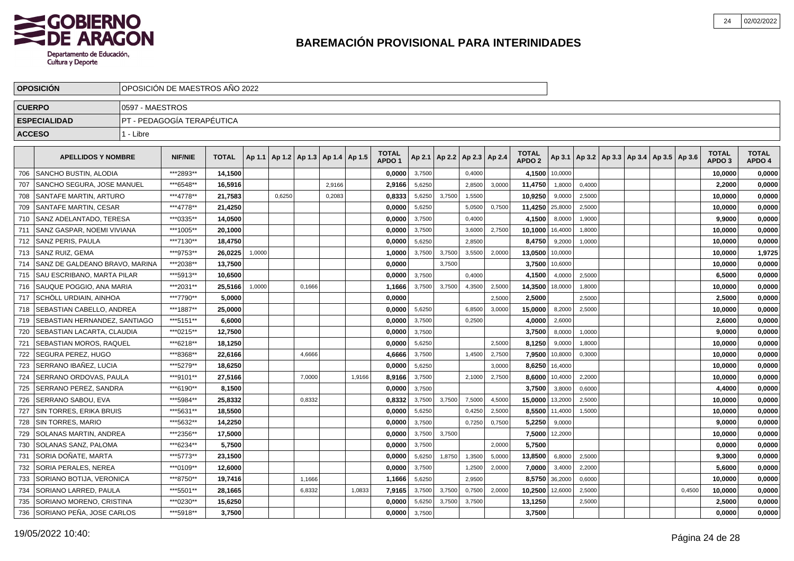

|               | <b>OPOSICION</b>                  |                 | OPOSICION DE MAESTROS ANO 2022 |              |        |                                   |        |        |        |                                   |        |        |                 |        |                                   |         |        |                                                     |        |                                   |                        |
|---------------|-----------------------------------|-----------------|--------------------------------|--------------|--------|-----------------------------------|--------|--------|--------|-----------------------------------|--------|--------|-----------------|--------|-----------------------------------|---------|--------|-----------------------------------------------------|--------|-----------------------------------|------------------------|
| <b>CUERPO</b> |                                   | 0597 - MAESTROS |                                |              |        |                                   |        |        |        |                                   |        |        |                 |        |                                   |         |        |                                                     |        |                                   |                        |
|               | <b>ESPECIALIDAD</b>               |                 | PT - PEDAGOGÍA TERAPÉUTICA     |              |        |                                   |        |        |        |                                   |        |        |                 |        |                                   |         |        |                                                     |        |                                   |                        |
| <b>ACCESO</b> |                                   | 1 - Libre       |                                |              |        |                                   |        |        |        |                                   |        |        |                 |        |                                   |         |        |                                                     |        |                                   |                        |
|               | <b>APELLIDOS Y NOMBRE</b>         |                 | <b>NIF/NIE</b>                 | <b>TOTAL</b> | Ap 1.1 | Ap 1.2   Ap 1.3   Ap 1.4   Ap 1.5 |        |        |        | <b>TOTAL</b><br>APDO <sub>1</sub> | Ap 2.1 | Ap 2.2 | Ap 2.3   Ap 2.4 |        | <b>TOTAL</b><br>APDO <sub>2</sub> |         |        | Ap 3.1   Ap 3.2   Ap 3.3   Ap 3.4   Ap 3.5   Ap 3.6 |        | <b>TOTAL</b><br>APDO <sub>3</sub> | <b>TOTAL</b><br>APDO 4 |
| 706           | SANCHO BUSTIN, ALODIA             |                 | ***2893**                      | 14,1500      |        |                                   |        |        |        | 0,0000                            | 3,7500 |        | 0,4000          |        | 4,1500                            | 10,0000 |        |                                                     |        | 10,0000                           | 0,0000                 |
| 707           | SANCHO SEGURA, JOSE MANUEL        |                 | ***6548**                      | 16,5916      |        |                                   |        | 2,9166 |        | 2,9166                            | 5,6250 |        | 2,8500          | 3,0000 | 11,4750                           | 1,8000  | 0,4000 |                                                     |        | 2,2000                            | 0,0000                 |
| 708           | SANTAFE MARTIN, ARTURO            |                 | ***4778**                      | 21,7583      |        | 0,6250                            |        | 0,2083 |        | 0,8333                            | 5,6250 | 3,7500 | 1,5500          |        | 10,9250                           | 9,0000  | 2,5000 |                                                     |        | 10,0000                           | 0,0000                 |
| 709           | SANTAFE MARTIN, CESAR             |                 | ***4778**                      | 21,4250      |        |                                   |        |        |        | 0,0000                            | 5,6250 |        | 5,0500          | 0,7500 | 11,4250                           | 25,8000 | 2,5000 |                                                     |        | 10,0000                           | 0,0000                 |
| 710           | SANZ ADELANTADO, TERESA           |                 | ***0335**                      | 14,0500      |        |                                   |        |        |        | 0,0000                            | 3,7500 |        | 0,4000          |        | 4,1500                            | 8,0000  | 1,9000 |                                                     |        | 9,9000                            | 0,0000                 |
| 711           | <b>SANZ GASPAR. NOEMI VIVIANA</b> |                 | ***1005**                      | 20.1000      |        |                                   |        |        |        | 0.0000                            | 3,7500 |        | 3,6000          | 2,7500 | 10,1000                           | 16,4000 | 1,8000 |                                                     |        | 10.0000                           | 0,0000                 |
| 712           | <b>SANZ PERIS. PAULA</b>          |                 | ***7130**                      | 18,4750      |        |                                   |        |        |        | 0,0000                            | 5,6250 |        | 2,8500          |        | 8,4750                            | 9,2000  | 1,0000 |                                                     |        | 10,0000                           | 0,0000                 |
| 713           | l SANZ RUIZ. GEMA                 |                 | ***9753**                      | 26.0225      | 1,0000 |                                   |        |        |        | 1,0000                            | 3,7500 | 3,7500 | 3,5500          | 2,000  | 13,0500                           | 10,0000 |        |                                                     |        | 10,0000                           | 1,9725                 |
| 714           | SANZ DE GALDEANO BRAVO, MARINA    |                 | ***2038**                      | 13,7500      |        |                                   |        |        |        | 0,0000                            |        | 3,7500 |                 |        | 3,7500                            | 10,6000 |        |                                                     |        | 10,0000                           | 0,0000                 |
| 715           | <b>SAU ESCRIBANO, MARTA PILAR</b> |                 | ***5913**                      | 10,6500      |        |                                   |        |        |        | 0,0000                            | 3,7500 |        | 0,4000          |        | 4,1500                            | 4,0000  | 2,5000 |                                                     |        | 6,5000                            | 0,0000                 |
| 716           | SAUQUE POGGIO, ANA MARIA          |                 | ***2031**                      | 25,5166      | 1,0000 |                                   | 0,1666 |        |        | 1,1666                            | 3,7500 | 3,7500 | 4,3500          | 2,5000 | 14,3500                           | 18,0000 | 1,8000 |                                                     |        | 10,0000                           | 0,0000                 |
| 717           | SCHÖLL URDIAIN, AINHOA            |                 | ***7790**                      | 5.0000       |        |                                   |        |        |        | 0,0000                            |        |        |                 | 2.5000 | 2,5000                            |         | 2,5000 |                                                     |        | 2,5000                            | 0,0000                 |
| 718           | <b>SEBASTIAN CABELLO, ANDREA</b>  |                 | ***1887**                      | 25,0000      |        |                                   |        |        |        | 0,0000                            | 5,6250 |        | 6,8500          | 3,0000 | 15,0000                           | 8,2000  | 2,5000 |                                                     |        | 10,0000                           | 0,0000                 |
| 719           | SEBASTIAN HERNANDEZ, SANTIAGO     |                 | ***5151**                      | 6.6000       |        |                                   |        |        |        | 0,0000                            | 3,7500 |        | 0,2500          |        | 4,0000                            | 2,6000  |        |                                                     |        | 2,6000                            | 0,0000                 |
| 720           | <b>SEBASTIAN LACARTA, CLAUDIA</b> |                 | ***0215**                      | 12,7500      |        |                                   |        |        |        | 0,0000                            | 3,7500 |        |                 |        | 3,7500                            | 8,0000  | 1,0000 |                                                     |        | 9,0000                            | 0,0000                 |
| 721           | SEBASTIAN MOROS, RAQUEL           |                 | ***6218**                      | 18,1250      |        |                                   |        |        |        | 0,0000                            | 5,6250 |        |                 | 2,5000 | 8,1250                            | 9,0000  | 1,8000 |                                                     |        | 10,0000                           | 0,0000                 |
| 722           | SEGURA PEREZ, HUGO                |                 | ***8368**                      | 22,6166      |        |                                   | 4,6666 |        |        | 4,6666                            | 3,7500 |        | 1,4500          | 2,7500 | 7,9500                            | 10,8000 | 0,3000 |                                                     |        | 10,0000                           | 0,0000                 |
| 723           | SERRANO IBAÑEZ, LUCIA             |                 | ***5279**                      | 18.6250      |        |                                   |        |        |        | 0.0000                            | 5,6250 |        |                 | 3,0000 | 8,6250                            | 16,4000 |        |                                                     |        | 10.0000                           | 0,0000                 |
| 724           | SERRANO ORDOVAS, PAULA            |                 | ***9101**                      | 27,5166      |        |                                   | 7,0000 |        | 1,9166 | 8,9166                            | 3,7500 |        | 2,1000          | 2,7500 | 8,6000                            | 10,4000 | 2,2000 |                                                     |        | 10,0000                           | 0,0000                 |
| 725           | SERRANO PEREZ, SANDRA             |                 | ***6190**                      | 8,1500       |        |                                   |        |        |        | 0,0000                            | 3,7500 |        |                 |        | 3,7500                            | 3,8000  | 0,6000 |                                                     |        | 4,4000                            | 0,0000                 |
| 726           | SERRANO SABOU. EVA                |                 | ***5984**                      | 25,8332      |        |                                   | 0,8332 |        |        | 0,8332                            | 3,7500 | 3,7500 | 7,5000          | 4,5000 | 15,0000                           | 13,2000 | 2,5000 |                                                     |        | 10,0000                           | 0,0000                 |
| 727           | SIN TORRES, ERIKA BRUIS           |                 | ***5631**                      | 18,5500      |        |                                   |        |        |        | 0,0000                            | 5,6250 |        | 0,4250          | 2,5000 | 8,5500                            | 11,4000 | 1,5000 |                                                     |        | 10,0000                           | 0,0000                 |
| 728           | SIN TORRES, MARIO                 |                 | ***5632**                      | 14,2250      |        |                                   |        |        |        | 0,0000                            | 3,7500 |        | 0,7250          | 0,7500 | 5,2250                            | 9,0000  |        |                                                     |        | 9,0000                            | 0,0000                 |
| 729           | <b>SOLANAS MARTIN, ANDREA</b>     |                 | ***2356**                      | 17.5000      |        |                                   |        |        |        | 0.0000                            | 3,7500 | 3,7500 |                 |        | 7,5000                            | 12,2000 |        |                                                     |        | 10.0000                           | 0,0000                 |
| 730           | <b>SOLANAS SANZ. PALOMA</b>       |                 | ***6234**                      | 5,7500       |        |                                   |        |        |        | 0,0000                            | 3,7500 |        |                 | 2.0000 | 5,7500                            |         |        |                                                     |        | 0,0000                            | 0,0000                 |
| 731           | SORIA DOÑATE, MARTA               |                 | ***5773**                      | 23,1500      |        |                                   |        |        |        | 0,0000                            | 5,6250 | 1,8750 | 1,3500          | 5,0000 | 13,8500                           | 6,8000  | 2,5000 |                                                     |        | 9,3000                            | 0,0000                 |
| 732           | <b>SORIA PERALES, NEREA</b>       |                 | ***0109**                      | 12,6000      |        |                                   |        |        |        | 0,0000                            | 3,7500 |        | 1,2500          | 2,0000 | 7,0000                            | 3,4000  | 2,2000 |                                                     |        | 5,6000                            | 0,0000                 |
| 733           | SORIANO BOTIJA, VERONICA          |                 | ***8750**                      | 19,7416      |        |                                   | 1,1666 |        |        | 1,1666                            | 5,6250 |        | 2,9500          |        | 8,5750                            | 36,2000 | 0,6000 |                                                     |        | 10,0000                           | 0,0000                 |
| 734           | SORIANO LARRED, PAULA             |                 | ***5501**                      | 28,1665      |        |                                   | 6,8332 |        | 1,0833 | 7,9165                            | 3,7500 | 3,7500 | 0,7500          | 2,0000 | 10,2500                           | 12,6000 | 2,5000 |                                                     | 0,4500 | 10,0000                           | 0,0000                 |
| 735           | SORIANO MORENO, CRISTINA          |                 | ***0230**                      | 15,6250      |        |                                   |        |        |        | 0,0000                            | 5,6250 | 3,7500 | 3,7500          |        | 13,1250                           |         | 2,5000 |                                                     |        | 2,5000                            | 0,0000                 |
| 736           | SORIANO PEÑA, JOSE CARLOS         |                 | ***5918**                      | 3,7500       |        |                                   |        |        |        | 0,0000                            | 3,7500 |        |                 |        | 3,7500                            |         |        |                                                     |        | 0,0000                            | 0,0000                 |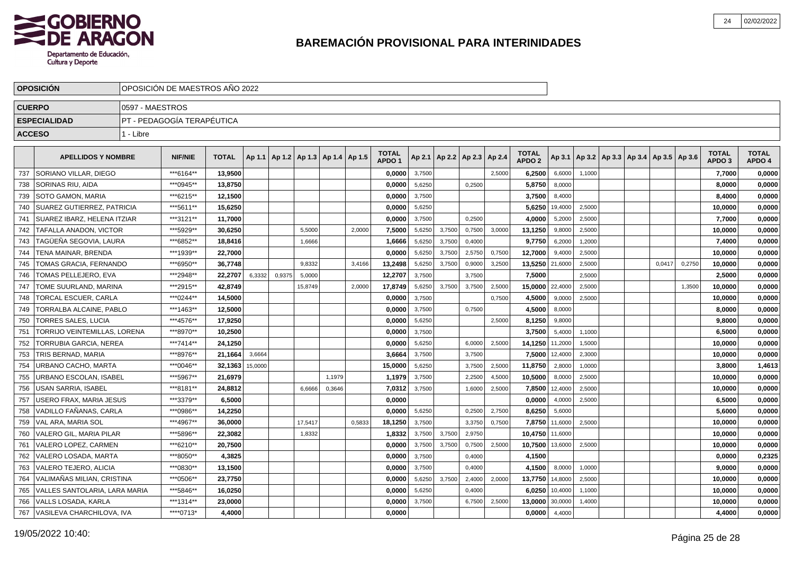

| <b>OPOSICION</b> |                               |                 | OPOSICION DE MAESTROS ANO 2022 |              |         |        |                                   |        |        |                                   |        |        |                          |        |                                   |         |                                            |  |        |        |                                   |                        |
|------------------|-------------------------------|-----------------|--------------------------------|--------------|---------|--------|-----------------------------------|--------|--------|-----------------------------------|--------|--------|--------------------------|--------|-----------------------------------|---------|--------------------------------------------|--|--------|--------|-----------------------------------|------------------------|
|                  | <b>CUERPO</b>                 | 0597 - MAESTROS |                                |              |         |        |                                   |        |        |                                   |        |        |                          |        |                                   |         |                                            |  |        |        |                                   |                        |
|                  | <b>ESPECIALIDAD</b>           |                 | PT - PEDAGOGÍA TERAPÉUTICA     |              |         |        |                                   |        |        |                                   |        |        |                          |        |                                   |         |                                            |  |        |        |                                   |                        |
|                  | <b>ACCESO</b>                 | 1 - Libre       |                                |              |         |        |                                   |        |        |                                   |        |        |                          |        |                                   |         |                                            |  |        |        |                                   |                        |
|                  | <b>APELLIDOS Y NOMBRE</b>     |                 | <b>NIF/NIE</b>                 | <b>TOTAL</b> | Ap 1.1  |        | Ap 1.2   Ap 1.3   Ap 1.4   Ap 1.5 |        |        | <b>TOTAL</b><br>APDO <sub>1</sub> | Ap 2.1 |        | Ap 2.2   Ap 2.3   Ap 2.4 |        | <b>TOTAL</b><br>APDO <sub>2</sub> | Ap 3.1  | Ap 3.2   Ap 3.3   Ap 3.4   Ap 3.5   Ap 3.6 |  |        |        | <b>TOTAL</b><br>APDO <sub>3</sub> | <b>TOTAL</b><br>APDO 4 |
| 737              | SORIANO VILLAR, DIEGO         |                 | ***6164**                      | 13,9500      |         |        |                                   |        |        | 0,0000                            | 3,7500 |        |                          | 2,5000 | 6,2500                            | 6,6000  | 1,1000                                     |  |        |        | 7,7000                            | 0,0000                 |
| 738              | SORINAS RIU, AIDA             |                 | ***0945**                      | 13,8750      |         |        |                                   |        |        | 0,0000                            | 5,6250 |        | 0,2500                   |        | 5,8750                            | 8,0000  |                                            |  |        |        | 8,0000                            | 0,0000                 |
| 739              | SOTO GAMON, MARIA             |                 | ***6215**                      | 12,1500      |         |        |                                   |        |        | 0.0000                            | 3,7500 |        |                          |        | 3,7500                            | 8.4000  |                                            |  |        |        | 8,4000                            | 0,0000                 |
| 740              | SUAREZ GUTIERREZ, PATRICIA    |                 | ***5611**                      | 15,6250      |         |        |                                   |        |        | 0.0000                            | 5,6250 |        |                          |        | 5,6250                            | 19,4000 | 2,5000                                     |  |        |        | 10,0000                           | 0,0000                 |
| 741              | SUAREZ IBARZ, HELENA ITZIAR   |                 | ***3121**                      | 11,7000      |         |        |                                   |        |        | 0.0000                            | 3,7500 |        | 0,2500                   |        | 4,0000                            | 5,2000  | 2,5000                                     |  |        |        | 7,7000                            | 0,0000                 |
| 742              | TAFALLA ANADON, VICTOR        |                 | ***5929**                      | 30,6250      |         |        | 5,5000                            |        | 2,0000 | 7,5000                            | 5,6250 | 3,7500 | 0,7500                   | 3,0000 | 13,1250                           | 9,8000  | 2,5000                                     |  |        |        | 10,0000                           | 0,0000                 |
| 743              | TAGÜEÑA SEGOVIA, LAURA        |                 | ***6852**                      | 18,8416      |         |        | 1,6666                            |        |        | 1,6666                            | 5,6250 | 3,7500 | 0,4000                   |        | 9,7750                            | 6,2000  | 1,2000                                     |  |        |        | 7,4000                            | 0,0000                 |
| 744              | <b>TENA MAINAR, BRENDA</b>    |                 | ***1939**                      | 22,7000      |         |        |                                   |        |        | 0,0000                            | 5,6250 | 3,7500 | 2,5750                   | 0,7500 | 12,7000                           | 9,4000  | 2,5000                                     |  |        |        | 10,0000                           | 0,0000                 |
| 745              | TOMAS GRACIA, FERNANDO        |                 | ***6950**                      | 36,7748      |         |        | 9,8332                            |        | 3,4166 | 13,2498                           | 5,6250 | 3,7500 | 0,9000                   | 3,2500 | 13,5250                           | 21,6000 | 2,5000                                     |  | 0,0417 | 0,2750 | 10,0000                           | 0,0000                 |
| 746              | TOMAS PELLEJERO, EVA          |                 | ***2948**                      | 22,2707      | 6,3332  | 0,9375 | 5,0000                            |        |        | 12,2707                           | 3,7500 |        | 3,7500                   |        | 7,5000                            |         | 2,5000                                     |  |        |        | 2,5000                            | 0,0000                 |
| 747              | TOME SUURLAND, MARINA         |                 | ***2915**                      | 42,8749      |         |        | 15,8749                           |        | 2,0000 | 17,8749                           | 5,6250 | 3.7500 | 3,7500                   | 2,5000 | 15,0000                           | 22,4000 | 2,5000                                     |  |        | 1,3500 | 10,0000                           | 0,0000                 |
| 748              | <b>TORCAL ESCUER, CARLA</b>   |                 | ***0244**                      | 14,5000      |         |        |                                   |        |        | 0,0000                            | 3,7500 |        |                          | 0,7500 | 4,5000                            | 9,0000  | 2,5000                                     |  |        |        | 10,0000                           | 0,0000                 |
| 749              | TORRALBA ALCAINE. PABLO       |                 | ***1463**                      | 12,5000      |         |        |                                   |        |        | 0,0000                            | 3,7500 |        | 0,7500                   |        | 4,5000                            | 8,0000  |                                            |  |        |        | 8,0000                            | 0,0000                 |
| 750              | <b>TORRES SALES, LUCIA</b>    |                 | ***4576**                      | 17,9250      |         |        |                                   |        |        | 0,0000                            | 5,6250 |        |                          | 2,5000 | 8,1250                            | 9,8000  |                                            |  |        |        | 9,8000                            | 0,0000                 |
| 751              | TORRIJO VEINTEMILLAS. LORENA  |                 | ***8970**                      | 10,2500      |         |        |                                   |        |        | 0,0000                            | 3,7500 |        |                          |        | 3,7500                            | 5,4000  | 1,1000                                     |  |        |        | 6,5000                            | 0,0000                 |
| 752              | TORRUBIA GARCIA, NEREA        |                 | ***7414**                      | 24,1250      |         |        |                                   |        |        | 0,0000                            | 5,6250 |        | 6,0000                   | 2,5000 | 14,1250                           | 11,2000 | 1,5000                                     |  |        |        | 10,0000                           | 0,0000                 |
| 753              | TRIS BERNAD, MARIA            |                 | ***8976**                      | 21,1664      | 3,6664  |        |                                   |        |        | 3,6664                            | 3,7500 |        | 3,7500                   |        | 7,5000                            | 12,4000 | 2,3000                                     |  |        |        | 10,0000                           | 0,0000                 |
| 754              | URBANO CACHO, MARTA           |                 | ***0046**                      | 32,1363      | 15,0000 |        |                                   |        |        | 15,0000                           | 5,6250 |        | 3,7500                   | 2,5000 | 11,8750                           | 2,8000  | 1,0000                                     |  |        |        | 3,8000                            | 1,4613                 |
| 755              | URBANO ESCOLAN, ISABEL        |                 | ***5967**                      | 21,6979      |         |        |                                   | 1,1979 |        | 1,1979                            | 3,7500 |        | 2,2500                   | 4,5000 | 10,5000                           | 8,0000  | 2,5000                                     |  |        |        | 10,0000                           | 0,0000                 |
| 756              | <b>USAN SARRIA, ISABEL</b>    |                 | ***8181**                      | 24.8812      |         |        | 6,6666                            | 0,3646 |        | 7.0312                            | 3,7500 |        | 1,6000                   | 2,5000 | 7,8500                            | 12,4000 | 2,5000                                     |  |        |        | 10.0000                           | 0.0000                 |
| 757              | USERO FRAX. MARIA JESUS       |                 | ***3379**                      | 6,5000       |         |        |                                   |        |        | 0.0000                            |        |        |                          |        | 0,0000                            | 4,0000  | 2,5000                                     |  |        |        | 6,5000                            | 0,0000                 |
| 758              | VADILLO FAÑANAS, CARLA        |                 | ***0986**                      | 14,2250      |         |        |                                   |        |        | 0.0000                            | 5,6250 |        | 0,2500                   | 2,7500 | 8,6250                            | 5.6000  |                                            |  |        |        | 5.6000                            | 0,0000                 |
| 759              | <b>VAL ARA, MARIA SOL</b>     |                 | ***4967**                      | 36,0000      |         |        | 17,5417                           |        | 0,5833 | 18,1250                           | 3,7500 |        | 3,3750                   | 0,7500 | 7,8750                            | 11,6000 | 2,5000                                     |  |        |        | 10,0000                           | 0,0000                 |
| 760              | VALERO GIL, MARIA PILAR       |                 | ***5896**                      | 22,3082      |         |        | 1,8332                            |        |        | 1,8332                            | 3,7500 | 3,7500 | 2,9750                   |        | 10,4750                           | 11,6000 |                                            |  |        |        | 10,0000                           | 0,0000                 |
| 761              | VALERO LOPEZ, CARMEN          |                 | ***6210**                      | 20,7500      |         |        |                                   |        |        | 0,0000                            | 3,7500 | 3,7500 | 0,7500                   | 2,5000 | 10,7500                           | 13,6000 | 2,5000                                     |  |        |        | 10,0000                           | 0,0000                 |
| 762              | VALERO LOSADA, MARTA          |                 | ***8050**                      | 4,3825       |         |        |                                   |        |        | 0,0000                            | 3,7500 |        | 0,4000                   |        | 4,1500                            |         |                                            |  |        |        | 0,0000                            | 0,2325                 |
| 763              | <b>VALERO TEJERO, ALICIA</b>  |                 | ***0830**                      | 13,1500      |         |        |                                   |        |        | 0,0000                            | 3,7500 |        | 0,4000                   |        | 4,1500                            | 8,0000  | 1,0000                                     |  |        |        | 9,0000                            | 0,0000                 |
| 764              | I VALIMAÑAS MILIAN. CRISTINA  |                 | ***0506**                      | 23.7750      |         |        |                                   |        |        | 0,0000                            | 5,6250 | 3.7500 | 2,4000                   | 2,0000 | 13,7750                           | 14,8000 | 2,5000                                     |  |        |        | 10.0000                           | 0,0000                 |
| 765              | VALLES SANTOLARIA. LARA MARIA |                 | ***5846**                      | 16,0250      |         |        |                                   |        |        | 0,0000                            | 5,6250 |        | 0,4000                   |        | 6,0250                            | 10,4000 | 1,1000                                     |  |        |        | 10.0000                           | 0,0000                 |
| 766              | VALLS LOSADA, KARLA           |                 | ***1314**                      | 23,0000      |         |        |                                   |        |        | 0,0000                            | 3,7500 |        | 6,7500                   | 2,5000 | 13,0000                           | 30,0000 | 1,4000                                     |  |        |        | 10,0000                           | 0,0000                 |
| 767              | VASILEVA CHARCHILOVA, IVA     |                 | ****0713*                      | 4,4000       |         |        |                                   |        |        | 0.0000                            |        |        |                          |        | 0,0000                            | 4,4000  |                                            |  |        |        | 4,4000                            | 0,0000                 |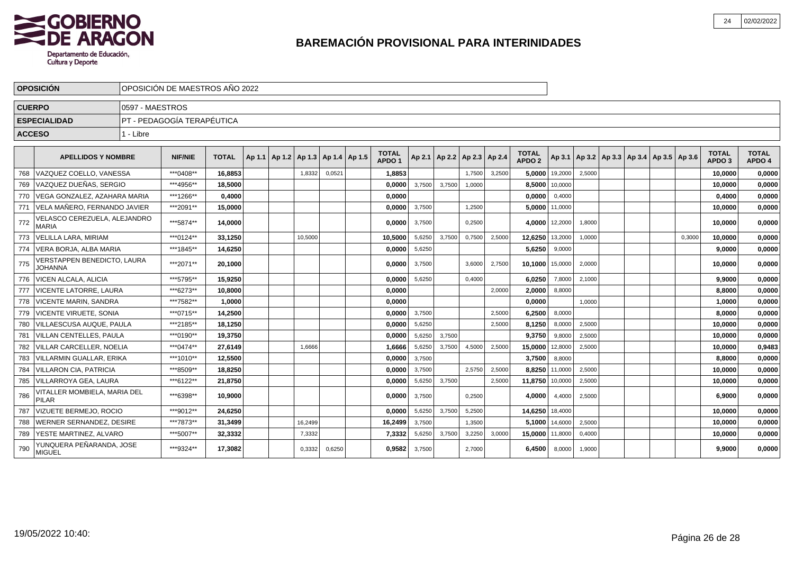

|     | <b>OPOSICIÓN</b>                              |                 | OPOSICIÓN DE MAESTROS AÑO 2022 |              |  |                                            |         |        |  |                                   |        |        |                                   |        |                                   |                |                                                     |  |        |                                   |                        |
|-----|-----------------------------------------------|-----------------|--------------------------------|--------------|--|--------------------------------------------|---------|--------|--|-----------------------------------|--------|--------|-----------------------------------|--------|-----------------------------------|----------------|-----------------------------------------------------|--|--------|-----------------------------------|------------------------|
|     | <b>CUERPO</b>                                 | 0597 - MAESTROS |                                |              |  |                                            |         |        |  |                                   |        |        |                                   |        |                                   |                |                                                     |  |        |                                   |                        |
|     | <b>ESPECIALIDAD</b>                           |                 | PT - PEDAGOGÍA TERAPÉUTICA     |              |  |                                            |         |        |  |                                   |        |        |                                   |        |                                   |                |                                                     |  |        |                                   |                        |
|     | <b>ACCESO</b>                                 | 1 - Libre       |                                |              |  |                                            |         |        |  |                                   |        |        |                                   |        |                                   |                |                                                     |  |        |                                   |                        |
|     | <b>APELLIDOS Y NOMBRE</b>                     |                 | <b>NIF/NIE</b>                 | <b>TOTAL</b> |  | Ap 1.1   Ap 1.2   Ap 1.3   Ap 1.4   Ap 1.5 |         |        |  | <b>TOTAL</b><br>APDO <sub>1</sub> |        |        | Ap 2.1   Ap 2.2   Ap 2.3   Ap 2.4 |        | <b>TOTAL</b><br>APDO <sub>2</sub> |                | Ap 3.1   Ap 3.2   Ap 3.3   Ap 3.4   Ap 3.5   Ap 3.6 |  |        | <b>TOTAL</b><br>APDO <sub>3</sub> | <b>TOTAL</b><br>APDO 4 |
| 768 | VAZQUEZ COELLO, VANESSA                       |                 | ***0408**                      | 16.8853      |  |                                            | 1,8332  | 0,0521 |  | 1.8853                            |        |        | 1,7500                            | 3,2500 |                                   | 5.0000 19,2000 | 2,5000                                              |  |        | 10.0000                           | 0,0000                 |
| 769 | VAZQUEZ DUEÑAS. SERGIO                        |                 | ***4956**                      | 18,5000      |  |                                            |         |        |  | 0.0000                            | 3,7500 | 3,7500 | 1,0000                            |        | 8,5000                            | 10,0000        |                                                     |  |        | 10,0000                           | 0,0000                 |
| 770 | VEGA GONZALEZ, AZAHARA MARIA                  |                 | ***1266**                      | 0,4000       |  |                                            |         |        |  | 0,0000                            |        |        |                                   |        | 0,0000                            | 0,4000         |                                                     |  |        | 0,4000                            | 0,0000                 |
| 771 | VELA MAÑERO, FERNANDO JAVIER                  |                 | ***2091**                      | 15,0000      |  |                                            |         |        |  | 0,0000                            | 3,7500 |        | 1,2500                            |        | 5,0000                            | 11,0000        |                                                     |  |        | 10,0000                           | 0,0000                 |
| 772 | VELASCO CEREZUELA, ALEJANDRO<br><b>MARIA</b>  |                 | ***5874**                      | 14,0000      |  |                                            |         |        |  | 0,0000                            | 3,7500 |        | 0,2500                            |        | 4.0000                            | 12,2000        | 1,8000                                              |  |        | 10,0000                           | 0,0000                 |
| 773 | VELILLA LARA, MIRIAM                          |                 | ***0124**                      | 33,1250      |  |                                            | 10,5000 |        |  | 10,5000                           | 5,6250 | 3,7500 | 0,7500                            | 2,5000 | 12,6250                           | 13,2000        | 1,0000                                              |  | 0,3000 | 10.0000                           | 0,0000                 |
| 774 | VERA BORJA, ALBA MARIA                        |                 | ***1845**                      | 14,6250      |  |                                            |         |        |  | 0,0000                            | 5,6250 |        |                                   |        | 5,6250                            | 9,0000         |                                                     |  |        | 9,0000                            | 0,0000                 |
| 775 | VERSTAPPEN BENEDICTO, LAURA<br><b>JOHANNA</b> |                 | ***2071**                      | 20.1000      |  |                                            |         |        |  | 0.0000                            | 3,7500 |        | 3.6000                            | 2,7500 | 10.1000                           | 15,0000        | 2,0000                                              |  |        | 10.0000                           | 0,0000                 |
| 776 | <b>VICEN ALCALA, ALICIA</b>                   |                 | ***5795**                      | 15,9250      |  |                                            |         |        |  | 0,0000                            | 5,6250 |        | 0,4000                            |        | 6,0250                            | 7,8000         | 2,1000                                              |  |        | 9,9000                            | 0,0000                 |
| 777 | <b>VICENTE LATORRE, LAURA</b>                 |                 | ***6273**                      | 10.8000      |  |                                            |         |        |  | 0.0000                            |        |        |                                   | 2.0000 | 2,0000                            | 8.8000         |                                                     |  |        | 8,8000                            | 0,0000                 |
| 778 | I VICENTE MARIN. SANDRA                       |                 | ***7582**                      | 1,0000       |  |                                            |         |        |  | 0,0000                            |        |        |                                   |        | 0,0000                            |                | 1,0000                                              |  |        | 1,0000                            | 0,0000                 |
| 779 | VICENTE VIRUETE, SONIA                        |                 | ***0715**                      | 14,2500      |  |                                            |         |        |  | 0.0000                            | 3,7500 |        |                                   | 2,5000 | 6,2500                            | 8,0000         |                                                     |  |        | 8,0000                            | 0,0000                 |
| 780 | <b>VILLAESCUSA AUQUE, PAULA</b>               |                 | ***2185**                      | 18,1250      |  |                                            |         |        |  | 0.0000                            | 5,6250 |        |                                   | 2,5000 | 8,1250                            | 8,0000         | 2,5000                                              |  |        | 10,0000                           | 0,0000                 |
| 781 | <b>VILLAN CENTELLES, PAULA</b>                |                 | ***0190**                      | 19.3750      |  |                                            |         |        |  | 0.0000                            | 5,6250 | 3.7500 |                                   |        | 9,3750                            | 9,8000         | 2,5000                                              |  |        | 10.0000                           | 0,0000                 |
| 782 | <b>VILLAR CARCELLER. NOELIA</b>               |                 | ***0474**                      | 27,6149      |  |                                            | 1,6666  |        |  | 1,6666                            | 5,6250 | 3,7500 | 4,5000                            | 2,5000 | 15,0000                           | 12,8000        | 2,5000                                              |  |        | 10,0000                           | 0,9483                 |
| 783 | VILLARMIN GUALLAR, ERIKA                      |                 | ***1010**                      | 12,5500      |  |                                            |         |        |  | 0,0000                            | 3,7500 |        |                                   |        | 3,7500                            | 8,8000         |                                                     |  |        | 8,8000                            | 0,0000                 |
| 784 | <b>VILLARON CIA, PATRICIA</b>                 |                 | ***8509**                      | 18.8250      |  |                                            |         |        |  | 0.0000                            | 3,7500 |        | 2,5750                            | 2,5000 | 8.8250                            | 11,0000        | 2,5000                                              |  |        | 10,0000                           | 0,0000                 |
| 785 | VILLARROYA GEA, LAURA                         |                 | ***6122**                      | 21,8750      |  |                                            |         |        |  | 0,0000                            | 5,6250 | 3,7500 |                                   | 2,5000 | 11,8750                           | 10,0000        | 2,5000                                              |  |        | 10,0000                           | 0,0000                 |
| 786 | VITALLER MOMBIELA, MARIA DEL<br><b>PILAR</b>  |                 | ***6398**                      | 10,9000      |  |                                            |         |        |  | 0,0000                            | 3,7500 |        | 0,2500                            |        | 4,0000                            | 4,4000         | 2,5000                                              |  |        | 6,9000                            | 0,0000                 |
| 787 | <b>VIZUETE BERMEJO, ROCIO</b>                 |                 | ***9012**                      | 24,6250      |  |                                            |         |        |  | 0,0000                            | 5,6250 | 3,7500 | 5,2500                            |        | 14,6250                           | 18,4000        |                                                     |  |        | 10,0000                           | 0,0000                 |
| 788 | <b>WERNER SERNANDEZ, DESIRE</b>               |                 | ***7873**                      | 31,3499      |  |                                            | 16,2499 |        |  | 16,2499                           | 3,7500 |        | 1,3500                            |        | 5,1000                            | 14,6000        | 2,5000                                              |  |        | 10,0000                           | 0,0000                 |
| 789 | <u>lYESTE MARTINEZ. ALVARO</u>                |                 | ***5007**                      | 32,3332      |  |                                            | 7,3332  |        |  | 7,3332                            | 5,6250 | 3,7500 | 3,2250                            | 3,0000 | 15,0000                           | 11,8000        | 0,4000                                              |  |        | 10,0000                           | 0,0000                 |
| 790 | YUNQUERA PEÑARANDA, JOSE<br><b>MIGUEL</b>     |                 | ***9324**                      | 17,3082      |  |                                            | 0,3332  | 0,6250 |  | 0,9582                            | 3,7500 |        | 2,7000                            |        | 6,4500                            | 8,0000         | 1,9000                                              |  |        | 9,9000                            | 0,0000                 |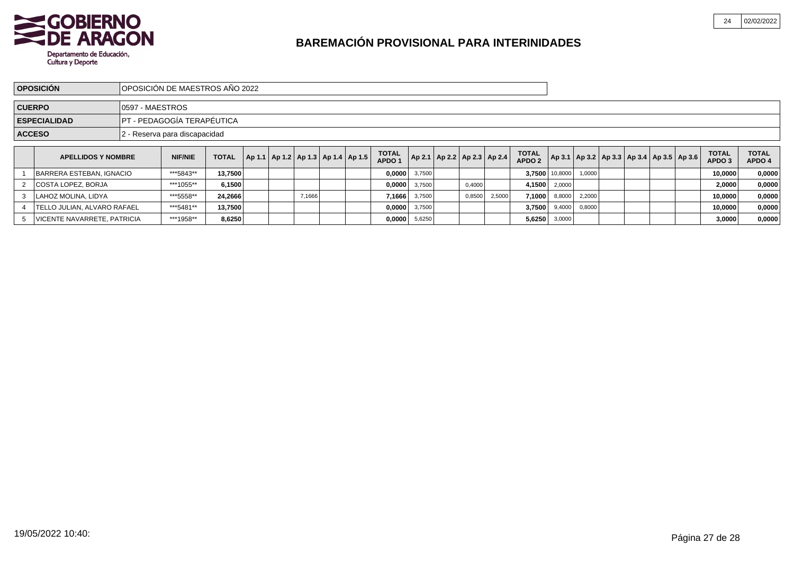

|                                                   | <b>OPOSICIÓN</b>                   |  | IOPOSICIÓN DE MAESTROS AÑO 2022 |              |  |                                            |        |  |  |                                   |                                   |  |        |        |                                   |                       |               |  |                                                     |                                   |                        |
|---------------------------------------------------|------------------------------------|--|---------------------------------|--------------|--|--------------------------------------------|--------|--|--|-----------------------------------|-----------------------------------|--|--------|--------|-----------------------------------|-----------------------|---------------|--|-----------------------------------------------------|-----------------------------------|------------------------|
| <b>CUERPO</b><br>10597 - MAESTROS                 |                                    |  |                                 |              |  |                                            |        |  |  |                                   |                                   |  |        |        |                                   |                       |               |  |                                                     |                                   |                        |
| PT - PEDAGOGÍA TERAPÉUTICA<br><b>ESPECIALIDAD</b> |                                    |  |                                 |              |  |                                            |        |  |  |                                   |                                   |  |        |        |                                   |                       |               |  |                                                     |                                   |                        |
|                                                   | <b>ACCESO</b>                      |  | 2 - Reserva para discapacidad   |              |  |                                            |        |  |  |                                   |                                   |  |        |        |                                   |                       |               |  |                                                     |                                   |                        |
|                                                   | <b>APELLIDOS Y NOMBRE</b>          |  | <b>NIF/NIE</b>                  | <b>TOTAL</b> |  | Ap 1.1   Ap 1.2   Ap 1.3   Ap 1.4   Ap 1.5 |        |  |  | <b>TOTAL</b><br>APDO <sub>1</sub> | Ap 2.1   Ap 2.2   Ap 2.3   Ap 2.4 |  |        |        | <b>TOTAL</b><br>APDO <sub>2</sub> |                       |               |  | Ap 3.1   Ap 3.2   Ap 3.3   Ap 3.4   Ap 3.5   Ap 3.6 | <b>TOTAL</b><br>APDO <sub>3</sub> | <b>TOTAL</b><br>APDO 4 |
|                                                   | BARRERA ESTEBAN, IGNACIO           |  | ***5843**                       | 13,7500      |  |                                            |        |  |  |                                   | $0,0000$ 3,7500                   |  |        |        |                                   | 3.7500 10,8000 1,0000 |               |  |                                                     | 10,0000                           | 0,0000                 |
|                                                   | COSTA LOPEZ, BORJA                 |  | ***1055**                       | 6,1500       |  |                                            |        |  |  |                                   | $0,0000$ 3,7500                   |  | 0,4000 |        | 4,1500                            | 2,0000                |               |  |                                                     | 2,0000                            | 0,0000                 |
|                                                   | LAHOZ MOLINA. LIDYA                |  | ***5558**                       | 24,2666      |  |                                            | 7,1666 |  |  | 7,1666                            | 3,7500                            |  | 0,8500 | 2,5000 | 7,1000                            |                       | 8,8000 2,2000 |  |                                                     | 10,0000                           | 0,0000                 |
|                                                   | <b>TELLO JULIAN. ALVARO RAFAEL</b> |  | ***5481**                       | 13,7500      |  |                                            |        |  |  | $0,0000$ 3,7500                   |                                   |  |        |        | 3.7500                            |                       | 9,4000 0,8000 |  |                                                     | 10,0000                           | 0,0000                 |
|                                                   | VICENTE NAVARRETE, PATRICIA        |  | ***1958**                       | 8,6250       |  |                                            |        |  |  | 0,0000                            | 5,6250                            |  |        |        | 5,6250                            | 3,0000                |               |  |                                                     | 3,0000                            | 0,0000                 |